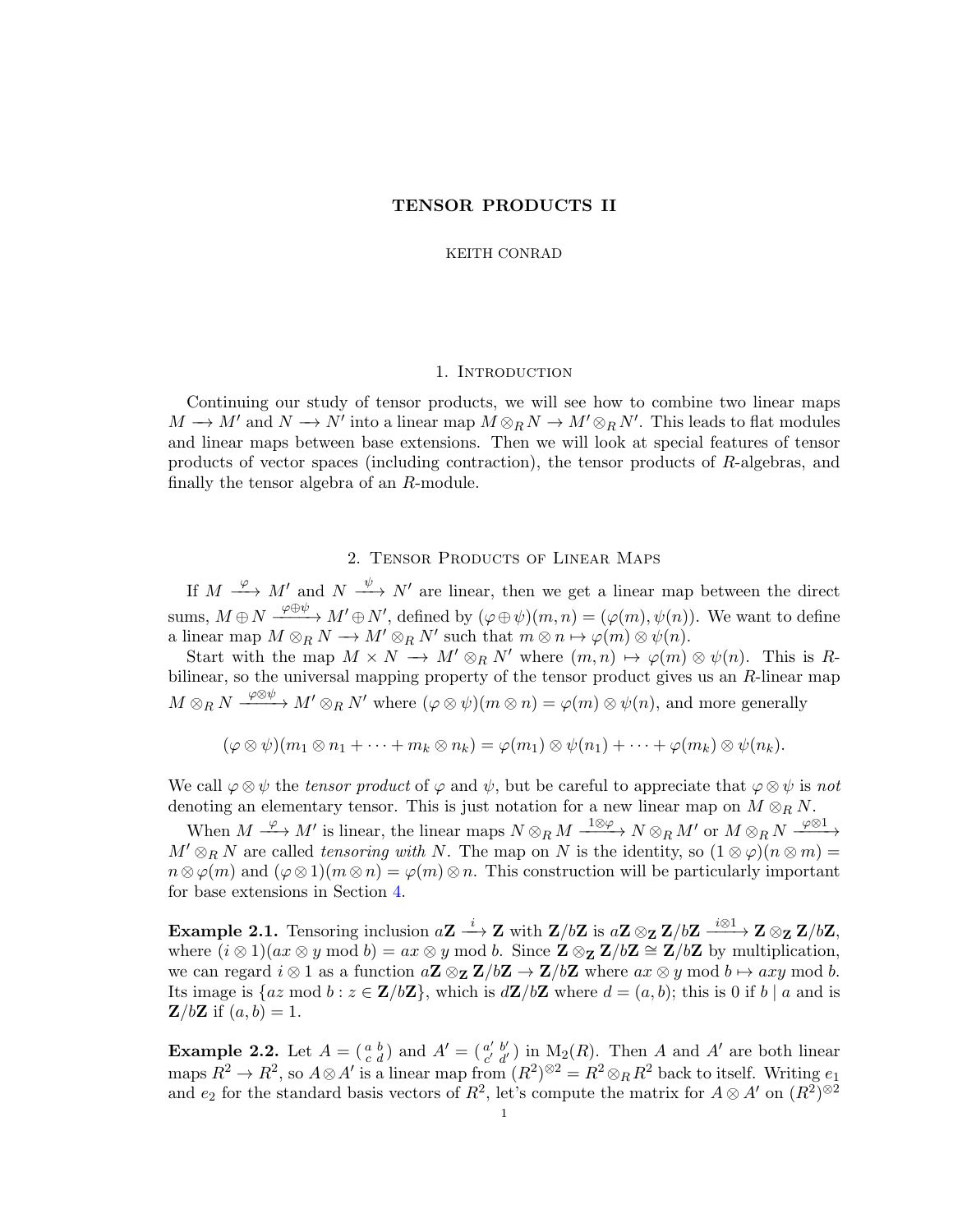KEITH CONRAD

### 1. INTRODUCTION

Continuing our study of tensor products, we will see how to combine two linear maps  $M \to M'$  and  $N \to N'$  into a linear map  $M \otimes_R N \to M' \otimes_R N'$ . This leads to flat modules and linear maps between base extensions. Then we will look at special features of tensor products of vector spaces (including contraction), the tensor products of R-algebras, and finally the tensor algebra of an R-module.

# 2. Tensor Products of Linear Maps

If  $M \xrightarrow{\varphi} M'$  and  $N \xrightarrow{\psi} N'$  are linear, then we get a linear map between the direct sums,  $M \oplus N \xrightarrow{\varphi \oplus \psi} M' \oplus N'$ , defined by  $(\varphi \oplus \psi)(m, n) = (\varphi(m), \psi(n))$ . We want to define a linear map  $M \otimes_R N \longrightarrow M' \otimes_R N'$  such that  $m \otimes n \mapsto \varphi(m) \otimes \psi(n)$ .

Start with the map  $M \times N \longrightarrow M' \otimes_R N'$  where  $(m, n) \mapsto \varphi(m) \otimes \psi(n)$ . This is Rbilinear, so the universal mapping property of the tensor product gives us an  $R$ -linear map  $M\otimes_R N\stackrel{\varphi\otimes\psi}\longrightarrow M'\otimes_R N'$  where  $(\varphi\otimes\psi)(m\otimes n)=\varphi(m)\otimes\psi(n),$  and more generally

$$
(\varphi \otimes \psi)(m_1 \otimes n_1 + \cdots + m_k \otimes n_k) = \varphi(m_1) \otimes \psi(n_1) + \cdots + \varphi(m_k) \otimes \psi(n_k).
$$

We call  $\varphi \otimes \psi$  the tensor product of  $\varphi$  and  $\psi$ , but be careful to appreciate that  $\varphi \otimes \psi$  is not denoting an elementary tensor. This is just notation for a new linear map on  $M \otimes_R N$ .

When  $M \xrightarrow{\varphi} M'$  is linear, the linear maps  $N \otimes_R M \xrightarrow{1 \otimes \varphi} N \otimes_R M'$  or  $M \otimes_R N \xrightarrow{\varphi \otimes 1} M'$  $M' \otimes_R N$  are called tensoring with N. The map on N is the identity, so  $(1 \otimes \varphi)(n \otimes m) =$  $n \otimes \varphi(m)$  and  $(\varphi \otimes 1)(m \otimes n) = \varphi(m) \otimes n$ . This construction will be particularly important for base extensions in Section [4.](#page-13-0)

Example 2.1. Tensoring inclusion  $aZ \stackrel{i}{\longrightarrow} Z$  with  $Z/bZ$  is  $aZ \otimes_Z Z/bZ \stackrel{i \otimes 1}{\longrightarrow} Z \otimes_Z Z/bZ$ , where  $(i \otimes 1)(ax \otimes y \mod b) = ax \otimes y \mod b$ . Since  $\mathbb{Z} \otimes_{\mathbb{Z}} \mathbb{Z}/b\mathbb{Z} \cong \mathbb{Z}/b\mathbb{Z}$  by multiplication, we can regard  $i \otimes 1$  as a function  $a\mathbf{Z} \otimes_{\mathbf{Z}} \mathbf{Z}/b\mathbf{Z} \to \mathbf{Z}/b\mathbf{Z}$  where  $ax \otimes y \mod b \mapsto axy \mod b$ . Its image is  $\{az \mod b : z \in \mathbf{Z}/b\mathbf{Z}\}\$ , which is  $d\mathbf{Z}/b\mathbf{Z}$  where  $d = (a, b)$ ; this is 0 if b | a and is  $\mathbf{Z}/b\mathbf{Z}$  if  $(a, b) = 1$ .

<span id="page-0-0"></span>**Example 2.2.** Let  $A = \begin{pmatrix} a & b \\ c & d \end{pmatrix}$  and  $A' = \begin{pmatrix} a' & b' \\ c' & d' \end{pmatrix}$  $a'_{c'd'}$ ) in M<sub>2</sub>(R). Then A and A' are both linear maps  $R^2 \to R^2$ , so  $A \otimes A'$  is a linear map from  $(R^2)^{\otimes 2} = R^2 \otimes_R R^2$  back to itself. Writing  $e_1$ and  $e_2$  for the standard basis vectors of  $R^2$ , let's compute the matrix for  $A \otimes A'$  on  $(R^2)^{\otimes 2}$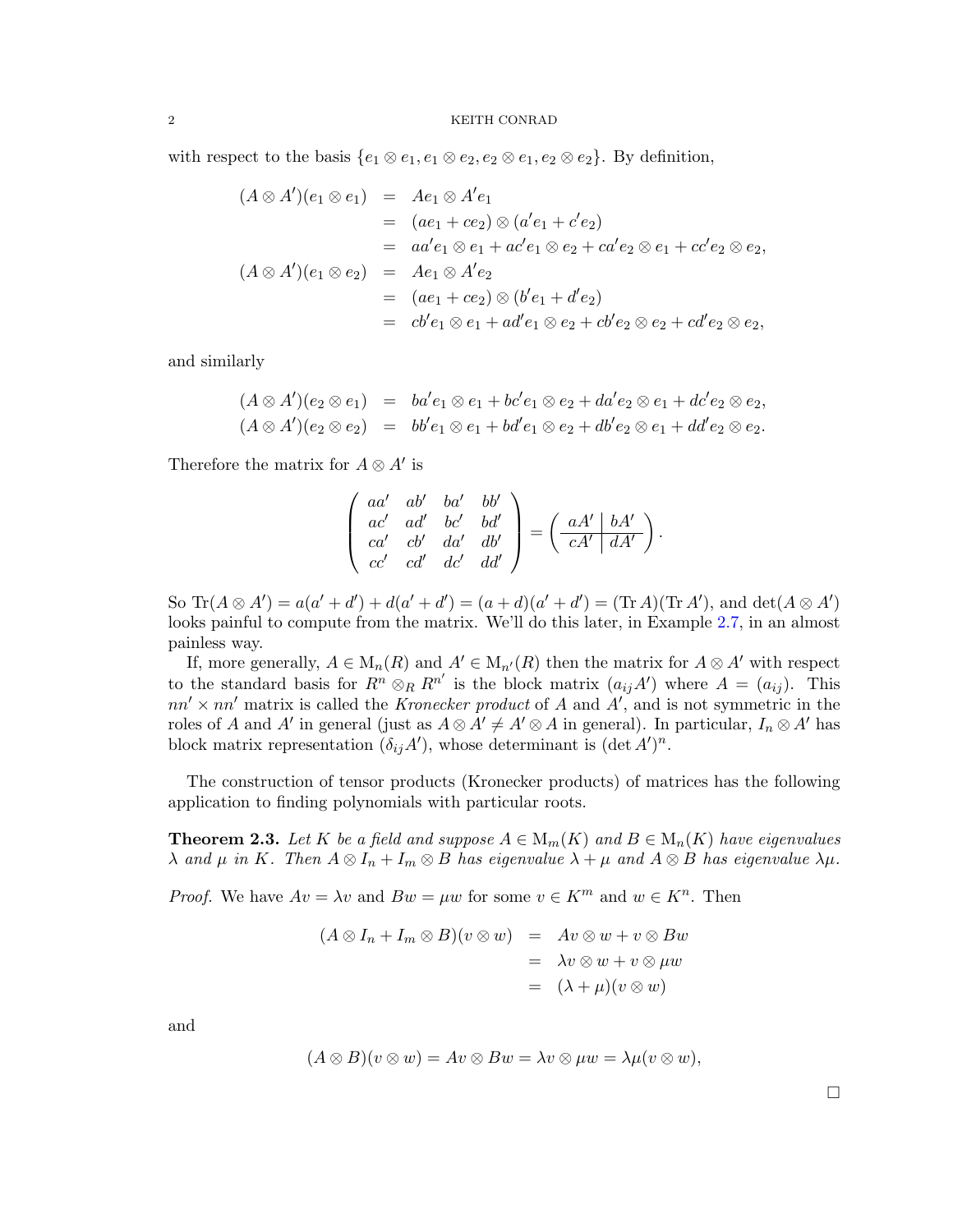with respect to the basis  $\{e_1 \otimes e_1, e_1 \otimes e_2, e_2 \otimes e_1, e_2 \otimes e_2\}$ . By definition,

$$
(A \otimes A')(e_1 \otimes e_1) = Ae_1 \otimes A'e_1
$$
  
\n
$$
= (ae_1 + ce_2) \otimes (a'e_1 + c'e_2)
$$
  
\n
$$
= aa'e_1 \otimes e_1 + ac'e_1 \otimes e_2 + ca'e_2 \otimes e_1 + cc'e_2 \otimes e_2,
$$
  
\n
$$
(A \otimes A')(e_1 \otimes e_2) = Ae_1 \otimes A'e_2
$$
  
\n
$$
= (ae_1 + ce_2) \otimes (b'e_1 + d'e_2)
$$
  
\n
$$
= cb'e_1 \otimes e_1 + ad'e_1 \otimes e_2 + cb'e_2 \otimes e_2 + cd'e_2 \otimes e_2,
$$

and similarly

$$
(A \otimes A')(e_2 \otimes e_1) = ba'e_1 \otimes e_1 + bc'e_1 \otimes e_2 + da'e_2 \otimes e_1 + dc'e_2 \otimes e_2, (A \otimes A')(e_2 \otimes e_2) = bb'e_1 \otimes e_1 + bd'e_1 \otimes e_2 + db'e_2 \otimes e_1 + dd'e_2 \otimes e_2.
$$

Therefore the matrix for  $A \otimes A'$  is

$$
\begin{pmatrix} aa' & ab' & ba' & bb' \\ ac' & ad' & bc' & bd' \\ ca' & cb' & da' & db' \\ cc' & cd' & dc' & dd' \end{pmatrix} = \begin{pmatrix} aA' & bA' \\ -cA' & dA' \end{pmatrix}.
$$

So  $\text{Tr}(A \otimes A') = a(a' + d') + d(a' + d') = (a + d)(a' + d') = (\text{Tr }A)(\text{Tr }A'),$  and  $\det(A \otimes A')$ looks painful to compute from the matrix. We'll do this later, in Example [2.7,](#page-4-0) in an almost painless way.

If, more generally,  $A \in M_n(R)$  and  $A' \in M_{n'}(R)$  then the matrix for  $A \otimes A'$  with respect to the standard basis for  $R^n \otimes_R R^{n'}$  is the block matrix  $(a_{ij}A')$  where  $A = (a_{ij})$ . This  $nn' \times nn'$  matrix is called the *Kronecker product* of A and  $A'$ , and is not symmetric in the roles of A and A' in general (just as  $A \otimes A' \neq A' \otimes A$  in general). In particular,  $I_n \otimes A'$  has block matrix representation  $(\delta_{ij}A')$ , whose determinant is  $(\det A')^n$ .

The construction of tensor products (Kronecker products) of matrices has the following application to finding polynomials with particular roots.

**Theorem 2.3.** Let K be a field and suppose  $A \in M_m(K)$  and  $B \in M_n(K)$  have eigenvalues  $\lambda$  and  $\mu$  in K. Then  $A \otimes I_n + I_m \otimes B$  has eigenvalue  $\lambda + \mu$  and  $A \otimes B$  has eigenvalue  $\lambda \mu$ .

*Proof.* We have  $Av = \lambda v$  and  $Bw = \mu w$  for some  $v \in K^m$  and  $w \in K^n$ . Then

$$
(A \otimes I_n + I_m \otimes B)(v \otimes w) = Av \otimes w + v \otimes Bw
$$
  
=  $\lambda v \otimes w + v \otimes \mu w$   
=  $(\lambda + \mu)(v \otimes w)$ 

and

$$
(A \otimes B)(v \otimes w) = Av \otimes Bw = \lambda v \otimes \mu w = \lambda \mu (v \otimes w),
$$

 $\Box$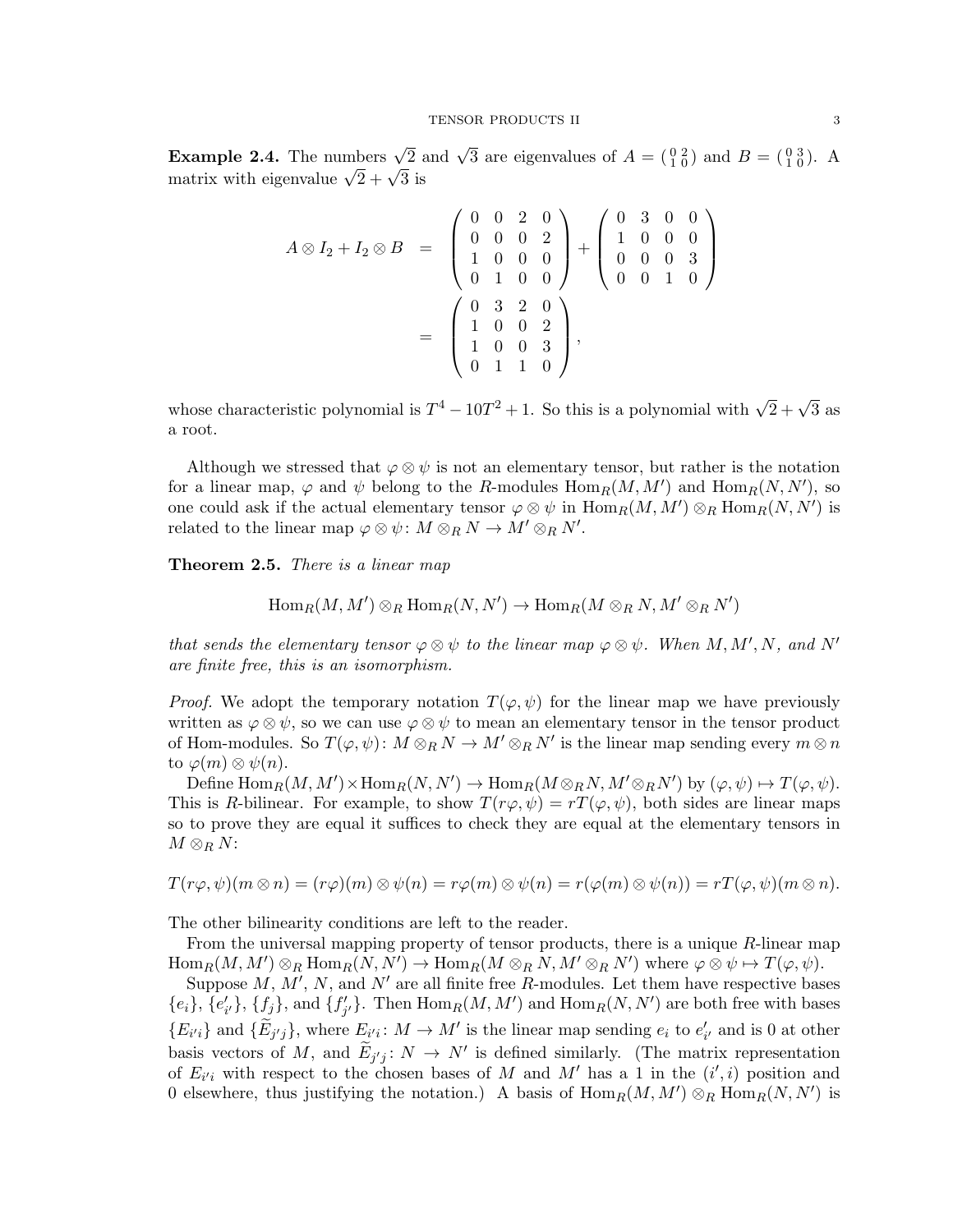**Example 2.4.** The numbers  $\sqrt{2}$  and  $\sqrt{3}$  are eigenvalues of  $A = \begin{pmatrix} 0 & 2 \\ 1 & 0 \end{pmatrix}$  and  $B = \begin{pmatrix} 0 & 3 \\ 1 & 0 \end{pmatrix}$ . **Example 2.4.** The numbers  $\sqrt{2} \times \sqrt{3}$  is matrix with eigenvalue  $\sqrt{2} + \sqrt{3}$  is

$$
A \otimes I_2 + I_2 \otimes B = \begin{pmatrix} 0 & 0 & 2 & 0 \\ 0 & 0 & 0 & 2 \\ 1 & 0 & 0 & 0 \\ 0 & 1 & 0 & 0 \end{pmatrix} + \begin{pmatrix} 0 & 3 & 0 & 0 \\ 1 & 0 & 0 & 0 \\ 0 & 0 & 0 & 3 \\ 0 & 0 & 1 & 0 \end{pmatrix}
$$

$$
= \begin{pmatrix} 0 & 3 & 2 & 0 \\ 1 & 0 & 0 & 2 \\ 1 & 0 & 0 & 3 \\ 0 & 1 & 1 & 0 \end{pmatrix},
$$

whose characteristic polynomial is  $T^4 - 10T^2 + 1$ . So this is a polynomial with  $\sqrt{2} + \sqrt{3}$  as a root.

Although we stressed that  $\varphi \otimes \psi$  is not an elementary tensor, but rather is the notation for a linear map,  $\varphi$  and  $\psi$  belong to the R-modules  $\text{Hom}_R(M, M')$  and  $\text{Hom}_R(N, N')$ , so one could ask if the actual elementary tensor  $\varphi \otimes \psi$  in  $\text{Hom}_R(M, M') \otimes_R \text{Hom}_R(N, N')$  is related to the linear map  $\varphi \otimes \psi \colon M \otimes_R N \to M' \otimes_R N'.$ 

<span id="page-2-0"></span>Theorem 2.5. There is a linear map

$$
\operatorname{Hom}_R(M,M')\otimes_R\operatorname{Hom}_R(N,N')\to\operatorname{Hom}_R(M\otimes_RN,M'\otimes_RN')
$$

that sends the elementary tensor  $\varphi \otimes \psi$  to the linear map  $\varphi \otimes \psi$ . When  $M, M', N$ , and  $N'$ are finite free, this is an isomorphism.

*Proof.* We adopt the temporary notation  $T(\varphi, \psi)$  for the linear map we have previously written as  $\varphi \otimes \psi$ , so we can use  $\varphi \otimes \psi$  to mean an elementary tensor in the tensor product of Hom-modules. So  $T(\varphi, \psi)$ :  $M \otimes_R N \to M' \otimes_R N'$  is the linear map sending every  $m \otimes n$ to  $\varphi(m) \otimes \psi(n)$ .

Define  $\text{Hom}_R(M, M') \times \text{Hom}_R(N, N') \to \text{Hom}_R(M \otimes_R N, M' \otimes_R N')$  by  $(\varphi, \psi) \mapsto T(\varphi, \psi)$ . This is R-bilinear. For example, to show  $T(r\varphi, \psi) = rT(\varphi, \psi)$ , both sides are linear maps so to prove they are equal it suffices to check they are equal at the elementary tensors in  $M\otimes_R N$ :

$$
T(r\varphi,\psi)(m\otimes n)=(r\varphi)(m)\otimes\psi(n)=r\varphi(m)\otimes\psi(n)=r(\varphi(m)\otimes\psi(n))=rT(\varphi,\psi)(m\otimes n).
$$

The other bilinearity conditions are left to the reader.

From the universal mapping property of tensor products, there is a unique R-linear map  $\text{Hom}_R(M, M') \otimes_R \text{Hom}_R(N, N') \to \text{Hom}_R(M \otimes_R N, M' \otimes_R N')$  where  $\varphi \otimes \psi \mapsto T(\varphi, \psi)$ .

Suppose  $M, M', N$ , and  $N'$  are all finite free R-modules. Let them have respective bases  ${e_i}, {e'_{i'}}$ ,  ${f_j},$  and  ${f'_{j'}}$ . Then  $\text{Hom}_R(M, M')$  and  $\text{Hom}_R(N, N')$  are both free with bases  ${E_{i'i}}$  and  ${\tilde{E}_{j'j}}$ , where  $E_{i'i}: M \to M'$  is the linear map sending  $e_i$  to  $e'_{i'}$  and is 0 at other basis vectors of M, and  $\widetilde{E}_{j'j}$ :  $N \to N'$  is defined similarly. (The matrix representation of  $E_{i'i}$  with respect to the chosen bases of M and M' has a 1 in the  $(i',i)$  position and 0 elsewhere, thus justifying the notation.) A basis of  $\text{Hom}_R(M, M') \otimes_R \text{Hom}_R(N, N')$  is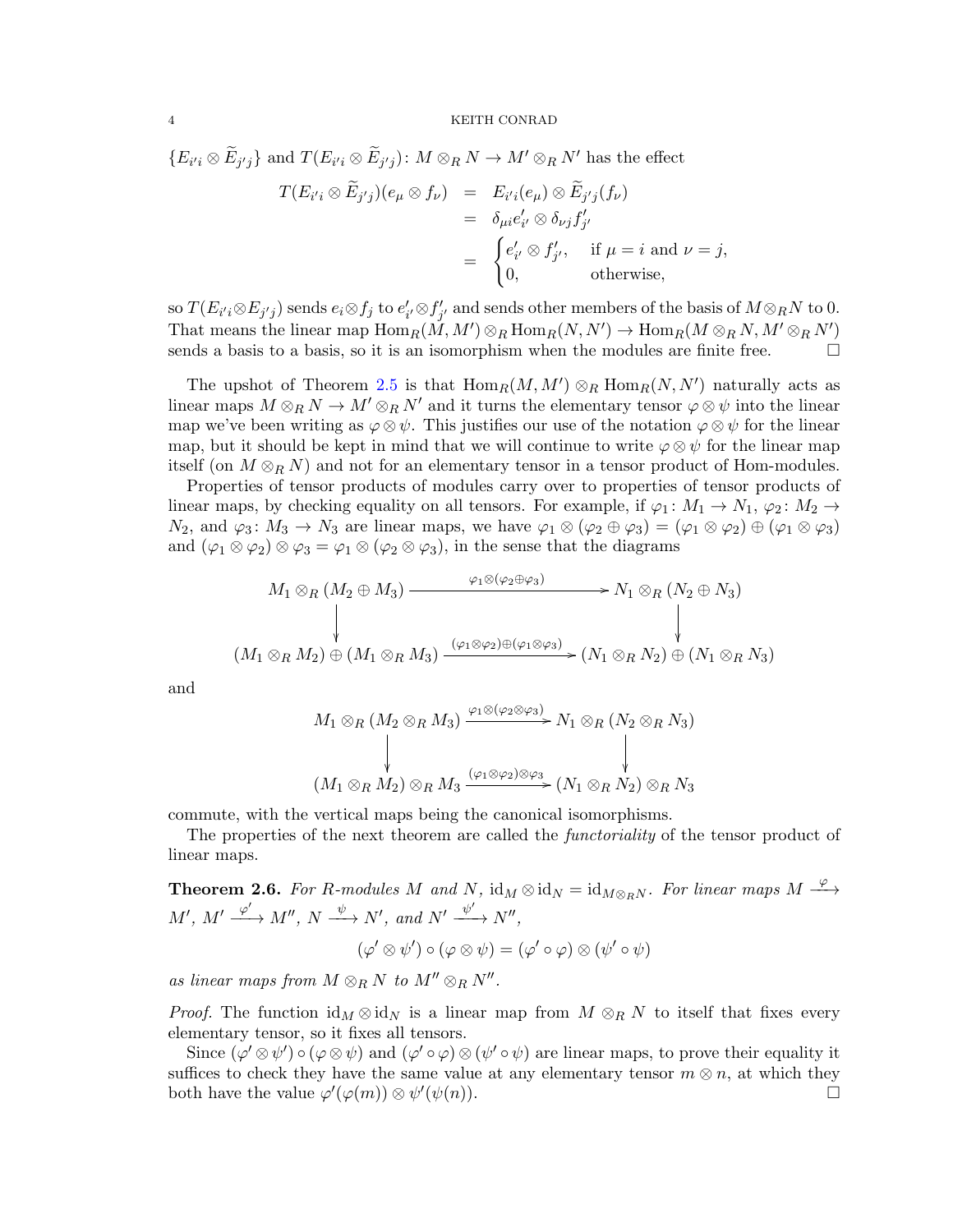$\{E_{i'i} \otimes \widetilde{E}_{j'j}\}\$ and  $T(E_{i'i} \otimes \widetilde{E}_{j'j})$ :  $M \otimes_R N \to M' \otimes_R N'$  has the effect

$$
T(E_{i'i} \otimes \widetilde{E}_{j'j})(e_{\mu} \otimes f_{\nu}) = E_{i'i}(e_{\mu}) \otimes \widetilde{E}_{j'j}(f_{\nu})
$$
  
=  $\delta_{\mu i} e'_{i'} \otimes \delta_{\nu j} f'_{j'}$   
=  $\begin{cases} e'_{i'} \otimes f'_{j'}, & \text{if } \mu = i \text{ and } \nu = j, \\ 0, & \text{otherwise}, \end{cases}$ 

so  $T(E_{i'i}\otimes E_{j'j})$  sends  $e_i\otimes f_j$  to  $e'_{i'}\otimes f'_{j'}$  and sends other members of the basis of  $M\otimes_R N$  to  $0.$ That means the linear map  $\text{Hom}_R(M, M') \otimes_R \text{Hom}_R(N, N') \to \text{Hom}_R(M \otimes_R N, M' \otimes_R N')$ sends a basis to a basis, so it is an isomorphism when the modules are finite free.  $\Box$ 

The upshot of Theorem [2.5](#page-2-0) is that  $\text{Hom}_R(M, M') \otimes_R \text{Hom}_R(N, N')$  naturally acts as linear maps  $M \otimes_R N \to M' \otimes_R N'$  and it turns the elementary tensor  $\varphi \otimes \psi$  into the linear map we've been writing as  $\varphi \otimes \psi$ . This justifies our use of the notation  $\varphi \otimes \psi$  for the linear map, but it should be kept in mind that we will continue to write  $\varphi \otimes \psi$  for the linear map itself (on  $M \otimes_R N$ ) and not for an elementary tensor in a tensor product of Hom-modules.

Properties of tensor products of modules carry over to properties of tensor products of linear maps, by checking equality on all tensors. For example, if  $\varphi_1: M_1 \to N_1$ ,  $\varphi_2: M_2 \to$  $N_2$ , and  $\varphi_3: M_3 \to N_3$  are linear maps, we have  $\varphi_1 \otimes (\varphi_2 \oplus \varphi_3) = (\varphi_1 \otimes \varphi_2) \oplus (\varphi_1 \otimes \varphi_3)$ and  $(\varphi_1 \otimes \varphi_2) \otimes \varphi_3 = \varphi_1 \otimes (\varphi_2 \otimes \varphi_3)$ , in the sense that the diagrams

$$
M_1 \otimes_R (M_2 \oplus M_3) \xrightarrow{\varphi_1 \otimes (\varphi_2 \oplus \varphi_3)} N_1 \otimes_R (N_2 \oplus N_3)
$$
\n
$$
(M_1 \otimes_R M_2) \oplus (M_1 \otimes_R M_3) \xrightarrow{(\varphi_1 \otimes \varphi_2) \oplus (\varphi_1 \otimes \varphi_3)} (N_1 \otimes_R N_2) \oplus (N_1 \otimes_R N_3)
$$

and

$$
M_1 \otimes_R (M_2 \otimes_R M_3) \xrightarrow{\varphi_1 \otimes (\varphi_2 \otimes \varphi_3)} N_1 \otimes_R (N_2 \otimes_R N_3)
$$
\n
$$
\downarrow \qquad \qquad \downarrow
$$
\n
$$
(M_1 \otimes_R M_2) \otimes_R M_3 \xrightarrow{(\varphi_1 \otimes \varphi_2) \otimes \varphi_3} (N_1 \otimes_R N_2) \otimes_R N_3
$$

commute, with the vertical maps being the canonical isomorphisms.

The properties of the next theorem are called the *functoriality* of the tensor product of linear maps.

**Theorem 2.6.** For R-modules M and N,  $\text{id}_M \otimes \text{id}_N = \text{id}_{M \otimes_R N}$ . For linear maps  $M \xrightarrow{\varphi}$  $M', M' \xrightarrow{\varphi'} M'', N \xrightarrow{\psi} N', and N' \xrightarrow{\psi'} N'',$ 

$$
(\varphi' \otimes \psi') \circ (\varphi \otimes \psi) = (\varphi' \circ \varphi) \otimes (\psi' \circ \psi)
$$

as linear maps from  $M \otimes_R N$  to  $M'' \otimes_R N''$ .

*Proof.* The function  $\mathrm{id}_M \otimes \mathrm{id}_N$  is a linear map from  $M \otimes_R N$  to itself that fixes every elementary tensor, so it fixes all tensors.

Since  $(\varphi' \otimes \psi') \circ (\varphi \otimes \psi)$  and  $(\varphi' \circ \varphi) \otimes (\psi' \circ \psi)$  are linear maps, to prove their equality it suffices to check they have the same value at any elementary tensor  $m \otimes n$ , at which they both have the value  $\varphi'(\varphi(m)) \otimes \psi'(\psi(n)).$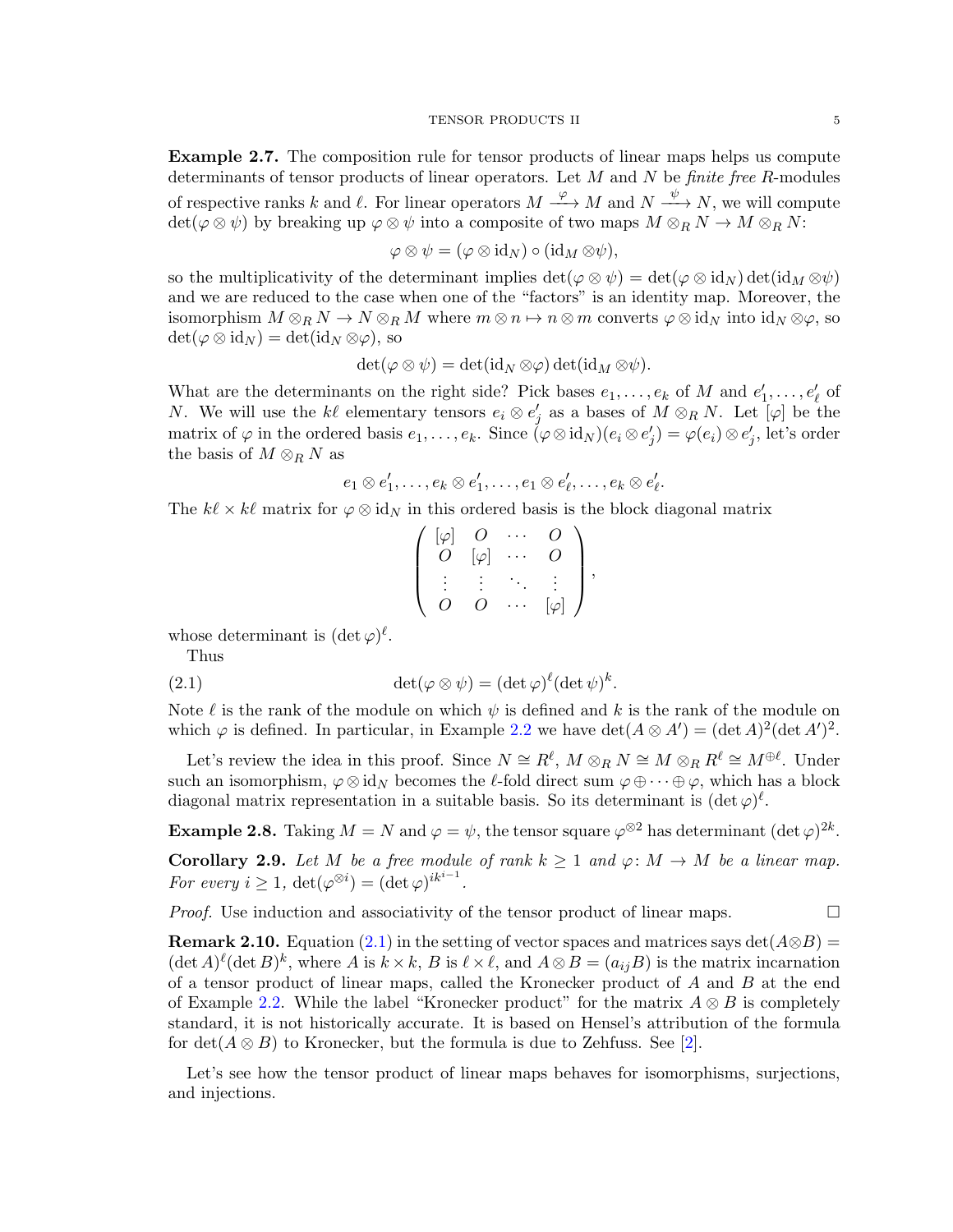<span id="page-4-0"></span>Example 2.7. The composition rule for tensor products of linear maps helps us compute determinants of tensor products of linear operators. Let  $M$  and  $N$  be *finite free R*-modules of respective ranks k and  $\ell$ . For linear operators  $M \xrightarrow{\varphi} M$  and  $N \xrightarrow{\psi} N$ , we will compute  $\det(\varphi \otimes \psi)$  by breaking up  $\varphi \otimes \psi$  into a composite of two maps  $M \otimes_R N \to M \otimes_R N$ :

$$
\varphi \otimes \psi = (\varphi \otimes \mathrm{id}_N) \circ (\mathrm{id}_M \otimes \psi),
$$

so the multiplicativity of the determinant implies  $\det(\varphi \otimes \psi) = \det(\varphi \otimes id_N) \det(id_M \otimes \psi)$ and we are reduced to the case when one of the "factors" is an identity map. Moreover, the isomorphism  $M \otimes_R N \to N \otimes_R M$  where  $m \otimes n \mapsto n \otimes m$  converts  $\varphi \otimes id_N$  into  $id_N \otimes \varphi$ , so  $\det(\varphi \otimes id_N) = \det(id_N \otimes \varphi)$ , so

$$
\det(\varphi \otimes \psi) = \det(\mathrm{id}_N \otimes \varphi) \det(\mathrm{id}_M \otimes \psi).
$$

What are the determinants on the right side? Pick bases  $e_1, \ldots, e_k$  of M and  $e'_1, \ldots, e'_\ell$  of N. We will use the k $\ell$  elementary tensors  $e_i \otimes e'_j$  as a bases of  $M \otimes_R N$ . Let  $[\varphi]$  be the matrix of  $\varphi$  in the ordered basis  $e_1, \ldots, e_k$ . Since  $(\varphi \otimes id_N)(e_i \otimes e'_j) = \varphi(e_i) \otimes e'_j$ , let's order the basis of  $M \otimes_R N$  as

$$
e_1\otimes e'_1,\ldots,e_k\otimes e'_1,\ldots,e_1\otimes e'_\ell,\ldots,e_k\otimes e'_\ell.
$$

The  $k\ell \times k\ell$  matrix for  $\varphi \otimes id_N$  in this ordered basis is the block diagonal matrix

<span id="page-4-1"></span>
$$
\left(\begin{array}{cccc} [\varphi] & O & \cdots & O \\ O & [\varphi] & \cdots & O \\ \vdots & \vdots & \ddots & \vdots \\ O & O & \cdots & [\varphi] \end{array}\right),
$$

whose determinant is  $(\det \varphi)^\ell$ .

Thus

(2.1) 
$$
\det(\varphi \otimes \psi) = (\det \varphi)^{\ell} (\det \psi)^{k}.
$$

Note  $\ell$  is the rank of the module on which  $\psi$  is defined and k is the rank of the module on which  $\varphi$  is defined. In particular, in Example [2.2](#page-0-0) we have  $\det(A \otimes A') = (\det A)^2 (\det A')^2$ .

Let's review the idea in this proof. Since  $N \cong R^{\ell}$ ,  $M \otimes_R N \cong M \otimes_R R^{\ell} \cong M^{\oplus \ell}$ . Under such an isomorphism,  $\varphi \otimes id_N$  becomes the  $\ell$ -fold direct sum  $\varphi \oplus \cdots \oplus \varphi$ , which has a block diagonal matrix representation in a suitable basis. So its determinant is  $(\det \varphi)^{\ell}$ .

**Example 2.8.** Taking  $M = N$  and  $\varphi = \psi$ , the tensor square  $\varphi^{\otimes 2}$  has determinant  $(\det \varphi)^{2k}$ .

Corollary 2.9. Let M be a free module of rank  $k \ge 1$  and  $\varphi: M \to M$  be a linear map. For every  $i \geq 1$ ,  $\det(\varphi^{\otimes i}) = (\det \varphi)^{ik^{i-1}}$ .

*Proof.* Use induction and associativity of the tensor product of linear maps.  $\Box$ 

**Remark 2.10.** Equation [\(2.1\)](#page-4-1) in the setting of vector spaces and matrices says det( $A \otimes B$ ) =  $(\det A)^{\ell} (\det B)^{k}$ , where A is  $k \times k$ , B is  $\ell \times \ell$ , and  $A \otimes B = (a_{ij}B)$  is the matrix incarnation of a tensor product of linear maps, called the Kronecker product of A and B at the end of Example [2.2.](#page-0-0) While the label "Kronecker product" for the matrix  $A \otimes B$  is completely standard, it is not historically accurate. It is based on Hensel's attribution of the formula for  $\det(A \otimes B)$  to Kronecker, but the formula is due to Zehfuss. See [\[2\]](#page-41-0).

Let's see how the tensor product of linear maps behaves for isomorphisms, surjections, and injections.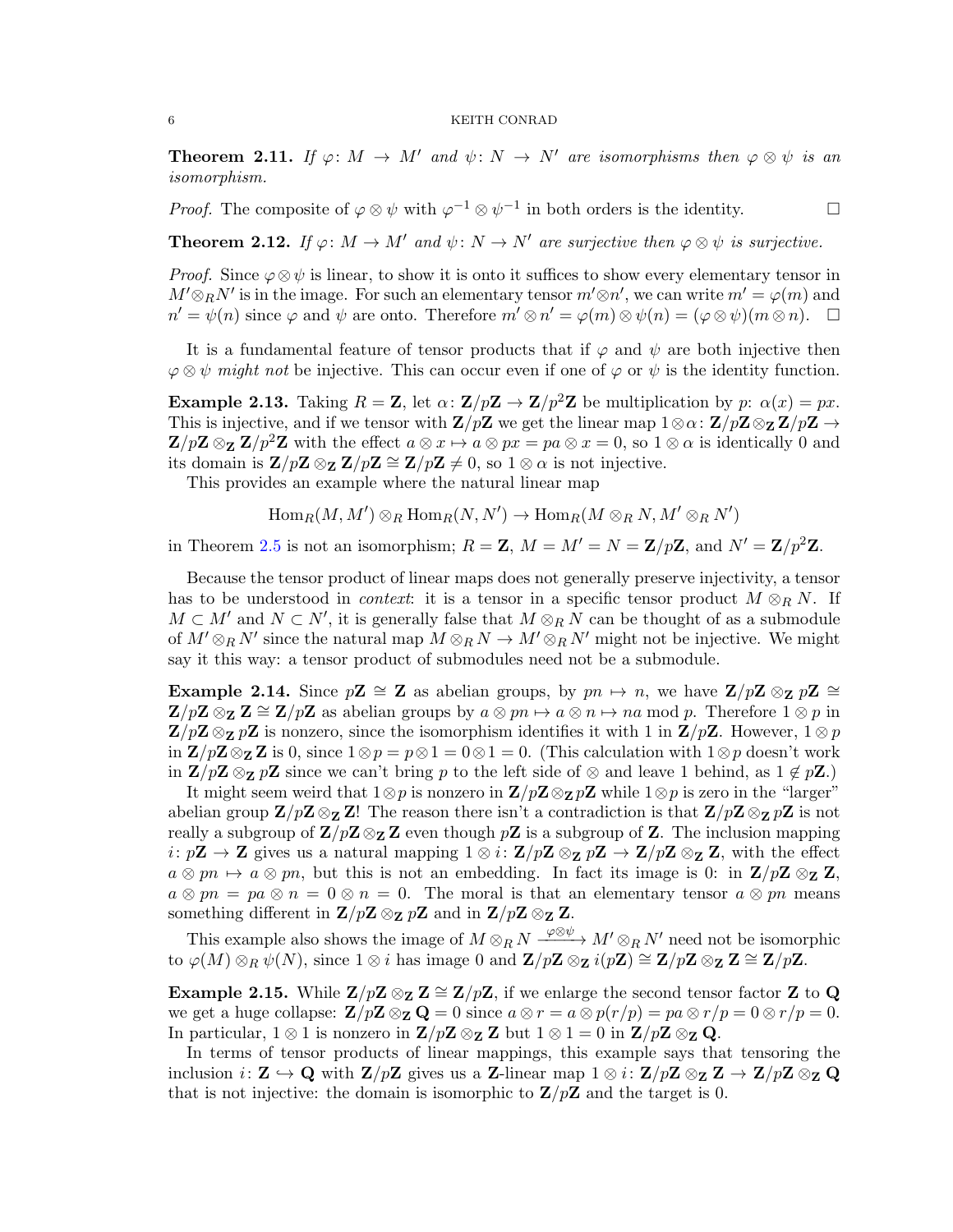<span id="page-5-0"></span>**Theorem 2.11.** If  $\varphi: M \to M'$  and  $\psi: N \to N'$  are isomorphisms then  $\varphi \otimes \psi$  is an isomorphism.

*Proof.* The composite of  $\varphi \otimes \psi$  with  $\varphi^{-1} \otimes \psi^{-1}$  in both orders is the identity.

<span id="page-5-1"></span>**Theorem 2.12.** If  $\varphi: M \to M'$  and  $\psi: N \to N'$  are surjective then  $\varphi \otimes \psi$  is surjective.

*Proof.* Since  $\varphi \otimes \psi$  is linear, to show it is onto it suffices to show every elementary tensor in  $M' \otimes_R N'$  is in the image. For such an elementary tensor  $m' \otimes n'$ , we can write  $m' = \varphi(m)$  and  $n' = \psi(n)$  since  $\varphi$  and  $\psi$  are onto. Therefore  $m' \otimes n' = \varphi(m) \otimes \psi(n) = (\varphi \otimes \psi)(m \otimes n)$ .  $\Box$ 

It is a fundamental feature of tensor products that if  $\varphi$  and  $\psi$  are both injective then  $\varphi \otimes \psi$  might not be injective. This can occur even if one of  $\varphi$  or  $\psi$  is the identity function.

<span id="page-5-2"></span>**Example 2.13.** Taking  $R = \mathbf{Z}$ , let  $\alpha$ :  $\mathbf{Z}/p\mathbf{Z} \to \mathbf{Z}/p^2\mathbf{Z}$  be multiplication by p:  $\alpha(x) = px$ . This is injective, and if we tensor with  $\mathbf{Z}/p\mathbf{Z}$  we get the linear map  $1\otimes \alpha: \mathbf{Z}/p\mathbf{Z} \otimes_{\mathbf{Z}} \mathbf{Z}/p\mathbf{Z} \to$  $\mathbf{Z}/p\mathbf{Z} \otimes_{\mathbf{Z}} \mathbf{Z}/p^2\mathbf{Z}$  with the effect  $a \otimes x \mapsto a \otimes px = pa \otimes x = 0$ , so  $1 \otimes \alpha$  is identically 0 and its domain is  $\mathbf{Z}/p\mathbf{Z} \otimes_{\mathbf{Z}} \mathbf{Z}/p\mathbf{Z} \cong \mathbf{Z}/p\mathbf{Z} \neq 0$ , so  $1 \otimes \alpha$  is not injective.

This provides an example where the natural linear map

$$
\text{Hom}_{R}(M, M') \otimes_{R} \text{Hom}_{R}(N, N') \to \text{Hom}_{R}(M \otimes_{R} N, M' \otimes_{R} N')
$$

in Theorem [2.5](#page-2-0) is not an isomorphism;  $R = \mathbf{Z}$ ,  $M = M' = N = \mathbf{Z}/p\mathbf{Z}$ , and  $N' = \mathbf{Z}/p^2\mathbf{Z}$ .

Because the tensor product of linear maps does not generally preserve injectivity, a tensor has to be understood in *context*: it is a tensor in a specific tensor product  $M \otimes_R N$ . If  $M \subset M'$  and  $N \subset N'$ , it is generally false that  $M \otimes_R N$  can be thought of as a submodule of  $M' \otimes_R N'$  since the natural map  $M \otimes_R N \to M' \otimes_R N'$  might not be injective. We might say it this way: a tensor product of submodules need not be a submodule.

<span id="page-5-3"></span>Example 2.14. Since  $p\mathbf{Z} \cong \mathbf{Z}$  as abelian groups, by  $pn \mapsto n$ , we have  $\mathbf{Z}/p\mathbf{Z} \otimes_{\mathbf{Z}} p\mathbf{Z} \cong$  $\mathbf{Z}/p\mathbf{Z} \otimes_{\mathbf{Z}} \mathbf{Z} \cong \mathbf{Z}/p\mathbf{Z}$  as abelian groups by  $a \otimes pn \mapsto a \otimes n \mapsto na \bmod p$ . Therefore  $1 \otimes p$  in  $\mathbf{Z}/p\mathbf{Z} \otimes_{\mathbf{Z}} p\mathbf{Z}$  is nonzero, since the isomorphism identifies it with 1 in  $\mathbf{Z}/p\mathbf{Z}$ . However,  $1 \otimes p$ in  $\mathbf{Z}/p\mathbf{Z} \otimes_{\mathbf{Z}} \mathbf{Z}$  is 0, since  $1 \otimes p = p \otimes 1 = 0 \otimes 1 = 0$ . (This calculation with  $1 \otimes p$  doesn't work in  $\mathbb{Z}/p\mathbb{Z} \otimes_{\mathbb{Z}} p\mathbb{Z}$  since we can't bring p to the left side of  $\otimes$  and leave 1 behind, as  $1 \notin p\mathbb{Z}$ .)

It might seem weird that  $1\otimes p$  is nonzero in  $\mathbf{Z}/p\mathbf{Z}\otimes_{\mathbf{Z}}p\mathbf{Z}$  while  $1\otimes p$  is zero in the "larger" abelian group  $\mathbf{Z}/p\mathbf{Z} \otimes_{\mathbf{Z}} \mathbf{Z}!$  The reason there isn't a contradiction is that  $\mathbf{Z}/p\mathbf{Z} \otimes_{\mathbf{Z}} p\mathbf{Z}$  is not really a subgroup of  $\mathbf{Z}/p\mathbf{Z}\otimes_{\mathbf{Z}}\mathbf{Z}$  even though  $p\mathbf{Z}$  is a subgroup of  $\mathbf{Z}$ . The inclusion mapping  $i: p\mathbb{Z} \to \mathbb{Z}$  gives us a natural mapping  $1 \otimes i: \mathbb{Z}/p\mathbb{Z} \otimes_{\mathbb{Z}} p\mathbb{Z} \to \mathbb{Z}/p\mathbb{Z} \otimes_{\mathbb{Z}} \mathbb{Z}$ , with the effect  $a \otimes pn \mapsto a \otimes pn$ , but this is not an embedding. In fact its image is 0: in  $\mathbf{Z}/p\mathbf{Z} \otimes_{\mathbf{Z}} \mathbf{Z}$ ,  $a \otimes pn = pa \otimes n = 0 \otimes n = 0$ . The moral is that an elementary tensor  $a \otimes pn$  means something different in  $\mathbf{Z}/p\mathbf{Z} \otimes_{\mathbf{Z}} p\mathbf{Z}$  and in  $\mathbf{Z}/p\mathbf{Z} \otimes_{\mathbf{Z}} \mathbf{Z}$ .

This example also shows the image of  $M \otimes_R N \xrightarrow{\varphi \otimes \psi} M' \otimes_R N'$  need not be isomorphic to  $\varphi(M) \otimes_R \psi(N)$ , since 1 ⊗ *i* has image 0 and  $\mathbf{Z}/p\mathbf{Z} \otimes_{\mathbf{Z}} i(p\mathbf{Z}) \cong \mathbf{Z}/p\mathbf{Z} \otimes_{\mathbf{Z}} \mathbf{Z} \cong \mathbf{Z}/p\mathbf{Z}$ .

<span id="page-5-4"></span>Example 2.15. While  $\mathbb{Z}/p\mathbb{Z} \otimes_{\mathbb{Z}} \mathbb{Z} \cong \mathbb{Z}/p\mathbb{Z}$ , if we enlarge the second tensor factor Z to Q we get a huge collapse:  $\mathbf{Z}/p\mathbf{Z} \otimes_{\mathbf{Z}} \mathbf{Q} = 0$  since  $a \otimes r = a \otimes p(r/p) = pa \otimes r/p = 0 \otimes r/p = 0$ . In particular,  $1 \otimes 1$  is nonzero in  $\mathbf{Z}/p\mathbf{Z} \otimes_{\mathbf{Z}} \mathbf{Z}$  but  $1 \otimes 1 = 0$  in  $\mathbf{Z}/p\mathbf{Z} \otimes_{\mathbf{Z}} \mathbf{Q}$ .

In terms of tensor products of linear mappings, this example says that tensoring the inclusion  $i: \mathbf{Z} \to \mathbf{Q}$  with  $\mathbf{Z}/p\mathbf{Z}$  gives us a Z-linear map  $1 \otimes i: \mathbf{Z}/p\mathbf{Z} \otimes_{\mathbf{Z}} \mathbf{Z} \to \mathbf{Z}/p\mathbf{Z} \otimes_{\mathbf{Z}} \mathbf{Q}$ that is not injective: the domain is isomorphic to  $\mathbf{Z}/p\mathbf{Z}$  and the target is 0.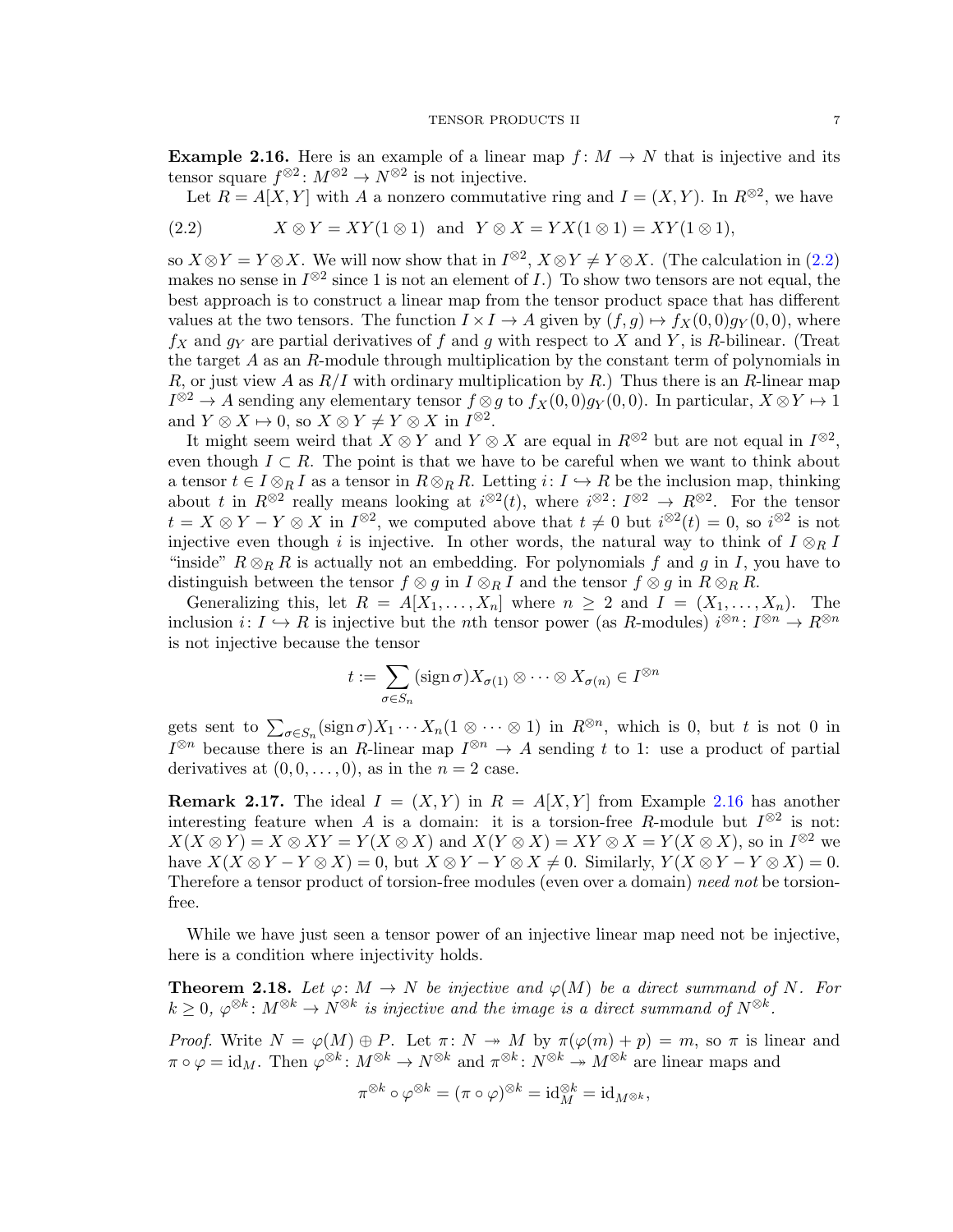<span id="page-6-1"></span>**Example 2.16.** Here is an example of a linear map  $f: M \to N$  that is injective and its tensor square  $f^{\otimes 2}$ :  $M^{\otimes 2} \to N^{\otimes 2}$  is not injective.

Let  $R = A[X, Y]$  with A a nonzero commutative ring and  $I = (X, Y)$ . In  $R^{\otimes 2}$ , we have

<span id="page-6-0"></span>(2.2) 
$$
X \otimes Y = XY(1 \otimes 1) \text{ and } Y \otimes X = YX(1 \otimes 1) = XY(1 \otimes 1),
$$

so  $X \otimes Y = Y \otimes X$ . We will now show that in  $I^{\otimes 2}$ ,  $X \otimes Y \neq Y \otimes X$ . (The calculation in [\(2.2\)](#page-6-0) makes no sense in  $I^{\otimes 2}$  since 1 is not an element of I.) To show two tensors are not equal, the best approach is to construct a linear map from the tensor product space that has different values at the two tensors. The function  $I \times I \to A$  given by  $(f, g) \mapsto f_X(0, 0)g_Y(0, 0)$ , where  $f_X$  and  $g_Y$  are partial derivatives of f and g with respect to X and Y, is R-bilinear. (Treat the target A as an R-module through multiplication by the constant term of polynomials in R, or just view A as  $R/I$  with ordinary multiplication by R.) Thus there is an R-linear map  $I^{\otimes 2} \to A$  sending any elementary tensor  $f \otimes g$  to  $f_X(0,0)g_Y(0,0)$ . In particular,  $X \otimes Y \mapsto 1$ and  $Y \otimes X \mapsto 0$ , so  $X \otimes Y \neq Y \otimes X$  in  $I^{\otimes 2}$ .

It might seem weird that  $X \otimes Y$  and  $Y \otimes X$  are equal in  $R^{\otimes 2}$  but are not equal in  $I^{\otimes 2}$ , even though  $I \subset R$ . The point is that we have to be careful when we want to think about a tensor  $t \in I \otimes_R I$  as a tensor in  $R \otimes_R R$ . Letting  $i: I \hookrightarrow R$  be the inclusion map, thinking about t in  $R^{\otimes 2}$  really means looking at  $i^{\otimes 2}(t)$ , where  $i^{\otimes 2}$ :  $I^{\otimes 2} \to R^{\otimes 2}$ . For the tensor  $t = X \otimes Y - Y \otimes X$  in  $I^{\otimes 2}$ , we computed above that  $t \neq 0$  but  $i^{\otimes 2}(t) = 0$ , so  $i^{\otimes 2}$  is not injective even though i is injective. In other words, the natural way to think of  $I \otimes_R I$ "inside"  $R \otimes_R R$  is actually not an embedding. For polynomials f and g in I, you have to distinguish between the tensor  $f \otimes g$  in  $I \otimes_R I$  and the tensor  $f \otimes g$  in  $R \otimes_R R$ .

Generalizing this, let  $R = A[X_1, \ldots, X_n]$  where  $n \geq 2$  and  $I = (X_1, \ldots, X_n)$ . The inclusion  $i: I \hookrightarrow R$  is injective but the *n*th tensor power (as R-modules)  $i^{\otimes n}: I^{\otimes n} \to R^{\otimes n}$ is not injective because the tensor

$$
t := \sum_{\sigma \in S_n} (\operatorname{sign} \sigma) X_{\sigma(1)} \otimes \cdots \otimes X_{\sigma(n)} \in I^{\otimes n}
$$

gets sent to  $\sum_{\sigma \in S_n} (\text{sign}\,\sigma) X_1 \cdots X_n (1 \otimes \cdots \otimes 1)$  in  $R^{\otimes n}$ , which is 0, but t is not 0 in  $I^{\otimes n}$  because there is an R-linear map  $I^{\otimes n} \to A$  sending t to 1: use a product of partial derivatives at  $(0, 0, \ldots, 0)$ , as in the  $n = 2$  case.

**Remark 2.17.** The ideal  $I = (X, Y)$  in  $R = A[X, Y]$  from Example [2.16](#page-6-1) has another interesting feature when A is a domain: it is a torsion-free R-module but  $I^{\otimes 2}$  is not:  $X(X \otimes Y) = X \otimes XY = Y(X \otimes X)$  and  $X(Y \otimes X) = XY \otimes X = Y(X \otimes X)$ , so in  $I^{\otimes 2}$  we have  $X(X \otimes Y - Y \otimes X) = 0$ , but  $X \otimes Y - Y \otimes X \neq 0$ . Similarly,  $Y(X \otimes Y - Y \otimes X) = 0$ . Therefore a tensor product of torsion-free modules (even over a domain) need not be torsionfree.

While we have just seen a tensor power of an injective linear map need not be injective, here is a condition where injectivity holds.

<span id="page-6-2"></span>**Theorem 2.18.** Let  $\varphi: M \to N$  be injective and  $\varphi(M)$  be a direct summand of N. For  $k \geq 0, \varphi^{\otimes k} \colon M^{\otimes k} \to N^{\otimes k}$  is injective and the image is a direct summand of  $N^{\otimes k}$ .

Proof. Write  $N = \varphi(M) \oplus P$ . Let  $\pi \colon N \to M$  by  $\pi(\varphi(m) + p) = m$ , so  $\pi$  is linear and  $\pi \circ \varphi = \text{id}_M$ . Then  $\varphi^{\otimes k} : M^{\otimes k} \to N^{\otimes k}$  and  $\pi^{\otimes k} : N^{\otimes k} \to M^{\otimes k}$  are linear maps and

$$
\pi^{\otimes k} \circ \varphi^{\otimes k} = (\pi \circ \varphi)^{\otimes k} = \mathrm{id}_M^{\otimes k} = \mathrm{id}_{M^{\otimes k}},
$$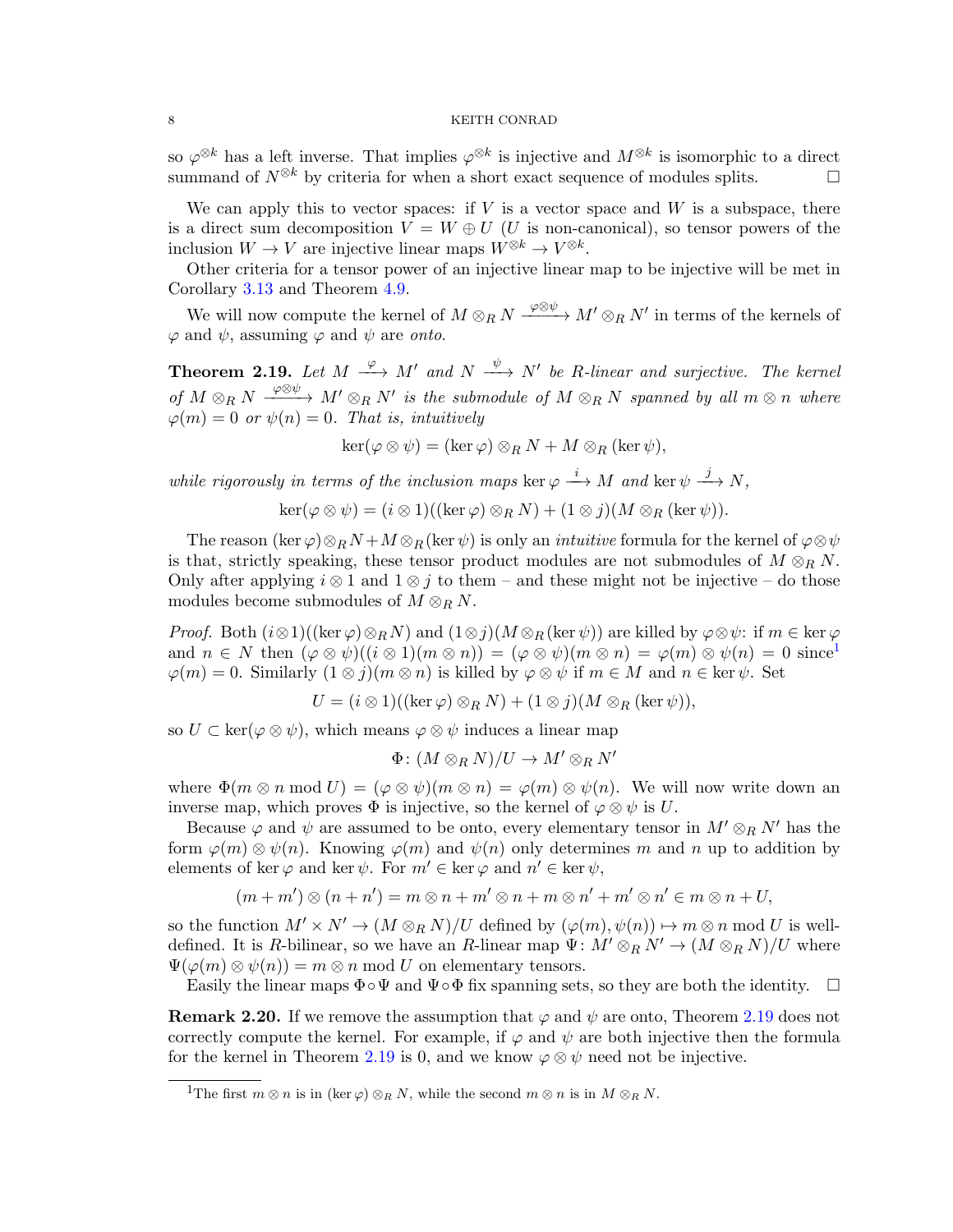so  $\varphi^{\otimes k}$  has a left inverse. That implies  $\varphi^{\otimes k}$  is injective and  $M^{\otimes k}$  is isomorphic to a direct summand of  $N^{\otimes k}$  by criteria for when a short exact sequence of modules splits.

We can apply this to vector spaces: if  $V$  is a vector space and  $W$  is a subspace, there is a direct sum decomposition  $V = W \oplus U$  (U is non-canonical), so tensor powers of the inclusion  $W \to V$  are injective linear maps  $W^{\otimes k} \to V^{\otimes k}$ .

Other criteria for a tensor power of an injective linear map to be injective will be met in Corollary [3.13](#page-12-0) and Theorem [4.9.](#page-15-0)

We will now compute the kernel of  $M \otimes_R N \xrightarrow{\varphi \otimes \psi} M' \otimes_R N'$  in terms of the kernels of  $\varphi$  and  $\psi$ , assuming  $\varphi$  and  $\psi$  are onto.

<span id="page-7-1"></span>**Theorem 2.19.** Let  $M \xrightarrow{\varphi} M'$  and  $N \xrightarrow{\psi} N'$  be R-linear and surjective. The kernel of  $M \otimes_R N \xrightarrow{\varphi \otimes \psi} M' \otimes_R N'$  is the submodule of  $M \otimes_R N$  spanned by all  $m \otimes n$  where  $\varphi(m) = 0$  or  $\psi(n) = 0$ . That is, intuitively

$$
\ker(\varphi \otimes \psi) = (\ker \varphi) \otimes_R N + M \otimes_R (\ker \psi),
$$

while rigorously in terms of the inclusion maps ker  $\varphi \stackrel{i}{\longrightarrow} M$  and ker  $\psi \stackrel{j}{\longrightarrow} N$ ,

$$
\ker(\varphi \otimes \psi) = (i \otimes 1)((\ker \varphi) \otimes_R N) + (1 \otimes j)(M \otimes_R (\ker \psi)).
$$

The reason (ker  $\varphi$ )⊗RN +  $M \otimes_R$  (ker  $\psi$ ) is only an *intuitive* formula for the kernel of  $\varphi \otimes \psi$ is that, strictly speaking, these tensor product modules are not submodules of  $M \otimes_R N$ . Only after applying  $i \otimes 1$  and  $1 \otimes j$  to them – and these might not be injective – do those modules become submodules of  $M \otimes_R N$ .

*Proof.* Both  $(i\otimes 1)((\ker \varphi) \otimes_R N)$  and  $(1\otimes j)(M \otimes_R (\ker \psi))$  are killed by  $\varphi \otimes \psi$ : if  $m \in \ker \varphi$ and  $n \in N$  then  $(\varphi \otimes \psi)((i \otimes 1)(m \otimes n)) = (\varphi \otimes \psi)(m \otimes n) = \varphi(m) \otimes \psi(n) = 0$  $(\varphi \otimes \psi)((i \otimes 1)(m \otimes n)) = (\varphi \otimes \psi)(m \otimes n) = \varphi(m) \otimes \psi(n) = 0$  $(\varphi \otimes \psi)((i \otimes 1)(m \otimes n)) = (\varphi \otimes \psi)(m \otimes n) = \varphi(m) \otimes \psi(n) = 0$  since<sup>1</sup>  $\varphi(m) = 0$ . Similarly  $(1 \otimes j)(m \otimes n)$  is killed by  $\varphi \otimes \psi$  if  $m \in M$  and  $n \in \text{ker } \psi$ . Set

$$
U = (i \otimes 1)((\ker \varphi) \otimes_R N) + (1 \otimes j)(M \otimes_R (\ker \psi)),
$$

so  $U \subset \text{ker}(\varphi \otimes \psi)$ , which means  $\varphi \otimes \psi$  induces a linear map

$$
\Phi\colon (M\otimes_R N)/U\to M'\otimes_R N'
$$

where  $\Phi(m \otimes n \mod U) = (\varphi \otimes \psi)(m \otimes n) = \varphi(m) \otimes \psi(n)$ . We will now write down an inverse map, which proves  $\Phi$  is injective, so the kernel of  $\varphi \otimes \psi$  is U.

Because  $\varphi$  and  $\psi$  are assumed to be onto, every elementary tensor in  $M' \otimes_R N'$  has the form  $\varphi(m) \otimes \psi(n)$ . Knowing  $\varphi(m)$  and  $\psi(n)$  only determines m and n up to addition by elements of ker  $\varphi$  and ker  $\psi$ . For  $m' \in \text{ker } \varphi$  and  $n' \in \text{ker } \psi$ ,

$$
(m+m')\otimes (n+n')=m\otimes n+m'\otimes n+m\otimes n'+m'\otimes n'\in m\otimes n+U,
$$

so the function  $M' \times N' \to (M \otimes_R N)/U$  defined by  $(\varphi(m), \psi(n)) \mapsto m \otimes n \text{ mod } U$  is welldefined. It is R-bilinear, so we have an R-linear map  $\Psi: M' \otimes_R N' \to (M \otimes_R N)/U$  where  $\Psi(\varphi(m) \otimes \psi(n)) = m \otimes n \text{ mod } U$  on elementary tensors.

Easily the linear maps  $\Phi \circ \Psi$  and  $\Psi \circ \Phi$  fix spanning sets, so they are both the identity.  $\Box$ 

**Remark 2.20.** If we remove the assumption that  $\varphi$  and  $\psi$  are onto, Theorem [2.19](#page-7-1) does not correctly compute the kernel. For example, if  $\varphi$  and  $\psi$  are both injective then the formula for the kernel in Theorem [2.19](#page-7-1) is 0, and we know  $\varphi \otimes \psi$  need not be injective.

<span id="page-7-0"></span><sup>&</sup>lt;sup>1</sup>The first  $m \otimes n$  is in (ker  $\varphi$ )  $\otimes_R N$ , while the second  $m \otimes n$  is in  $M \otimes_R N$ .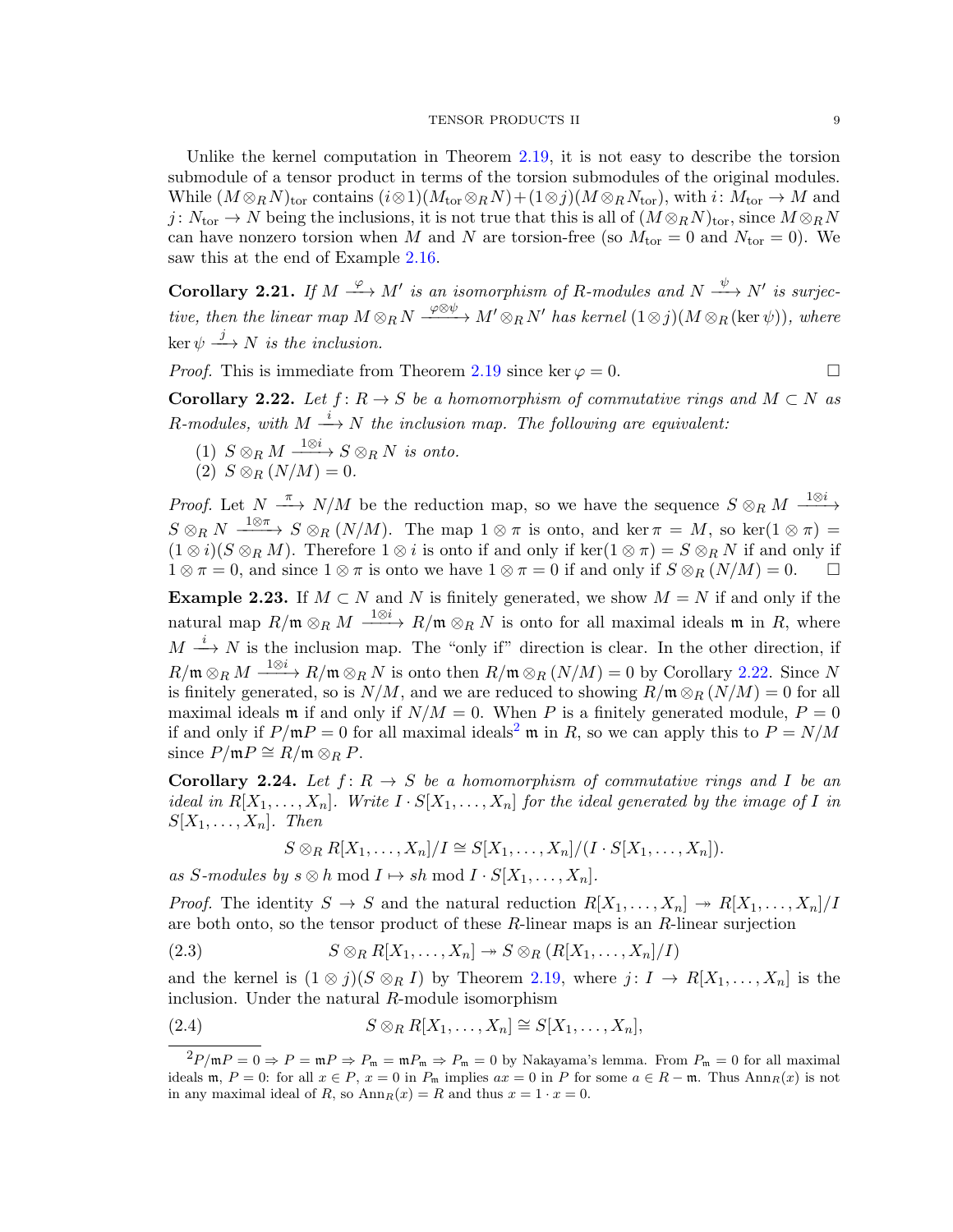Unlike the kernel computation in Theorem [2.19,](#page-7-1) it is not easy to describe the torsion submodule of a tensor product in terms of the torsion submodules of the original modules. While  $(M \otimes_R N)_{\text{tor}}$  contains  $(i \otimes 1)(M_{\text{tor}} \otimes_R N) + (1 \otimes j)(M \otimes_R N_{\text{tor}})$ , with  $i: M_{\text{tor}} \to M$  and j:  $N_{\text{tor}} \to N$  being the inclusions, it is not true that this is all of  $(M \otimes_R N)_{\text{tor}}$ , since  $M \otimes_R N$ can have nonzero torsion when M and N are torsion-free (so  $M_{\text{tor}} = 0$  and  $N_{\text{tor}} = 0$ ). We saw this at the end of Example [2.16.](#page-6-1)

<span id="page-8-4"></span>**Corollary 2.21.** If  $M \xrightarrow{\varphi} M'$  is an isomorphism of R-modules and  $N \xrightarrow{\psi} N'$  is surjective, then the linear map  $M\otimes_R N \xrightarrow{\varphi\otimes\psi} M'\otimes_R N'$  has kernel  $(1\otimes j)(M\otimes_R (\ker\psi)),$  where  $\ker \psi \stackrel{j}{\longrightarrow} N$  is the inclusion.

*Proof.* This is immediate from Theorem [2.19](#page-7-1) since ker  $\varphi = 0$ .

<span id="page-8-0"></span>**Corollary 2.22.** Let  $f: R \to S$  be a homomorphism of commutative rings and  $M \subset N$  as R-modules, with  $M \stackrel{i}{\longrightarrow} N$  the inclusion map. The following are equivalent:

- (1)  $S \otimes_R M \xrightarrow{1 \otimes i} S \otimes_R N$  is onto.
- (2)  $S \otimes_R (N/M) = 0.$

*Proof.* Let  $N \xrightarrow{\pi} N/M$  be the reduction map, so we have the sequence  $S \otimes_R M \xrightarrow{1 \otimes i} N$  $S \otimes_R N \xrightarrow{1 \otimes \pi} S \otimes_R (N/M)$ . The map  $1 \otimes \pi$  is onto, and ker  $\pi = M$ , so ker $(1 \otimes \pi) =$  $(1 \otimes i)(S \otimes_R M)$ . Therefore  $1 \otimes i$  is onto if and only if ker $(1 \otimes \pi) = S \otimes_R N$  if and only if  $1 \otimes \pi = 0$ , and since  $1 \otimes \pi$  is onto we have  $1 \otimes \pi = 0$  if and only if  $S \otimes_R (N/M) = 0$ .

Example 2.23. If  $M \subset N$  and N is finitely generated, we show  $M = N$  if and only if the natural map  $R/\mathfrak{m} \otimes_R M \xrightarrow{1 \otimes i} R/\mathfrak{m} \otimes_R N$  is onto for all maximal ideals  $\mathfrak{m}$  in R, where  $M \stackrel{i}{\longrightarrow} N$  is the inclusion map. The "only if" direction is clear. In the other direction, if  $R/\mathfrak{m} \otimes_R M \xrightarrow{1 \otimes i} R/\mathfrak{m} \otimes_R N$  is onto then  $R/\mathfrak{m} \otimes_R (N/M) = 0$  by Corollary [2.22.](#page-8-0) Since N is finitely generated, so is  $N/M$ , and we are reduced to showing  $R/\mathfrak{m} \otimes_R (N/M) = 0$  for all maximal ideals m if and only if  $N/M = 0$ . When P is a finitely generated module,  $P = 0$ if and only if  $P/\mathfrak{m}P = 0$  for all maximal ideals<sup>[2](#page-8-1)</sup> m in R, so we can apply this to  $P = N/M$ since  $P/\mathfrak{m}P \cong R/\mathfrak{m} \otimes_R P$ .

<span id="page-8-5"></span>**Corollary 2.24.** Let  $f: R \to S$  be a homomorphism of commutative rings and I be an ideal in  $R[X_1, \ldots, X_n]$ . Write  $I \cdot S[X_1, \ldots, X_n]$  for the ideal generated by the image of I in  $S[X_1, \ldots, X_n]$ . Then

<span id="page-8-3"></span><span id="page-8-2"></span>
$$
S \otimes_R R[X_1,\ldots,X_n]/I \cong S[X_1,\ldots,X_n]/(I \cdot S[X_1,\ldots,X_n]).
$$

as S-modules by  $s \otimes h \mod I \mapsto sh \mod I \cdot S[X_1, \ldots, X_n].$ 

*Proof.* The identity  $S \to S$  and the natural reduction  $R[X_1, \ldots, X_n] \to R[X_1, \ldots, X_n]/I$ are both onto, so the tensor product of these  $R$ -linear maps is an  $R$ -linear surjection

(2.3)  $S \otimes_R R[X_1, \ldots, X_n] \rightarrow S \otimes_R (R[X_1, \ldots, X_n]/I)$ 

and the kernel is  $(1 \otimes j)(S \otimes_R I)$  by Theorem [2.19,](#page-7-1) where  $j: I \to R[X_1, \ldots, X_n]$  is the inclusion. Under the natural R-module isomorphism

(2.4) 
$$
S \otimes_R R[X_1,\ldots,X_n] \cong S[X_1,\ldots,X_n],
$$

<span id="page-8-1"></span> $^{2}P/\mathfrak{m}P = 0 \Rightarrow P = \mathfrak{m}P \Rightarrow P_{\mathfrak{m}} = \mathfrak{m}P_{\mathfrak{m}} \Rightarrow P_{\mathfrak{m}} = 0$  by Nakayama's lemma. From  $P_{\mathfrak{m}} = 0$  for all maximal ideals m,  $P = 0$ : for all  $x \in P$ ,  $x = 0$  in  $P_m$  implies  $ax = 0$  in P for some  $a \in R - m$ . Thus  $Ann_R(x)$  is not in any maximal ideal of R, so  $\text{Ann}_R(x) = R$  and thus  $x = 1 \cdot x = 0$ .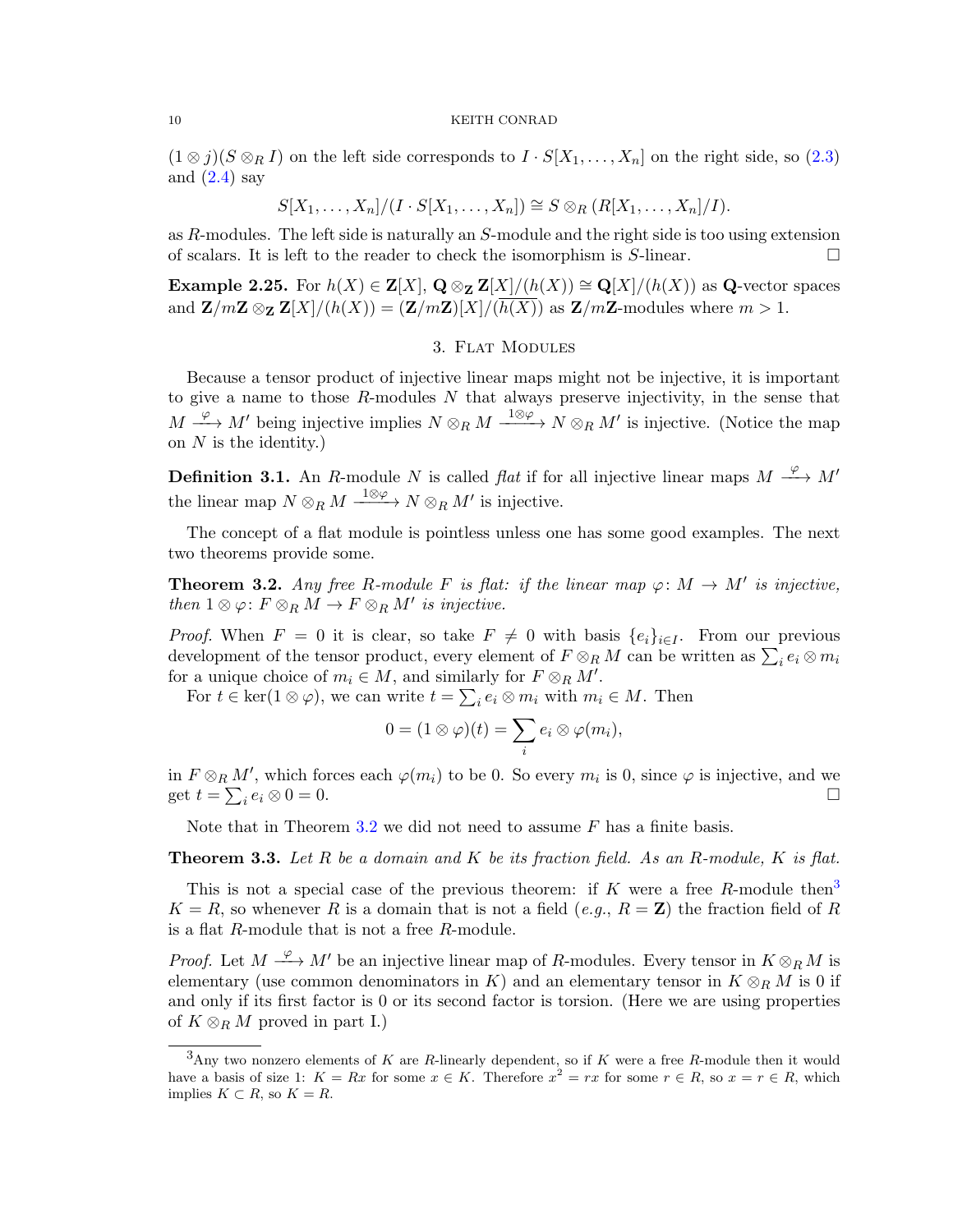$(1 \otimes j)(S \otimes_R I)$  on the left side corresponds to  $I \cdot S[X_1, \ldots, X_n]$  on the right side, so  $(2.3)$ and  $(2.4)$  say

$$
S[X_1,\ldots,X_n]/(I\cdot S[X_1,\ldots,X_n])\cong S\otimes_R (R[X_1,\ldots,X_n]/I).
$$

as  $R$ -modules. The left side is naturally an  $S$ -module and the right side is too using extension of scalars. It is left to the reader to check the isomorphism is S-linear.

Example 2.25. For  $h(X) \in \mathbf{Z}[X], \mathbf{Q} \otimes_{\mathbf{Z}} \mathbf{Z}[X]/(h(X)) \cong \mathbf{Q}[X]/(h(X))$  as Q-vector spaces and  $\mathbf{Z}/m\mathbf{Z} \otimes_{\mathbf{Z}} \mathbf{Z}[X]/(h(X)) = (\mathbf{Z}/m\mathbf{Z})[X]/(\overline{h(X)})$  as  $\mathbf{Z}/m\mathbf{Z}$ -modules where  $m > 1$ .

# 3. Flat Modules

Because a tensor product of injective linear maps might not be injective, it is important to give a name to those  $R$ -modules  $N$  that always preserve injectivity, in the sense that  $M \xrightarrow{\varphi} M'$  being injective implies  $N \otimes_R M \xrightarrow{1 \otimes \varphi} N \otimes_R M'$  is injective. (Notice the map on  $N$  is the identity.)

**Definition 3.1.** An R-module N is called flat if for all injective linear maps  $M \xrightarrow{\varphi} M'$ the linear map  $N \otimes_R M \xrightarrow{1 \otimes \varphi} N \otimes_R M'$  is injective.

The concept of a flat module is pointless unless one has some good examples. The next two theorems provide some.

<span id="page-9-0"></span>**Theorem 3.2.** Any free R-module F is flat: if the linear map  $\varphi: M \to M'$  is injective, then  $1 \otimes \varphi \colon F \otimes_R M \to F \otimes_R M'$  is injective.

*Proof.* When  $F = 0$  it is clear, so take  $F \neq 0$  with basis  $\{e_i\}_{i \in I}$ . From our previous development of the tensor product, every element of  $F \otimes_R M$  can be written as  $\sum_i e_i \otimes m_i$ for a unique choice of  $m_i \in M$ , and similarly for  $F \otimes_R M'$ .

For  $t \in \text{ker}(1 \otimes \varphi)$ , we can write  $t = \sum_i e_i \otimes m_i$  with  $m_i \in M$ . Then

$$
0=(1\otimes\varphi)(t)=\sum_ie_i\otimes\varphi(m_i),
$$

in  $F \otimes_R M'$ , which forces each  $\varphi(m_i)$  to be 0. So every  $m_i$  is 0, since  $\varphi$  is injective, and we get  $t = \sum_i e_i \otimes 0 = 0$ .

Note that in Theorem [3.2](#page-9-0) we did not need to assume  $F$  has a finite basis.

<span id="page-9-2"></span>**Theorem 3.3.** Let R be a domain and K be its fraction field. As an R-module, K is flat.

This is not a special case of the previous theorem: if K were a free R-module then<sup>[3](#page-9-1)</sup>  $K = R$ , so whenever R is a domain that is not a field (e.g.,  $R = \mathbf{Z}$ ) the fraction field of R is a flat R-module that is not a free R-module.

*Proof.* Let  $M \xrightarrow{\varphi} M'$  be an injective linear map of R-modules. Every tensor in  $K \otimes_R M$  is elementary (use common denominators in K) and an elementary tensor in  $K \otimes_R M$  is 0 if and only if its first factor is 0 or its second factor is torsion. (Here we are using properties of  $K \otimes_R M$  proved in part I.)

<span id="page-9-1"></span> $3$ Any two nonzero elements of K are R-linearly dependent, so if K were a free R-module then it would have a basis of size 1:  $K = Rx$  for some  $x \in K$ . Therefore  $x^2 = rx$  for some  $r \in R$ , so  $x = r \in R$ , which implies  $K \subset R$ , so  $K = R$ .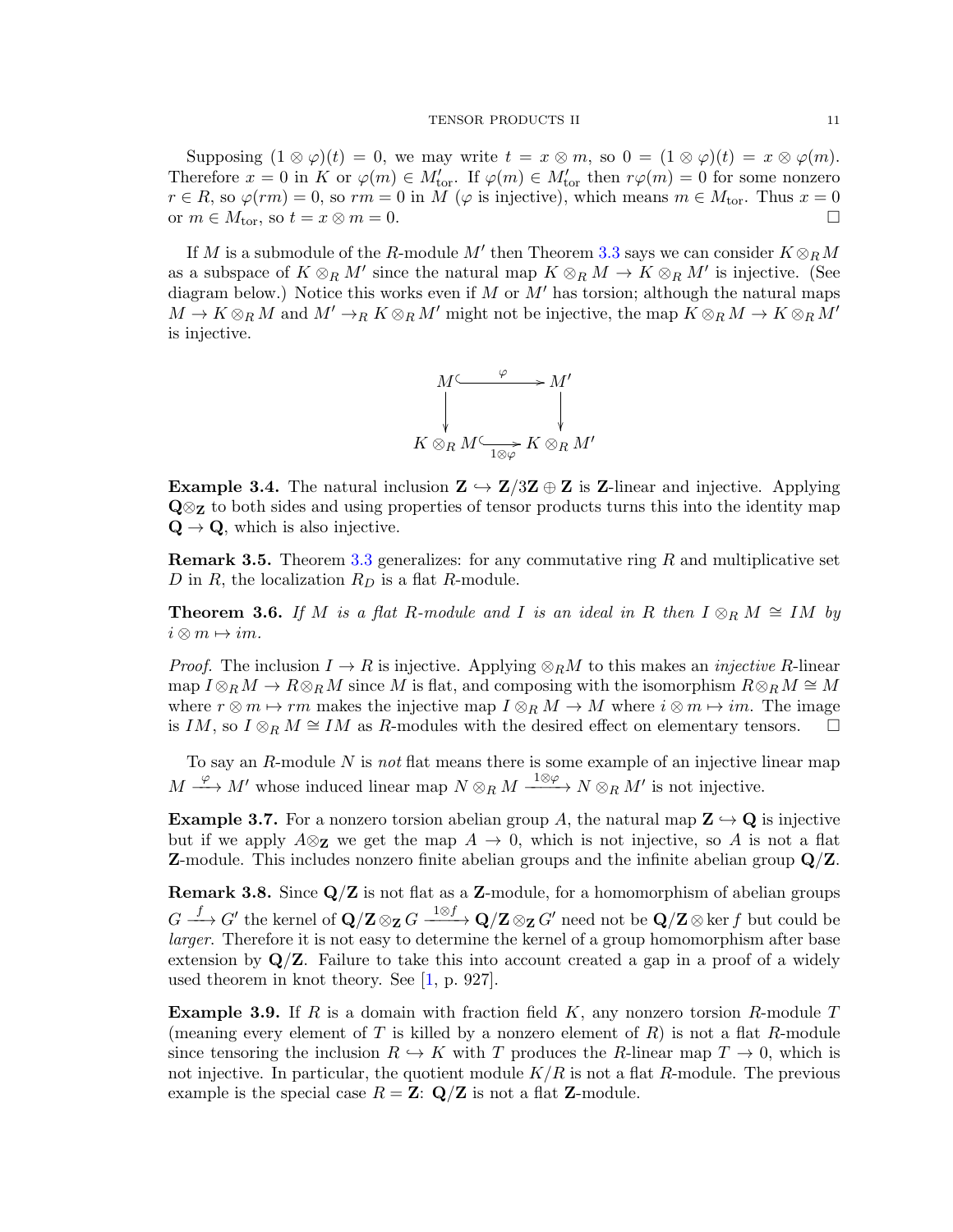Supposing  $(1 \otimes \varphi)(t) = 0$ , we may write  $t = x \otimes m$ , so  $0 = (1 \otimes \varphi)(t) = x \otimes \varphi(m)$ . Therefore  $x = 0$  in K or  $\varphi(m) \in M'_{\text{tor}}$ . If  $\varphi(m) \in M'_{\text{tor}}$  then  $r\varphi(m) = 0$  for some nonzero  $r \in R$ , so  $\varphi(rm) = 0$ , so  $rm = 0$  in M ( $\varphi$  is injective), which means  $m \in M_{\text{tor}}$ . Thus  $x = 0$ or  $m \in M_{\text{tor}}$ , so  $t = x \otimes m = 0$ .

If M is a submodule of the R-module M' then Theorem [3.3](#page-9-2) says we can consider  $K \otimes_R M$ as a subspace of  $K \otimes_R M'$  since the natural map  $K \otimes_R M \to K \otimes_R M'$  is injective. (See diagram below.) Notice this works even if M or  $M'$  has torsion; although the natural maps  $M \to K \otimes_R M$  and  $M' \to_R K \otimes_R M'$  might not be injective, the map  $K \otimes_R M \to K \otimes_R M'$ is injective.



**Example 3.4.** The natural inclusion  $\mathbf{Z} \hookrightarrow \mathbf{Z}/3\mathbf{Z} \oplus \mathbf{Z}$  is **Z**-linear and injective. Applying  $\mathbf{Q} \otimes_{\mathbf{Z}}$  to both sides and using properties of tensor products turns this into the identity map  $\mathbf{Q} \rightarrow \mathbf{Q}$ , which is also injective.

**Remark 3.5.** Theorem [3.3](#page-9-2) generalizes: for any commutative ring  $R$  and multiplicative set D in R, the localization  $R_D$  is a flat R-module.

**Theorem 3.6.** If M is a flat R-module and I is an ideal in R then  $I \otimes_R M \cong IM$  by  $i \otimes m \mapsto im$ .

*Proof.* The inclusion  $I \to R$  is injective. Applying  $\otimes_R M$  to this makes an *injective R*-linear map  $I \otimes_R M \to R \otimes_R M$  since M is flat, and composing with the isomorphism  $R \otimes_R M \cong M$ where  $r \otimes m \mapsto rm$  makes the injective map  $I \otimes_R M \to M$  where  $i \otimes m \mapsto im$ . The image is IM, so I ⊗R  $M \cong IM$  as R-modules with the desired effect on elementary tensors.  $\Box$ 

To say an  $R$ -module  $N$  is not flat means there is some example of an injective linear map  $M \xrightarrow{\varphi} M'$  whose induced linear map  $N \otimes_R M \xrightarrow{1 \otimes \varphi} N \otimes_R M'$  is not injective.

**Example 3.7.** For a nonzero torsion abelian group A, the natural map  $\mathbf{Z} \hookrightarrow \mathbf{Q}$  is injective but if we apply  $A\otimes_{\mathbf{Z}}$  we get the map  $A \to 0$ , which is not injective, so A is not a flat **Z**-module. This includes nonzero finite abelian groups and the infinite abelian group  $\mathbf{Q}/\mathbf{Z}$ .

**Remark 3.8.** Since  $Q/Z$  is not flat as a Z-module, for a homomorphism of abelian groups  $G\stackrel{f}{\longrightarrow} G'$  the kernel of  $\mathbf{Q}/\mathbf{Z}\otimes_{\mathbf{Z}}G\stackrel{1\otimes f}{\longrightarrow} \mathbf{Q}/\mathbf{Z}\otimes_{\mathbf{Z}}G'$  need not be  $\mathbf{Q}/\mathbf{Z}\otimes$  ker f but could be larger. Therefore it is not easy to determine the kernel of a group homomorphism after base extension by  $\mathbf{Q}/\mathbf{Z}$ . Failure to take this into account created a gap in a proof of a widely used theorem in knot theory. See [\[1,](#page-41-1) p. 927].

**Example 3.9.** If R is a domain with fraction field K, any nonzero torsion R-module T (meaning every element of T is killed by a nonzero element of  $R$ ) is not a flat R-module since tensoring the inclusion  $R \hookrightarrow K$  with T produces the R-linear map  $T \to 0$ , which is not injective. In particular, the quotient module  $K/R$  is not a flat R-module. The previous example is the special case  $R = \mathbf{Z}: \mathbf{Q}/\mathbf{Z}$  is not a flat **Z**-module.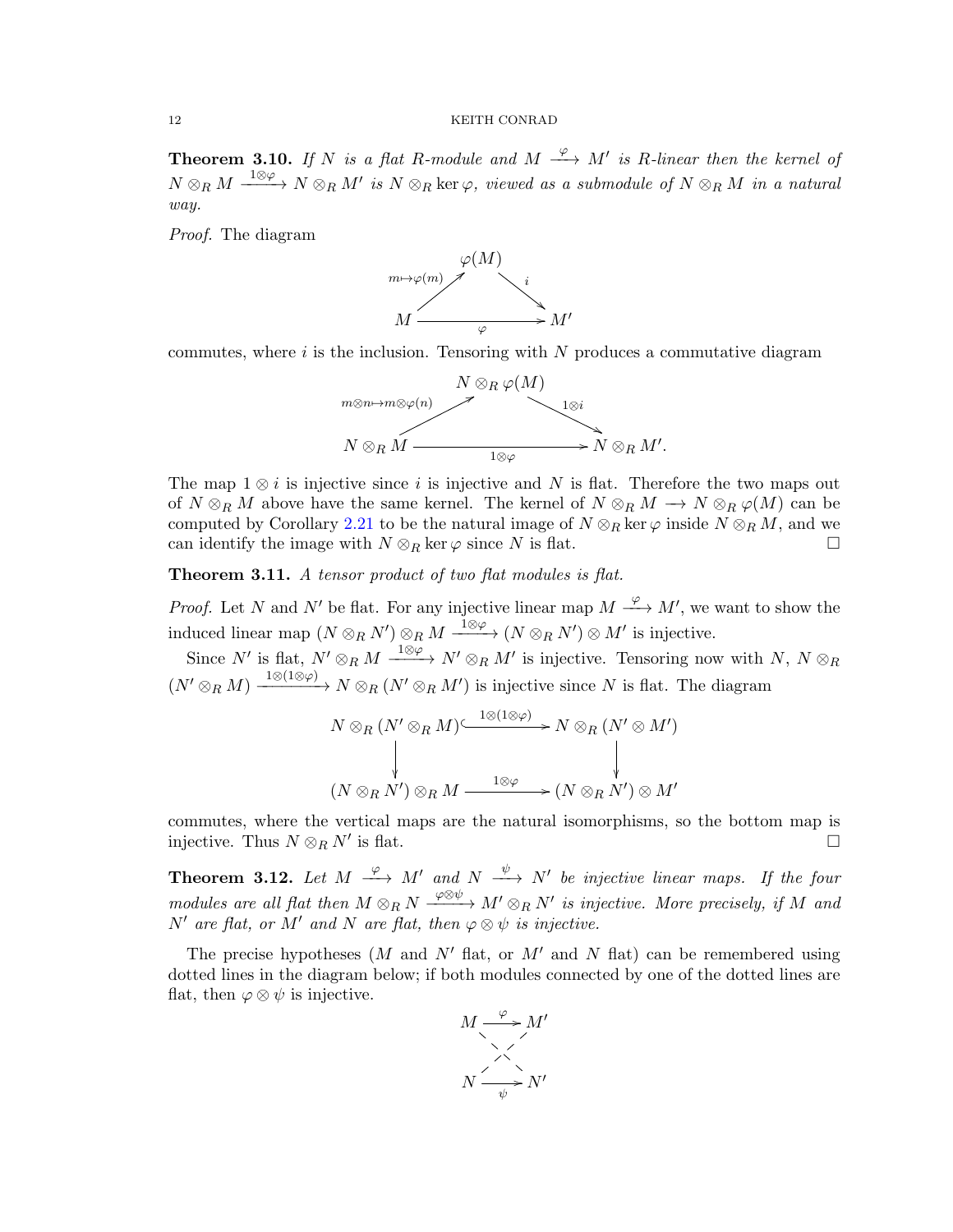**Theorem 3.10.** If N is a flat R-module and  $M \xrightarrow{\varphi} M'$  is R-linear then the kernel of  $N \otimes_R M \xrightarrow{1 \otimes \varphi} N \otimes_R M'$  is  $N \otimes_R \ker \varphi$ , viewed as a submodule of  $N \otimes_R M$  in a natural way.

Proof. The diagram



commutes, where  $i$  is the inclusion. Tensoring with  $N$  produces a commutative diagram



The map  $1 \otimes i$  is injective since i is injective and N is flat. Therefore the two maps out of  $N \otimes_R M$  above have the same kernel. The kernel of  $N \otimes_R M \longrightarrow N \otimes_R \varphi(M)$  can be computed by Corollary [2.21](#page-8-4) to be the natural image of  $N \otimes_R \ker \varphi$  inside  $N \otimes_R M$ , and we can identify the image with  $N \otimes_R \ker \varphi$  since N is flat.

<span id="page-11-0"></span>Theorem 3.11. A tensor product of two flat modules is flat.

*Proof.* Let N and N' be flat. For any injective linear map  $M \xrightarrow{\varphi} M'$ , we want to show the induced linear map  $(N \otimes_R N') \otimes_R M \xrightarrow{1 \otimes \varphi} (N \otimes_R N') \otimes M'$  is injective.

Since N' is flat,  $N' \otimes_R M \xrightarrow{1 \otimes \varphi} N' \otimes_R M'$  is injective. Tensoring now with  $N, N \otimes_R M$  $(N' \otimes_R M) \xrightarrow{1 \otimes (1 \otimes \varphi)} N \otimes_R (N' \otimes_R M')$  is injective since N is flat. The diagram

$$
N \otimes_R (N' \otimes_R M) \xrightarrow{1 \otimes (1 \otimes \varphi)} N \otimes_R (N' \otimes M')
$$
  
\n
$$
\downarrow \qquad \qquad \downarrow
$$
  
\n
$$
(N \otimes_R N') \otimes_R M \xrightarrow{1 \otimes \varphi} (N \otimes_R N') \otimes M'
$$

commutes, where the vertical maps are the natural isomorphisms, so the bottom map is injective. Thus  $N \otimes_R N'$  is flat. is flat.  $\Box$ 

**Theorem 3.12.** Let  $M \xrightarrow{\varphi} M'$  and  $N \xrightarrow{\psi} N'$  be injective linear maps. If the four modules are all flat then  $M \otimes_R N \xrightarrow{\varphi \otimes \psi} M' \otimes_R N'$  is injective. More precisely, if M and N' are flat, or M' and N are flat, then  $\varphi \otimes \psi$  is injective.

The precise hypotheses (M and N' flat, or M' and N flat) can be remembered using dotted lines in the diagram below; if both modules connected by one of the dotted lines are flat, then  $\varphi \otimes \psi$  is injective.

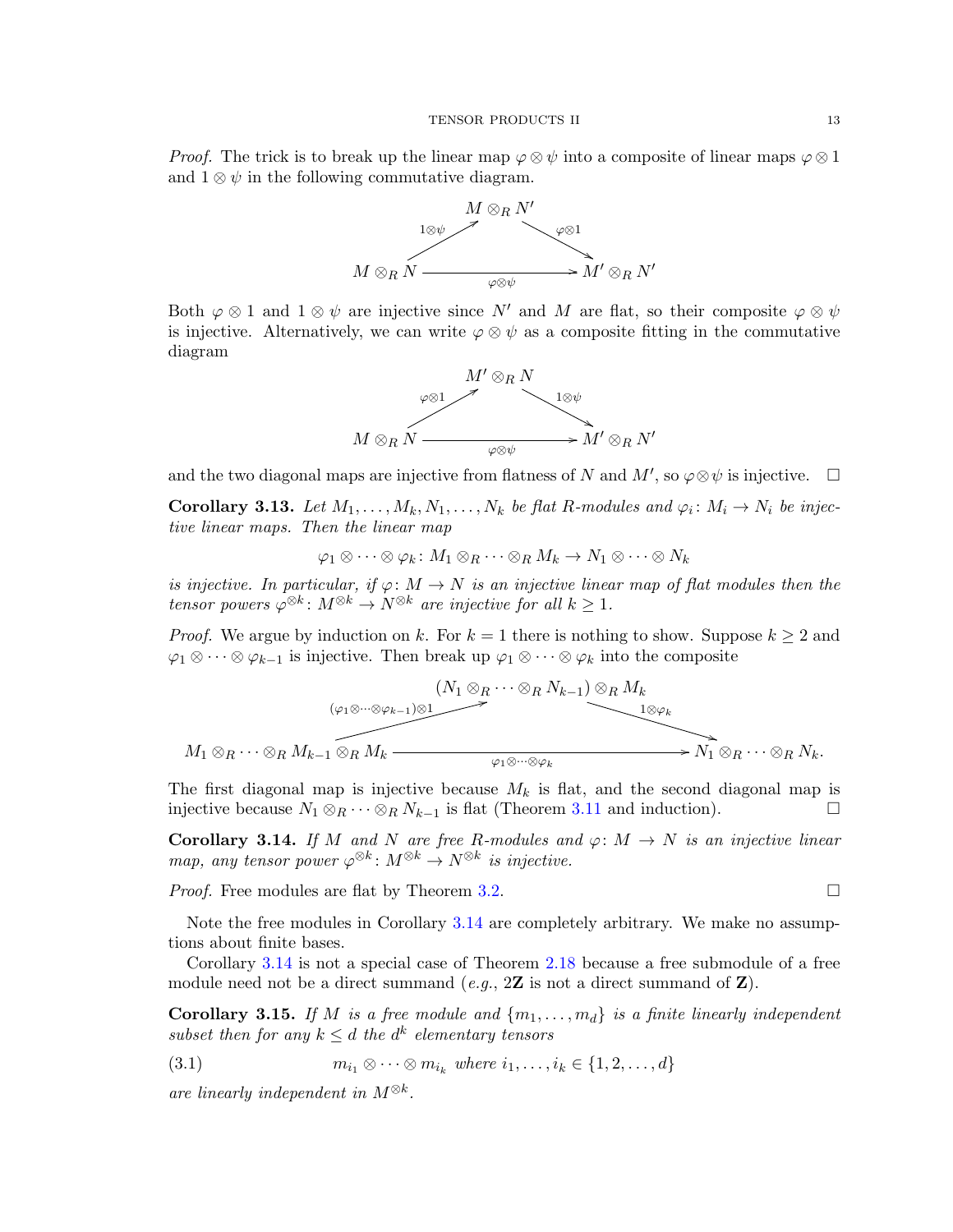*Proof.* The trick is to break up the linear map  $\varphi \otimes \psi$  into a composite of linear maps  $\varphi \otimes 1$ and  $1 \otimes \psi$  in the following commutative diagram.



Both  $\varphi \otimes 1$  and  $1 \otimes \psi$  are injective since N' and M are flat, so their composite  $\varphi \otimes \psi$ is injective. Alternatively, we can write  $\varphi \otimes \psi$  as a composite fitting in the commutative diagram



and the two diagonal maps are injective from flatness of N and M', so  $\varphi \otimes \psi$  is injective.  $\Box$ 

<span id="page-12-0"></span>**Corollary 3.13.** Let  $M_1, \ldots, M_k, N_1, \ldots, N_k$  be flat R-modules and  $\varphi_i \colon M_i \to N_i$  be injective linear maps. Then the linear map

$$
\varphi_1 \otimes \cdots \otimes \varphi_k \colon M_1 \otimes_R \cdots \otimes_R M_k \to N_1 \otimes \cdots \otimes N_k
$$

is injective. In particular, if  $\varphi \colon M \to N$  is an injective linear map of flat modules then the tensor powers  $\varphi^{\otimes k} \colon M^{\otimes k} \to N^{\otimes k}$  are injective for all  $k \geq 1$ .

*Proof.* We argue by induction on k. For  $k = 1$  there is nothing to show. Suppose  $k \geq 2$  and  $\varphi_1 \otimes \cdots \otimes \varphi_{k-1}$  is injective. Then break up  $\varphi_1 \otimes \cdots \otimes \varphi_k$  into the composite

$$
(N_1 \otimes_R \cdots \otimes_R N_{k-1}) \otimes_R M_k
$$
  
\n
$$
(N_1 \otimes_R \cdots \otimes_R N_{k-1}) \otimes_R M_k
$$
  
\n
$$
M_1 \otimes_R \cdots \otimes_R M_{k-1} \otimes_R M_k
$$
  
\n
$$
\longrightarrow N_1 \otimes_R \cdots \otimes_R N_k.
$$

The first diagonal map is injective because  $M_k$  is flat, and the second diagonal map is injective because  $N_1 \otimes_R \cdots \otimes_R N_{k-1}$  is flat (Theorem [3.11](#page-11-0) and induction).

<span id="page-12-1"></span>**Corollary 3.14.** If M and N are free R-modules and  $\varphi: M \to N$  is an injective linear map, any tensor power  $\varphi^{\otimes k} \colon M^{\otimes k} \to N^{\otimes k}$  is injective.

*Proof.* Free modules are flat by Theorem [3.2.](#page-9-0)

Note the free modules in Corollary [3.14](#page-12-1) are completely arbitrary. We make no assumptions about finite bases.

Corollary [3.14](#page-12-1) is not a special case of Theorem [2.18](#page-6-2) because a free submodule of a free module need not be a direct summand  $(e.g., 2\mathbf{Z})$  is not a direct summand of  $\mathbf{Z}$ ).

<span id="page-12-3"></span>**Corollary 3.15.** If M is a free module and  $\{m_1, \ldots, m_d\}$  is a finite linearly independent subset then for any  $k \leq d$  the  $d^k$  elementary tensors

<span id="page-12-2"></span>
$$
(3.1) \t m_{i_1} \otimes \cdots \otimes m_{i_k} \text{ where } i_1, \ldots, i_k \in \{1, 2, \ldots, d\}
$$

are linearly independent in  $M^{\otimes k}$ .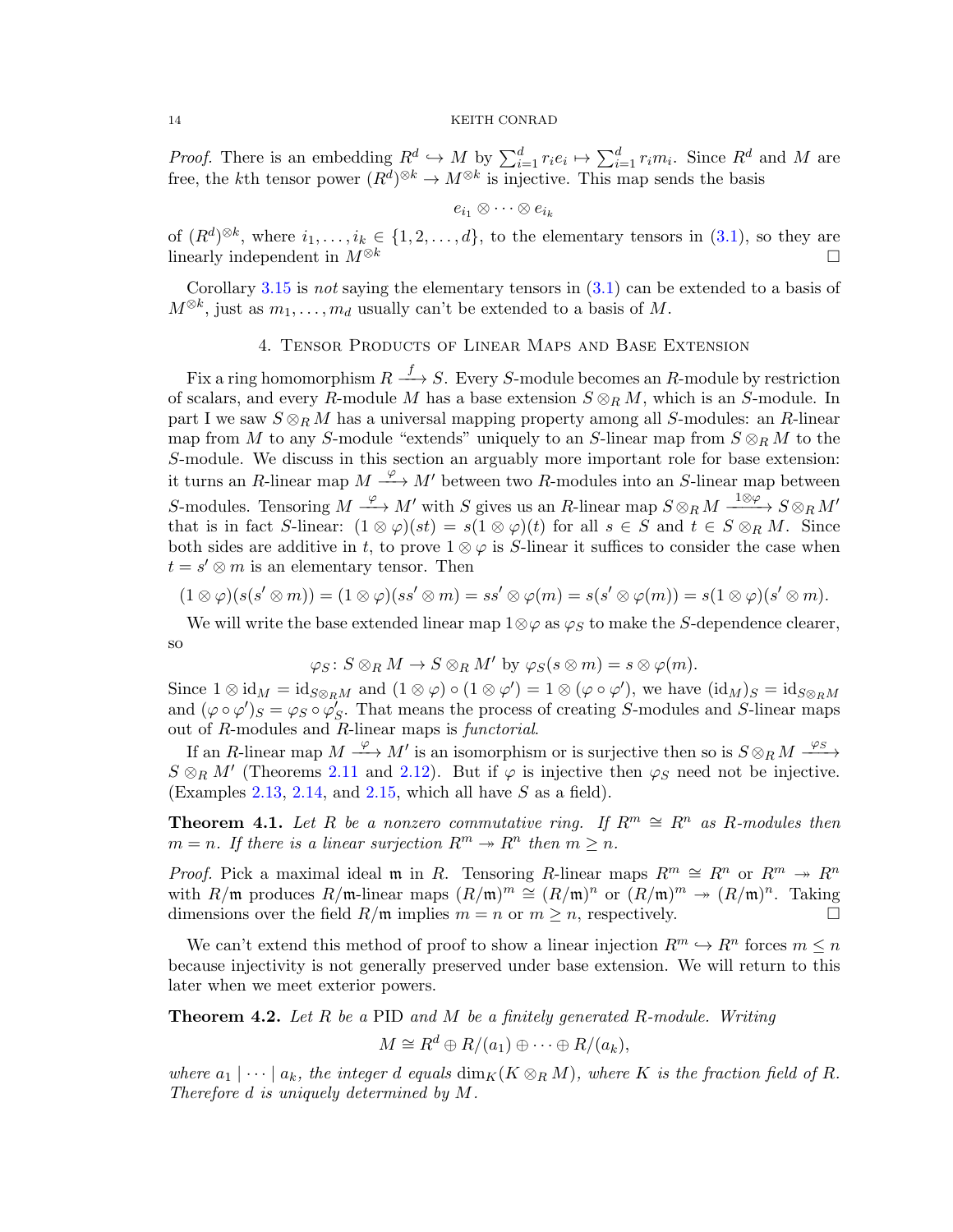*Proof.* There is an embedding  $R^d \hookrightarrow M$  by  $\sum_{i=1}^d r_i e_i \mapsto \sum_{i=1}^d r_i m_i$ . Since  $R^d$  and M are free, the kth tensor power  $(R^d)^{\otimes k} \to M^{\otimes k}$  is injective. This map sends the basis

$$
e_{i_1}\otimes\cdots\otimes e_{i_k}
$$

of  $(R^d)^{\otimes k}$ , where  $i_1, \ldots, i_k \in \{1, 2, \ldots, d\}$ , to the elementary tensors in  $(3.1)$ , so they are linearly independent in  $M^{\otimes k}$ 

Corollary [3.15](#page-12-3) is not saying the elementary tensors in  $(3.1)$  can be extended to a basis of  $M^{\otimes k}$ , just as  $m_1, \ldots, m_d$  usually can't be extended to a basis of M.

# 4. Tensor Products of Linear Maps and Base Extension

<span id="page-13-0"></span>Fix a ring homomorphism  $R \stackrel{f}{\longrightarrow} S$ . Every S-module becomes an R-module by restriction of scalars, and every R-module M has a base extension  $S \otimes_R M$ , which is an S-module. In part I we saw  $S \otimes_R M$  has a universal mapping property among all S-modules: an R-linear map from M to any S-module "extends" uniquely to an S-linear map from  $S \otimes_R M$  to the S-module. We discuss in this section an arguably more important role for base extension: it turns an R-linear map  $M \xrightarrow{\varphi} M'$  between two R-modules into an S-linear map between S-modules. Tensoring  $M \xrightarrow{\varphi} M'$  with S gives us an R-linear map  $S \otimes_R M \xrightarrow{1 \otimes \varphi} S \otimes_R M'$ that is in fact S-linear:  $(1 \otimes \varphi)(st) = s(1 \otimes \varphi)(t)$  for all  $s \in S$  and  $t \in S \otimes_R M$ . Since both sides are additive in t, to prove  $1 \otimes \varphi$  is S-linear it suffices to consider the case when  $t = s' \otimes m$  is an elementary tensor. Then

$$
(1\otimes \varphi)(s(s'\otimes m))=(1\otimes \varphi)(ss'\otimes m)=ss'\otimes \varphi(m)=s(s'\otimes \varphi(m))=s(1\otimes \varphi)(s'\otimes m).
$$

We will write the base extended linear map  $1\otimes\varphi$  as  $\varphi_S$  to make the S-dependence clearer, so

$$
\varphi_S \colon S \otimes_R M \to S \otimes_R M' \text{ by } \varphi_S(s \otimes m) = s \otimes \varphi(m).
$$

Since  $1 \otimes id_M = id_{S \otimes_R M}$  and  $(1 \otimes \varphi) \circ (1 \otimes \varphi') = 1 \otimes (\varphi \circ \varphi')$ , we have  $(id_M)_S = id_{S \otimes_R M}$ and  $(\varphi \circ \varphi')_S = \varphi_S \circ \varphi'_S$ . That means the process of creating S-modules and S-linear maps out of  $R$ -modules and  $R$ -linear maps is *functorial*.

If an R-linear map  $M \xrightarrow{\varphi} M'$  is an isomorphism or is surjective then so is  $S \otimes_R M \xrightarrow{\varphi_S}$  $S \otimes_R M'$  (Theorems [2.11](#page-5-0) and [2.12\)](#page-5-1). But if  $\varphi$  is injective then  $\varphi_S$  need not be injective. (Examples [2.13,](#page-5-2) [2.14,](#page-5-3) and [2.15,](#page-5-4) which all have  $S$  as a field).

**Theorem 4.1.** Let R be a nonzero commutative ring. If  $R^m \cong R^n$  as R-modules then  $m = n$ . If there is a linear surjection  $R^m \to R^n$  then  $m \geq n$ .

*Proof.* Pick a maximal ideal m in R. Tensoring R-linear maps  $R^m \cong R^n$  or  $R^m \to R^n$ with  $R/\mathfrak{m}$  produces  $R/\mathfrak{m}$ -linear maps  $(R/\mathfrak{m})^m \cong (R/\mathfrak{m})^n$  or  $(R/\mathfrak{m})^m \to (R/\mathfrak{m})^n$ . Taking dimensions over the field  $R/\mathfrak{m}$  implies  $m = n$  or  $m \geq n$ , respectively.

We can't extend this method of proof to show a linear injection  $R^m \hookrightarrow R^n$  forces  $m \leq n$ because injectivity is not generally preserved under base extension. We will return to this later when we meet exterior powers.

**Theorem 4.2.** Let  $R$  be a PID and  $M$  be a finitely generated  $R$ -module. Writing

$$
M \cong R^d \oplus R/(a_1) \oplus \cdots \oplus R/(a_k),
$$

where  $a_1 | \cdots | a_k$ , the integer d equals  $\dim_K(K \otimes_R M)$ , where K is the fraction field of R. Therefore d is uniquely determined by M.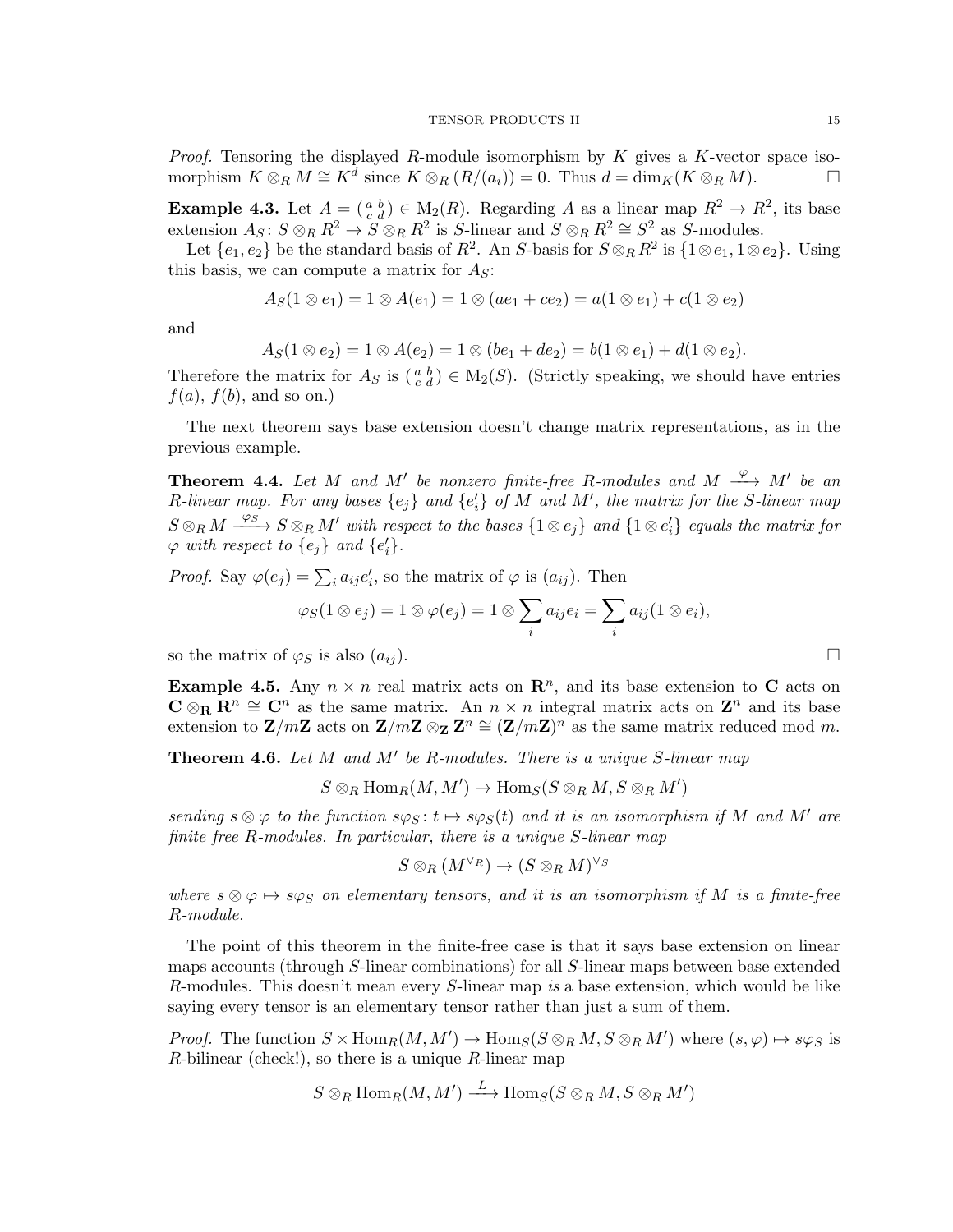*Proof.* Tensoring the displayed  $R$ -module isomorphism by  $K$  gives a  $K$ -vector space isomorphism  $K \otimes_R M \cong K^d$  since  $K \otimes_R (R/(a_i)) = 0$ . Thus  $d = \dim_K (K \otimes_R M)$ .

**Example 4.3.** Let  $A = \begin{pmatrix} a & b \\ c & d \end{pmatrix} \in M_2(R)$ . Regarding A as a linear map  $R^2 \to R^2$ , its base extension  $A_S: S \otimes_R R^2 \to S \otimes_R R^2$  is S-linear and  $S \otimes_R R^2 \cong S^2$  as S-modules.

Let  $\{e_1, e_2\}$  be the standard basis of  $R^2$ . An S-basis for  $S \otimes_R R^2$  is  $\{1 \otimes e_1, 1 \otimes e_2\}$ . Using this basis, we can compute a matrix for  $A<sub>S</sub>$ :

$$
A_S(1 \otimes e_1) = 1 \otimes A(e_1) = 1 \otimes (ae_1 + ce_2) = a(1 \otimes e_1) + c(1 \otimes e_2)
$$

and

$$
A_S(1 \otimes e_2) = 1 \otimes A(e_2) = 1 \otimes (be_1 + de_2) = b(1 \otimes e_1) + d(1 \otimes e_2).
$$

Therefore the matrix for  $A_S$  is  $\left(\begin{smallmatrix} a & b \\ c & d \end{smallmatrix}\right) \in M_2(S)$ . (Strictly speaking, we should have entries  $f(a)$ ,  $f(b)$ , and so on.)

The next theorem says base extension doesn't change matrix representations, as in the previous example.

<span id="page-14-1"></span>**Theorem 4.4.** Let M and M' be nonzero finite-free R-modules and M  $\stackrel{\varphi}{\longrightarrow} M'$  be an R-linear map. For any bases  $\{e_j\}$  and  $\{e_i'\}$  of M and M', the matrix for the S-linear map  $S \otimes_R M \xrightarrow{\varphi_S} S \otimes_R M'$  with respect to the bases  $\{1 \otimes e_j\}$  and  $\{1 \otimes e_i'\}$  equals the matrix for  $\varphi$  with respect to  $\{e_j\}$  and  $\{e'_i\}.$ 

*Proof.* Say  $\varphi(e_j) = \sum_i a_{ij} e'_i$ , so the matrix of  $\varphi$  is  $(a_{ij})$ . Then

$$
\varphi_S(1\otimes e_j)=1\otimes \varphi(e_j)=1\otimes \sum_i a_{ij}e_i=\sum_i a_{ij}(1\otimes e_i),
$$

so the matrix of  $\varphi_S$  is also  $(a_{ij})$ .

**Example 4.5.** Any  $n \times n$  real matrix acts on  $\mathbb{R}^n$ , and its base extension to C acts on  $\mathbf{C} \otimes_{\mathbf{R}} \mathbf{R}^n \cong \mathbf{C}^n$  as the same matrix. An  $n \times n$  integral matrix acts on  $\mathbf{Z}^n$  and its base extension to  $\mathbf{Z}/m\mathbf{Z}$  acts on  $\mathbf{Z}/m\mathbf{Z} \otimes_{\mathbf{Z}} \mathbf{Z}^n \cong (\mathbf{Z}/m\mathbf{Z})^n$  as the same matrix reduced mod m.

<span id="page-14-0"></span>**Theorem 4.6.** Let  $M$  and  $M'$  be R-modules. There is a unique S-linear map

 $S \otimes_R \text{Hom}_R(M, M') \to \text{Hom}_S(S \otimes_R M, S \otimes_R M')$ 

sending  $s \otimes \varphi$  to the function  $s\varphi_S : t \mapsto s\varphi_S(t)$  and it is an isomorphism if M and M' are finite free R-modules. In particular, there is a unique S-linear map

$$
S\otimes_R (M^{\vee_R}) \to (S\otimes_R M)^{\vee_S}
$$

where  $s \otimes \varphi \mapsto s\varphi_S$  on elementary tensors, and it is an isomorphism if M is a finite-free R-module.

The point of this theorem in the finite-free case is that it says base extension on linear maps accounts (through S-linear combinations) for all S-linear maps between base extended R-modules. This doesn't mean every S-linear map is a base extension, which would be like saying every tensor is an elementary tensor rather than just a sum of them.

*Proof.* The function  $S \times \text{Hom}_R(M, M') \to \text{Hom}_S(S \otimes_R M, S \otimes_R M')$  where  $(s, \varphi) \mapsto s\varphi_S$  is  $R$ -bilinear (check!), so there is a unique  $R$ -linear map

$$
S\otimes_R\operatorname{Hom}_R(M,M')\stackrel{L}{\longrightarrow}\operatorname{Hom}_S(S\otimes_R M,S\otimes_R M')
$$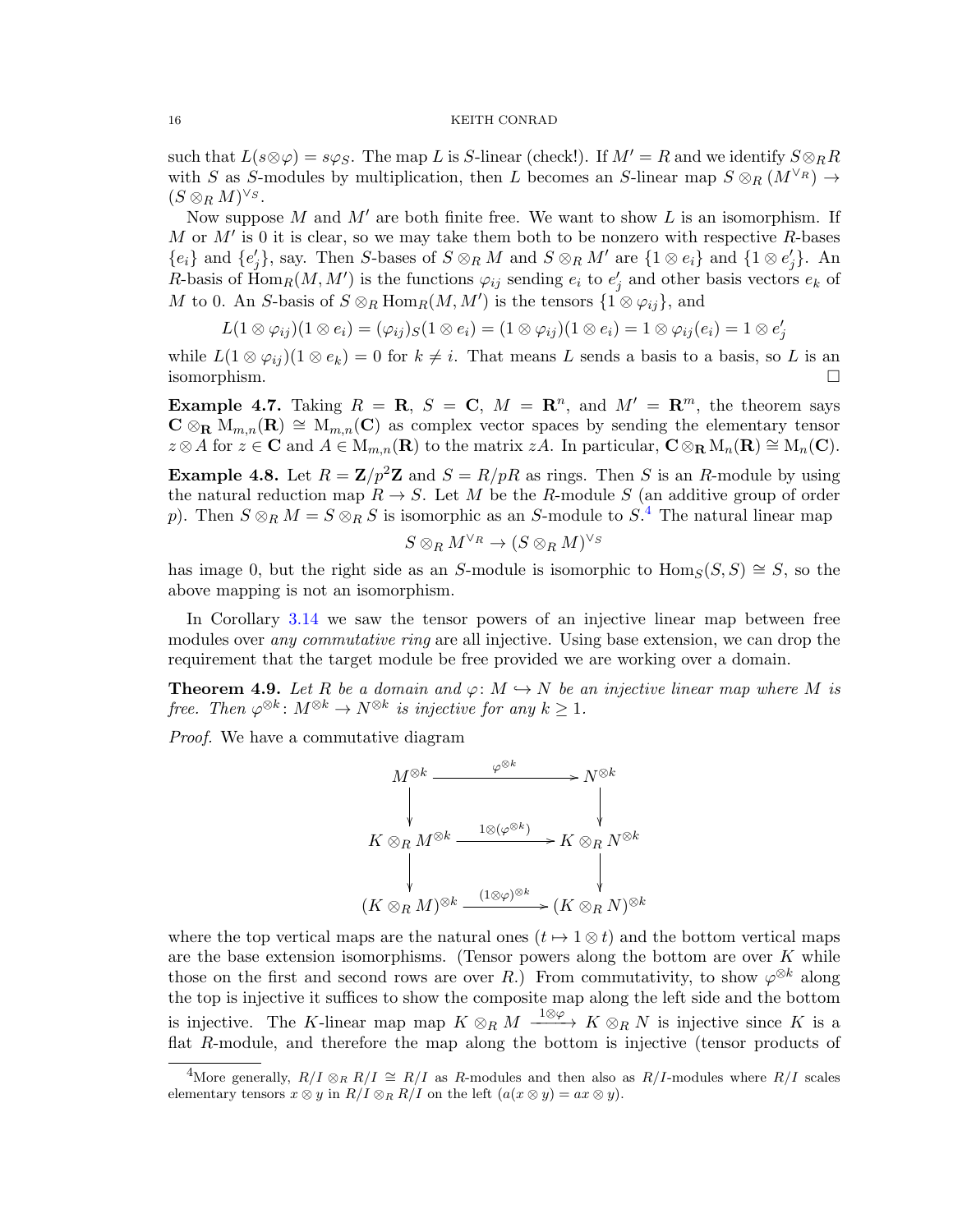such that  $L(s\otimes \varphi) = s\varphi_S$ . The map L is S-linear (check!). If  $M' = R$  and we identify  $S \otimes_R R$ with S as S-modules by multiplication, then L becomes an S-linear map  $S \otimes_R (M^{\vee_R}) \to$  $(S \otimes_R M)^{\vee_S}.$ 

Now suppose M and  $M'$  are both finite free. We want to show L is an isomorphism. If M or  $M'$  is 0 it is clear, so we may take them both to be nonzero with respective R-bases  ${e_i}$  and  ${e'_j}$ , say. Then S-bases of  $S \otimes_R M$  and  $S \otimes_R M'$  are  ${1 \otimes e_i}$  and  ${1 \otimes e'_j}$ . An R-basis of  $\text{Hom}_R(M, M')$  is the functions  $\varphi_{ij}$  sending  $e_i$  to  $e'_j$  and other basis vectors  $e_k$  of M to 0. An S-basis of  $S \otimes_R \text{Hom}_R(M, M')$  is the tensors  $\{1 \otimes \varphi_{ij}\}\$ , and

$$
L(1\otimes \varphi_{ij})(1\otimes e_i)=(\varphi_{ij})_S(1\otimes e_i)=(1\otimes \varphi_{ij})(1\otimes e_i)=1\otimes \varphi_{ij}(e_i)=1\otimes e_j'
$$

while  $L(1 \otimes \varphi_{ij})(1 \otimes e_k) = 0$  for  $k \neq i$ . That means L sends a basis to a basis, so L is an isomorphism.

<span id="page-15-2"></span>**Example 4.7.** Taking  $R = \mathbf{R}$ ,  $S = \mathbf{C}$ ,  $M = \mathbf{R}^n$ , and  $M' = \mathbf{R}^m$ , the theorem says  $C \otimes_R M_{m,n}(\mathbf{R}) \cong M_{m,n}(\mathbf{C})$  as complex vector spaces by sending the elementary tensor  $z \otimes A$  for  $z \in \mathbf{C}$  and  $A \in M_{m,n}(\mathbf{R})$  to the matrix  $zA$ . In particular,  $\mathbf{C} \otimes_{\mathbf{R}} M_n(\mathbf{R}) \cong M_n(\mathbf{C})$ .

**Example 4.8.** Let  $R = \mathbb{Z}/p^2\mathbb{Z}$  and  $S = R/pR$  as rings. Then S is an R-module by using the natural reduction map  $R \to S$ . Let M be the R-module S (an additive group of order p). Then  $S \otimes_R M = S \otimes_R S$  is isomorphic as an S-module to  $S^A$ . The natural linear map

$$
S\otimes_{R}M^{\vee_R}\to (S\otimes_{R}M)^{\vee_S}
$$

has image 0, but the right side as an S-module is isomorphic to  $\text{Hom}_S(S, S) \cong S$ , so the above mapping is not an isomorphism.

In Corollary [3.14](#page-12-1) we saw the tensor powers of an injective linear map between free modules over any commutative ring are all injective. Using base extension, we can drop the requirement that the target module be free provided we are working over a domain.

<span id="page-15-0"></span>**Theorem 4.9.** Let R be a domain and  $\varphi: M \hookrightarrow N$  be an injective linear map where M is free. Then  $\varphi^{\otimes k} \colon M^{\otimes k} \to N^{\otimes k}$  is injective for any  $k \geq 1$ .

Proof. We have a commutative diagram

$$
M^{\otimes k} \xrightarrow{\varphi^{\otimes k}} N^{\otimes k}
$$
\n
$$
K \otimes_R M^{\otimes k} \xrightarrow{1 \otimes (\varphi^{\otimes k})} K \otimes_R N^{\otimes k}
$$
\n
$$
(K \otimes_R M)^{\otimes k} \xrightarrow{(1 \otimes \varphi)^{\otimes k}} (K \otimes_R N)^{\otimes k}
$$

where the top vertical maps are the natural ones  $(t \mapsto 1 \otimes t)$  and the bottom vertical maps are the base extension isomorphisms. (Tensor powers along the bottom are over  $K$  while those on the first and second rows are over R.) From commutativity, to show  $\varphi^{\otimes k}$  along the top is injective it suffices to show the composite map along the left side and the bottom is injective. The K-linear map map  $K \otimes_R M \xrightarrow{1 \otimes \varphi} K \otimes_R N$  is injective since K is a flat R-module, and therefore the map along the bottom is injective (tensor products of

<span id="page-15-1"></span><sup>&</sup>lt;sup>4</sup>More generally,  $R/I \otimes_R R/I \cong R/I$  as R-modules and then also as  $R/I$ -modules where  $R/I$  scales elementary tensors  $x \otimes y$  in  $R/I \otimes_R R/I$  on the left  $(a(x \otimes y) = ax \otimes y)$ .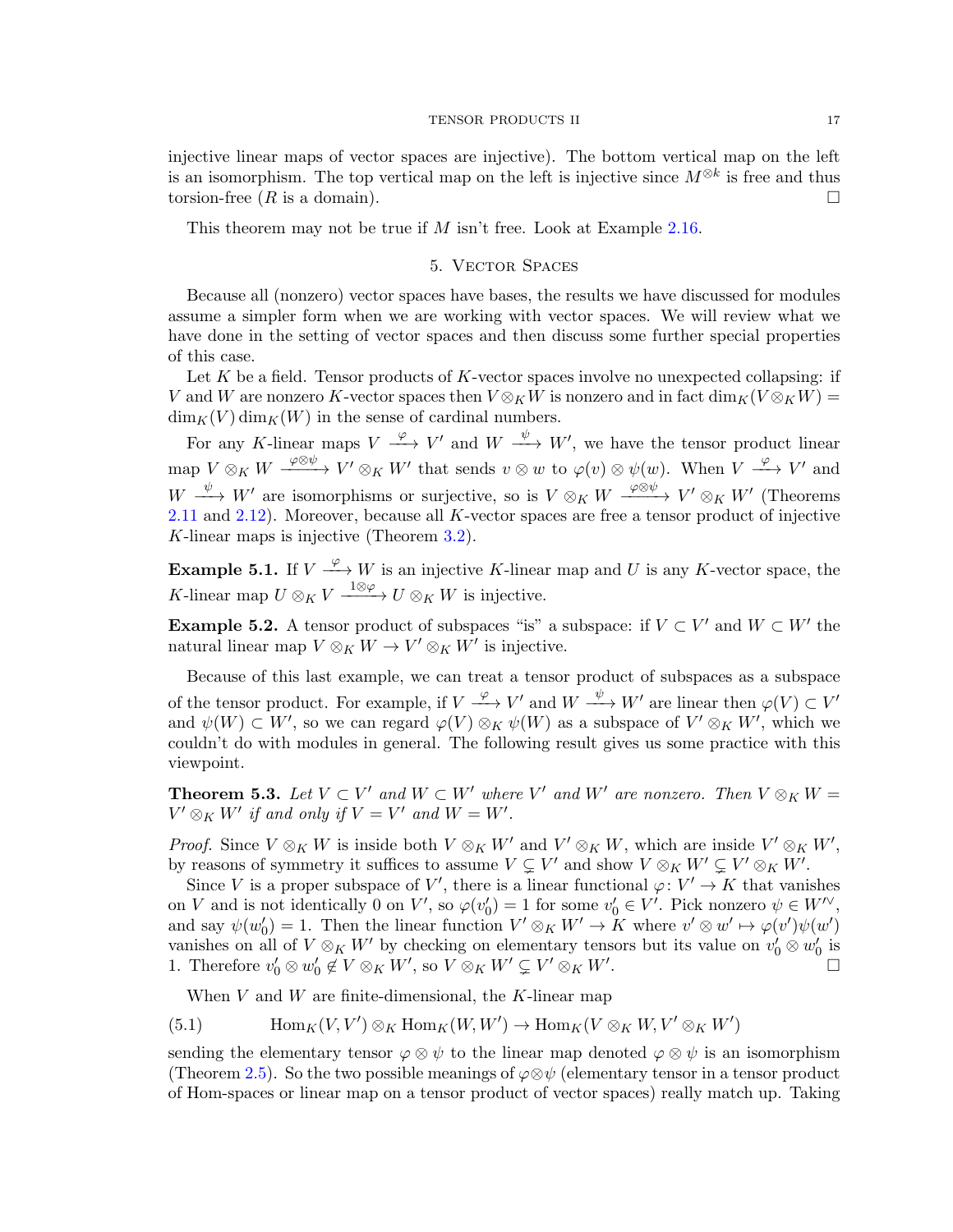injective linear maps of vector spaces are injective). The bottom vertical map on the left is an isomorphism. The top vertical map on the left is injective since  $M^{\otimes k}$  is free and thus torsion-free  $(R$  is a domain).

This theorem may not be true if  $M$  isn't free. Look at Example [2.16.](#page-6-1)

# 5. Vector Spaces

Because all (nonzero) vector spaces have bases, the results we have discussed for modules assume a simpler form when we are working with vector spaces. We will review what we have done in the setting of vector spaces and then discuss some further special properties of this case.

Let K be a field. Tensor products of K-vector spaces involve no unexpected collapsing: if V and W are nonzero K-vector spaces then  $V \otimes_K W$  is nonzero and in fact  $\dim_K (V \otimes_K W) =$  $\dim_K(V) \dim_K(W)$  in the sense of cardinal numbers.

For any K-linear maps  $V \stackrel{\varphi}{\longrightarrow} V'$  and  $W \stackrel{\psi}{\longrightarrow} W'$ , we have the tensor product linear map  $V \otimes_K W \xrightarrow{\varphi \otimes \psi} V' \otimes_K W'$  that sends  $v \otimes w$  to  $\varphi(v) \otimes \psi(w)$ . When  $V \xrightarrow{\varphi} V'$  and  $W \longrightarrow W'$  are isomorphisms or surjective, so is  $V \otimes_K W \longrightarrow_{\mathbb{R}} W' \otimes_K W'$  (Theorems [2.11](#page-5-0) and [2.12\)](#page-5-1). Moreover, because all K-vector spaces are free a tensor product of injective K-linear maps is injective (Theorem [3.2\)](#page-9-0).

**Example 5.1.** If  $V \xrightarrow{\varphi} W$  is an injective K-linear map and U is any K-vector space, the K-linear map  $U \otimes_K V \xrightarrow{\ 1 \otimes \varphi \ } U \otimes_K W$  is injective.

**Example 5.2.** A tensor product of subspaces "is" a subspace: if  $V \subset V'$  and  $W \subset W'$  the natural linear map  $V \otimes_K W \to V' \otimes_K W'$  is injective.

Because of this last example, we can treat a tensor product of subspaces as a subspace of the tensor product. For example, if  $V \xrightarrow{\varphi} V'$  and  $W \xrightarrow{\psi} W'$  are linear then  $\varphi(V) \subset V'$ and  $\psi(W) \subset W'$ , so we can regard  $\varphi(V) \otimes_K \psi(W)$  as a subspace of  $V' \otimes_K W'$ , which we couldn't do with modules in general. The following result gives us some practice with this viewpoint.

<span id="page-16-1"></span>**Theorem 5.3.** Let  $V \subset V'$  and  $W \subset W'$  where  $V'$  and  $W'$  are nonzero. Then  $V \otimes_K W =$  $V' \otimes_K W'$  if and only if  $V = V'$  and  $W = W'$ .

*Proof.* Since  $V \otimes_K W$  is inside both  $V \otimes_K W'$  and  $V' \otimes_K W$ , which are inside  $V' \otimes_K W'$ , by reasons of symmetry it suffices to assume  $V \subsetneq V'$  and show  $V \otimes_K W' \subsetneq V' \otimes_K W'$ .

Since V is a proper subspace of V', there is a linear functional  $\varphi: V' \to K$  that vanishes on V and is not identically 0 on V', so  $\varphi(v_0') = 1$  for some  $v_0' \in V'$ . Pick nonzero  $\psi \in W''$ , and say  $\psi(w_0') = 1$ . Then the linear function  $V' \otimes_K W' \to K$  where  $v' \otimes w' \mapsto \varphi(v')\psi(w')$ vanishes on all of  $V \otimes_K W'$  by checking on elementary tensors but its value on  $v'_0 \otimes w'_0$  is 1. Therefore  $v'_0 \otimes w'_0 \notin V \otimes_K W'$ , so  $V \otimes_K W' \subsetneq V' \otimes_K W'$ .

<span id="page-16-0"></span>When  $V$  and  $W$  are finite-dimensional, the K-linear map

(5.1) 
$$
\text{Hom}_K(V, V') \otimes_K \text{Hom}_K(W, W') \to \text{Hom}_K(V \otimes_K W, V' \otimes_K W')
$$

sending the elementary tensor  $\varphi \otimes \psi$  to the linear map denoted  $\varphi \otimes \psi$  is an isomorphism (Theorem [2.5\)](#page-2-0). So the two possible meanings of  $\varphi \otimes \psi$  (elementary tensor in a tensor product of Hom-spaces or linear map on a tensor product of vector spaces) really match up. Taking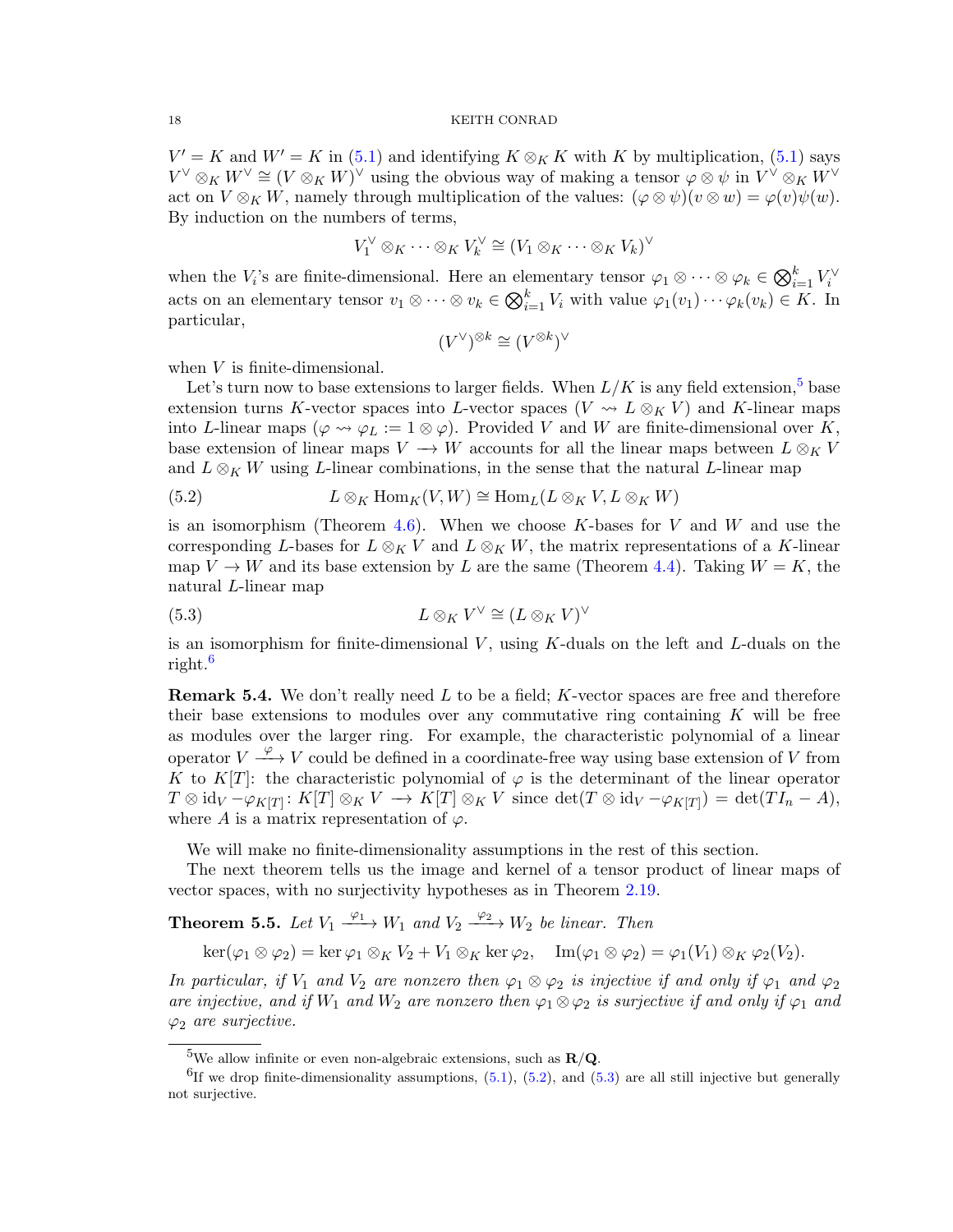$V' = K$  and  $W' = K$  in [\(5.1\)](#page-16-0) and identifying  $K \otimes_K K$  with K by multiplication, (5.1) says  $V^{\vee} \otimes_K W^{\vee} \cong (V \otimes_K W)^{\vee}$  using the obvious way of making a tensor  $\varphi \otimes \psi$  in  $V^{\vee} \otimes_K W^{\vee}$ act on  $V \otimes_K W$ , namely through multiplication of the values:  $(\varphi \otimes \psi)(v \otimes w) = \varphi(v)\psi(w)$ . By induction on the numbers of terms,

$$
V_1^{\vee} \otimes_K \cdots \otimes_K V_k^{\vee} \cong (V_1 \otimes_K \cdots \otimes_K V_k)^{\vee}
$$

when the  $V_i$ 's are finite-dimensional. Here an elementary tensor  $\varphi_1 \otimes \cdots \otimes \varphi_k \in \bigotimes_{i=1}^k V_i^{\vee}$ acts on an elementary tensor  $v_1 \otimes \cdots \otimes v_k \in \bigotimes_{i=1}^k V_i$  with value  $\varphi_1(v_1) \cdots \varphi_k(v_k) \in K$ . In particular,

$$
(V^\vee)^{\otimes k} \cong (V^{\otimes k})^\vee
$$

when V is finite-dimensional.

Let's turn now to base extensions to larger fields. When  $L/K$  is any field extension,<sup>[5](#page-17-0)</sup> base extension turns K-vector spaces into L-vector spaces (V  $\rightsquigarrow$  L  $\otimes_K V$ ) and K-linear maps into L-linear maps  $(\varphi \leadsto \varphi_L := 1 \otimes \varphi)$ . Provided V and W are finite-dimensional over K, base extension of linear maps  $V \to W$  accounts for all the linear maps between  $L \otimes_K V$ and  $L \otimes_K W$  using L-linear combinations, in the sense that the natural L-linear map

<span id="page-17-2"></span>(5.2) 
$$
L \otimes_K \text{Hom}_K(V, W) \cong \text{Hom}_L(L \otimes_K V, L \otimes_K W)
$$

is an isomorphism (Theorem [4.6\)](#page-14-0). When we choose K-bases for V and W and use the corresponding L-bases for  $L \otimes_K V$  and  $L \otimes_K W$ , the matrix representations of a K-linear map  $V \to W$  and its base extension by L are the same (Theorem [4.4\)](#page-14-1). Taking  $W = K$ , the natural L-linear map

<span id="page-17-3"></span>(5.3) 
$$
L \otimes_K V^{\vee} \cong (L \otimes_K V)^{\vee}
$$

is an isomorphism for finite-dimensional  $V$ , using  $K$ -duals on the left and  $L$ -duals on the right.[6](#page-17-1)

**Remark 5.4.** We don't really need  $L$  to be a field;  $K$ -vector spaces are free and therefore their base extensions to modules over any commutative ring containing  $K$  will be free as modules over the larger ring. For example, the characteristic polynomial of a linear operator  $V \xrightarrow{\varphi} V$  could be defined in a coordinate-free way using base extension of V from K to K[T]: the characteristic polynomial of  $\varphi$  is the determinant of the linear operator  $T \otimes id_V - \varphi_{K[T]} : K[T] \otimes_K V \to K[T] \otimes_K V$  since  $\det(T \otimes id_V - \varphi_{K[T]}) = \det(T I_n - A),$ where A is a matrix representation of  $\varphi$ .

We will make no finite-dimensionality assumptions in the rest of this section.

The next theorem tells us the image and kernel of a tensor product of linear maps of vector spaces, with no surjectivity hypotheses as in Theorem [2.19.](#page-7-1)

<span id="page-17-4"></span>**Theorem 5.5.** Let  $V_1 \xrightarrow{\varphi_1} W_1$  and  $V_2 \xrightarrow{\varphi_2} W_2$  be linear. Then

 $\ker(\varphi_1 \otimes \varphi_2) = \ker \varphi_1 \otimes_K V_2 + V_1 \otimes_K \ker \varphi_2, \quad \text{Im}(\varphi_1 \otimes \varphi_2) = \varphi_1(V_1) \otimes_K \varphi_2(V_2).$ 

In particular, if  $V_1$  and  $V_2$  are nonzero then  $\varphi_1 \otimes \varphi_2$  is injective if and only if  $\varphi_1$  and  $\varphi_2$ are injective, and if  $W_1$  and  $W_2$  are nonzero then  $\varphi_1 \otimes \varphi_2$  is surjective if and only if  $\varphi_1$  and  $\varphi_2$  are surjective.

<span id="page-17-1"></span><span id="page-17-0"></span><sup>&</sup>lt;sup>5</sup>We allow infinite or even non-algebraic extensions, such as  $\mathbf{R}/\mathbf{Q}$ .

<sup>&</sup>lt;sup>6</sup>If we drop finite-dimensionality assumptions,  $(5.1)$ ,  $(5.2)$ , and  $(5.3)$  are all still injective but generally not surjective.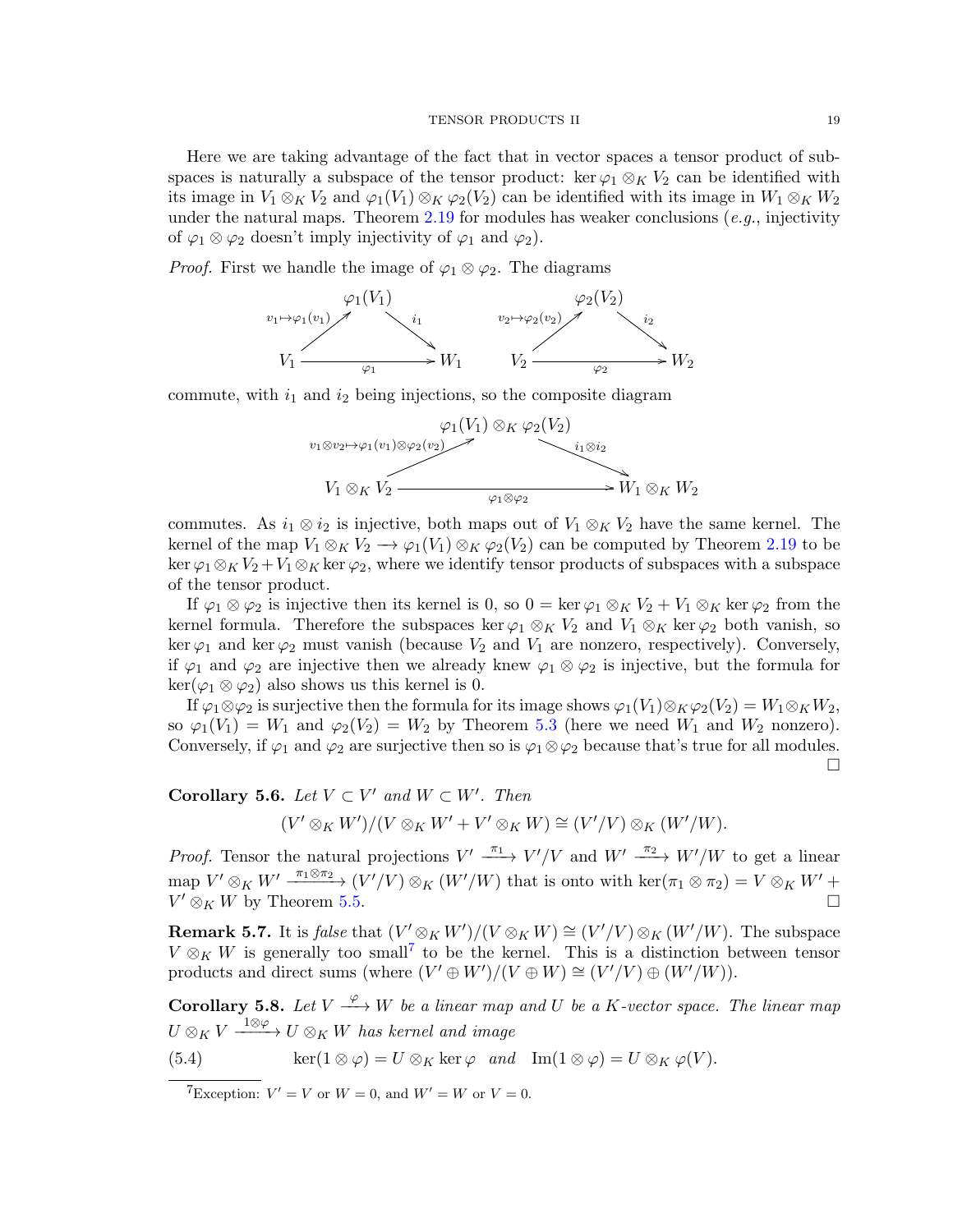Here we are taking advantage of the fact that in vector spaces a tensor product of subspaces is naturally a subspace of the tensor product: ker  $\varphi_1 \otimes_K V_2$  can be identified with its image in  $V_1 \otimes_K V_2$  and  $\varphi_1(V_1) \otimes_K \varphi_2(V_2)$  can be identified with its image in  $W_1 \otimes_K W_2$ under the natural maps. Theorem [2.19](#page-7-1) for modules has weaker conclusions  $(e.g.,$  injectivity of  $\varphi_1 \otimes \varphi_2$  doesn't imply injectivity of  $\varphi_1$  and  $\varphi_2$ ).

*Proof.* First we handle the image of  $\varphi_1 \otimes \varphi_2$ . The diagrams



commute, with  $i_1$  and  $i_2$  being injections, so the composite diagram



commutes. As  $i_1 \otimes i_2$  is injective, both maps out of  $V_1 \otimes_K V_2$  have the same kernel. The kernel of the map  $V_1 \otimes_K V_2 \longrightarrow \varphi_1(V_1) \otimes_K \varphi_2(V_2)$  can be computed by Theorem [2.19](#page-7-1) to be ker  $\varphi_1 \otimes_K V_2 + V_1 \otimes_K \ker \varphi_2$ , where we identify tensor products of subspaces with a subspace of the tensor product.

If  $\varphi_1 \otimes \varphi_2$  is injective then its kernel is 0, so  $0 = \ker \varphi_1 \otimes_K V_2 + V_1 \otimes_K \ker \varphi_2$  from the kernel formula. Therefore the subspaces ker  $\varphi_1 \otimes_K V_2$  and  $V_1 \otimes_K \ker \varphi_2$  both vanish, so ker  $\varphi_1$  and ker  $\varphi_2$  must vanish (because  $V_2$  and  $V_1$  are nonzero, respectively). Conversely, if  $\varphi_1$  and  $\varphi_2$  are injective then we already knew  $\varphi_1 \otimes \varphi_2$  is injective, but the formula for  $\ker(\varphi_1 \otimes \varphi_2)$  also shows us this kernel is 0.

If  $\varphi_1 \otimes \varphi_2$  is surjective then the formula for its image shows  $\varphi_1(V_1) \otimes_K \varphi_2(V_2) = W_1 \otimes_K W_2$ , so  $\varphi_1(V_1) = W_1$  and  $\varphi_2(V_2) = W_2$  by Theorem [5.3](#page-16-1) (here we need  $W_1$  and  $W_2$  nonzero). Conversely, if  $\varphi_1$  and  $\varphi_2$  are surjective then so is  $\varphi_1 \otimes \varphi_2$  because that's true for all modules. П

Corollary 5.6. Let  $V \subset V'$  and  $W \subset W'$ . Then

 $(V' \otimes_K W')/(V \otimes_K W' + V' \otimes_K W) \cong (V'/V) \otimes_K (W'/W).$ 

*Proof.* Tensor the natural projections  $V' \xrightarrow{\pi_1} V'/V$  and  $W' \xrightarrow{\pi_2} W'/W$  to get a linear map  $V' \otimes_K W' \xrightarrow{\pi_1 \otimes \pi_2} (V'/V) \otimes_K (W'/W)$  that is onto with  $\ker(\pi_1 \otimes \pi_2) = V \otimes_K W' +$  $V' \otimes_K W$  by Theorem [5.5.](#page-17-4)

**Remark 5.7.** It is *false* that  $(V' \otimes_K W')/(V \otimes_K W) \cong (V'/V) \otimes_K (W'/W)$ . The subspace  $V \otimes_K W$  is generally too small<sup>[7](#page-18-0)</sup> to be the kernel. This is a distinction between tensor products and direct sums (where  $(V' \oplus W')/(V \oplus W) \cong (V'/V) \oplus (W'/W)$ ).

**Corollary 5.8.** Let  $V \xrightarrow{\varphi} W$  be a linear map and U be a K-vector space. The linear map  $U \otimes_K V \xrightarrow{\phantom{a}1 \otimes \varphi} U \otimes_K W$  has kernel and image

(5.4) 
$$
\ker(1 \otimes \varphi) = U \otimes_K \ker \varphi \quad and \quad \text{Im}(1 \otimes \varphi) = U \otimes_K \varphi(V).
$$

<span id="page-18-0"></span><sup>7</sup>Exception:  $V' = V$  or  $W = 0$ , and  $W' = W$  or  $V = 0$ .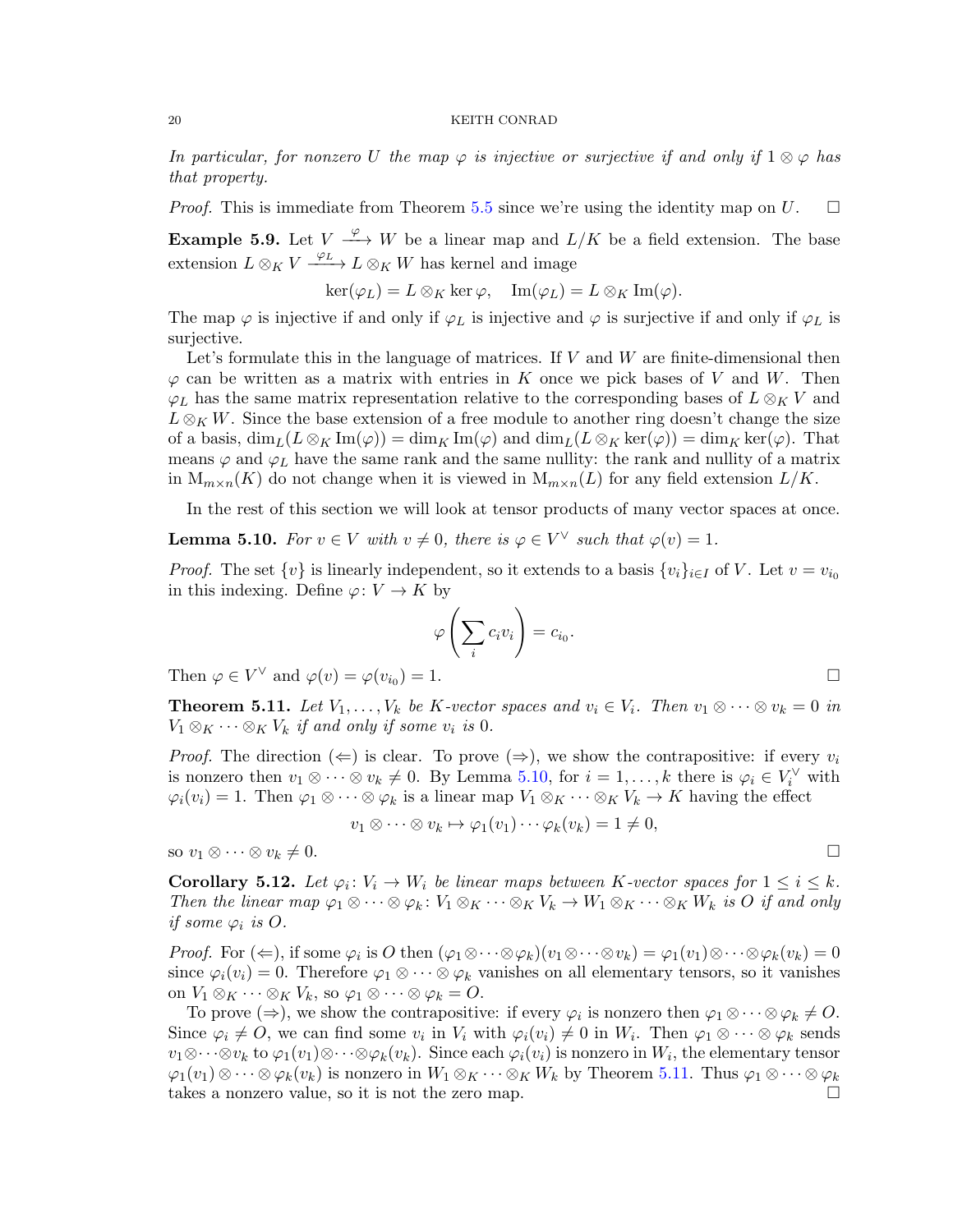In particular, for nonzero U the map  $\varphi$  is injective or surjective if and only if  $1 \otimes \varphi$  has that property.

*Proof.* This is immediate from Theorem [5.5](#page-17-4) since we're using the identity map on U.  $\square$ 

**Example 5.9.** Let  $V \xrightarrow{\varphi} W$  be a linear map and  $L/K$  be a field extension. The base extension  $L \otimes_K V \xrightarrow{\varphi_L} L \otimes_K W$  has kernel and image

$$
\ker(\varphi_L) = L \otimes_K \ker \varphi, \quad \mathrm{Im}(\varphi_L) = L \otimes_K \mathrm{Im}(\varphi).
$$

The map  $\varphi$  is injective if and only if  $\varphi_L$  is injective and  $\varphi$  is surjective if and only if  $\varphi_L$  is surjective.

Let's formulate this in the language of matrices. If  $V$  and  $W$  are finite-dimensional then  $\varphi$  can be written as a matrix with entries in K once we pick bases of V and W. Then  $\varphi_L$  has the same matrix representation relative to the corresponding bases of  $L \otimes_K V$  and  $L \otimes_K W$ . Since the base extension of a free module to another ring doesn't change the size of a basis,  $\dim_L(L \otimes_K \text{Im}(\varphi)) = \dim_K \text{Im}(\varphi)$  and  $\dim_L(L \otimes_K \text{ker}(\varphi)) = \dim_K \text{ker}(\varphi)$ . That means  $\varphi$  and  $\varphi_L$  have the same rank and the same nullity: the rank and nullity of a matrix in  $M_{m\times n}(K)$  do not change when it is viewed in  $M_{m\times n}(L)$  for any field extension  $L/K$ .

In the rest of this section we will look at tensor products of many vector spaces at once.

<span id="page-19-0"></span>**Lemma 5.10.** For  $v \in V$  with  $v \neq 0$ , there is  $\varphi \in V^{\vee}$  such that  $\varphi(v) = 1$ .

*Proof.* The set  $\{v\}$  is linearly independent, so it extends to a basis  $\{v_i\}_{i\in I}$  of V. Let  $v = v_{i_0}$ in this indexing. Define  $\varphi: V \to K$  by

$$
\varphi\left(\sum_i c_i v_i\right) = c_{i_0}.
$$

Then  $\varphi \in V^{\vee}$  and  $\varphi(v) = \varphi(v_{i_0})$  $) = 1.$ 

<span id="page-19-1"></span>**Theorem 5.11.** Let  $V_1, \ldots, V_k$  be K-vector spaces and  $v_i \in V_i$ . Then  $v_1 \otimes \cdots \otimes v_k = 0$  in  $V_1 \otimes_K \cdots \otimes_K V_k$  if and only if some  $v_i$  is 0.

*Proof.* The direction  $(\Leftarrow)$  is clear. To prove  $(\Rightarrow)$ , we show the contrapositive: if every  $v_i$ is nonzero then  $v_1 \otimes \cdots \otimes v_k \neq 0$ . By Lemma [5.10,](#page-19-0) for  $i = 1, \ldots, k$  there is  $\varphi_i \in V_i^{\vee}$  with  $\varphi_i(v_i) = 1$ . Then  $\varphi_1 \otimes \cdots \otimes \varphi_k$  is a linear map  $V_1 \otimes_K \cdots \otimes_K V_k \to K$  having the effect

$$
v_1 \otimes \cdots \otimes v_k \mapsto \varphi_1(v_1) \cdots \varphi_k(v_k) = 1 \neq 0,
$$

so  $v_1 \otimes \cdots \otimes v_k \neq 0.$ 

<span id="page-19-2"></span>**Corollary 5.12.** Let  $\varphi_i: V_i \to W_i$  be linear maps between K-vector spaces for  $1 \leq i \leq k$ . Then the linear map  $\varphi_1 \otimes \cdots \otimes \varphi_k : V_1 \otimes_K \cdots \otimes_K V_k \to W_1 \otimes_K \cdots \otimes_K W_k$  is O if and only if some  $\varphi_i$  is  $O$ .

*Proof.* For  $(\Leftarrow)$ , if some  $\varphi_i$  is O then  $(\varphi_1 \otimes \cdots \otimes \varphi_k)(v_1 \otimes \cdots \otimes v_k) = \varphi_1(v_1) \otimes \cdots \otimes \varphi_k(v_k) = 0$ since  $\varphi_i(v_i) = 0$ . Therefore  $\varphi_1 \otimes \cdots \otimes \varphi_k$  vanishes on all elementary tensors, so it vanishes on  $V_1 \otimes_K \cdots \otimes_K V_k$ , so  $\varphi_1 \otimes \cdots \otimes \varphi_k = O$ .

To prove  $(\Rightarrow)$ , we show the contrapositive: if every  $\varphi_i$  is nonzero then  $\varphi_1 \otimes \cdots \otimes \varphi_k \neq O$ . Since  $\varphi_i \neq O$ , we can find some  $v_i$  in  $V_i$  with  $\varphi_i(v_i) \neq 0$  in  $W_i$ . Then  $\varphi_1 \otimes \cdots \otimes \varphi_k$  sends  $v_1\otimes\cdots\otimes v_k$  to  $\varphi_1(v_1)\otimes\cdots\otimes\varphi_k(v_k)$ . Since each  $\varphi_i(v_i)$  is nonzero in  $W_i$ , the elementary tensor  $\varphi_1(v_1)\otimes\cdots\otimes\varphi_k(v_k)$  is nonzero in  $W_1\otimes_K\cdots\otimes_K W_k$  by Theorem [5.11.](#page-19-1) Thus  $\varphi_1\otimes\cdots\otimes\varphi_k$ takes a nonzero value, so it is not the zero map.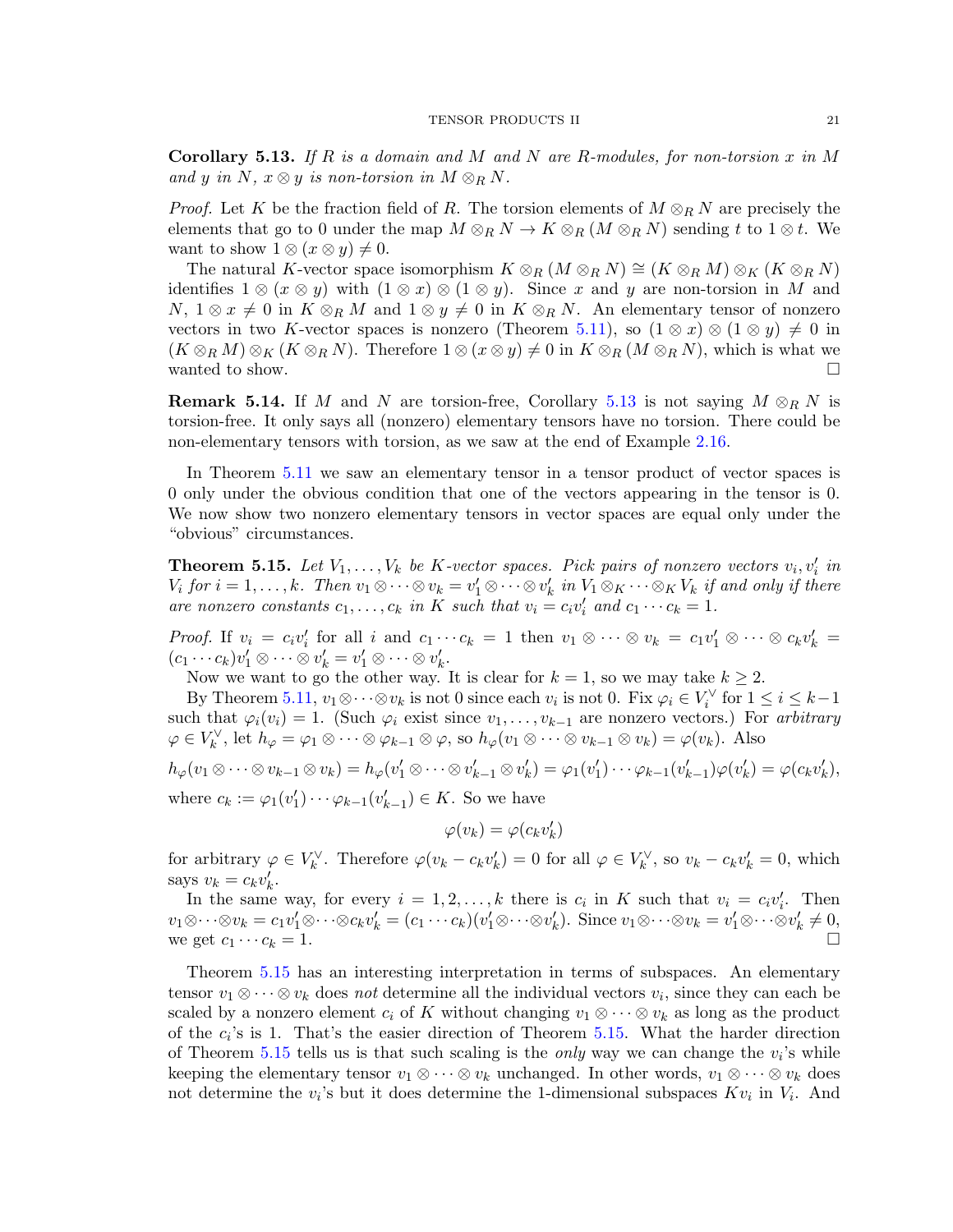<span id="page-20-0"></span>**Corollary 5.13.** If R is a domain and M and N are R-modules, for non-torsion x in M and y in N,  $x \otimes y$  is non-torsion in  $M \otimes_R N$ .

*Proof.* Let K be the fraction field of R. The torsion elements of  $M \otimes_R N$  are precisely the elements that go to 0 under the map  $M \otimes_R N \to K \otimes_R (M \otimes_R N)$  sending t to  $1 \otimes t$ . We want to show  $1 \otimes (x \otimes y) \neq 0$ .

The natural K-vector space isomorphism  $K \otimes_R (M \otimes_R N) \cong (K \otimes_R M) \otimes_K (K \otimes_R N)$ identifies  $1 \otimes (x \otimes y)$  with  $(1 \otimes x) \otimes (1 \otimes y)$ . Since x and y are non-torsion in M and  $N, 1 \otimes x \neq 0$  in  $K \otimes_R M$  and  $1 \otimes y \neq 0$  in  $K \otimes_R N$ . An elementary tensor of nonzero vectors in two K-vector spaces is nonzero (Theorem [5.11\)](#page-19-1), so  $(1 \otimes x) \otimes (1 \otimes y) \neq 0$  in  $(K \otimes_R M) \otimes_K (K \otimes_R N)$ . Therefore  $1 \otimes (x \otimes y) \neq 0$  in  $K \otimes_R (M \otimes_R N)$ , which is what we wanted to show.  $\Box$ 

**Remark 5.14.** If M and N are torsion-free, Corollary [5.13](#page-20-0) is not saying  $M \otimes_R N$  is torsion-free. It only says all (nonzero) elementary tensors have no torsion. There could be non-elementary tensors with torsion, as we saw at the end of Example [2.16.](#page-6-1)

In Theorem [5.11](#page-19-1) we saw an elementary tensor in a tensor product of vector spaces is 0 only under the obvious condition that one of the vectors appearing in the tensor is 0. We now show two nonzero elementary tensors in vector spaces are equal only under the "obvious" circumstances.

<span id="page-20-1"></span>**Theorem 5.15.** Let  $V_1, \ldots, V_k$  be K-vector spaces. Pick pairs of nonzero vectors  $v_i, v'_i$  in  $V_i$  for  $i = 1, \ldots, k$ . Then  $v_1 \otimes \cdots \otimes v_k = v'_1 \otimes \cdots \otimes v'_k$  in  $V_1 \otimes_K \cdots \otimes_K V_k$  if and only if there are nonzero constants  $c_1, \ldots, c_k$  in K such that  $v_i = c_i v'_i$  and  $c_1 \cdots c_k = 1$ .

*Proof.* If  $v_i = c_i v'_i$  for all i and  $c_1 \cdots c_k = 1$  then  $v_1 \otimes \cdots \otimes v_k = c_1 v'_1 \otimes \cdots \otimes c_k v'_k =$  $(c_1 \cdots c_k) v'_1 \otimes \cdots \otimes v'_k = v'_1 \otimes \cdots \otimes v'_k.$ 

Now we want to go the other way. It is clear for  $k = 1$ , so we may take  $k \geq 2$ .

By Theorem [5.11,](#page-19-1)  $v_1 \otimes \cdots \otimes v_k$  is not 0 since each  $v_i$  is not 0. Fix  $\varphi_i \in V_i^{\vee}$  for  $1 \leq i \leq k-1$ such that  $\varphi_i(v_i) = 1$ . (Such  $\varphi_i$  exist since  $v_1, \ldots, v_{k-1}$  are nonzero vectors.) For arbitrary  $\varphi \in V_k^{\vee}$ , let  $h_{\varphi} = \varphi_1 \otimes \cdots \otimes \varphi_{k-1} \otimes \varphi$ , so  $h_{\varphi}(v_1 \otimes \cdots \otimes v_{k-1} \otimes v_k) = \varphi(v_k)$ . Also

$$
h_{\varphi}(v_1 \otimes \cdots \otimes v_{k-1} \otimes v_k) = h_{\varphi}(v'_1 \otimes \cdots \otimes v'_{k-1} \otimes v'_k) = \varphi_1(v'_1) \cdots \varphi_{k-1}(v'_{k-1}) \varphi(v'_k) = \varphi(c_k v'_k),
$$
  
where  $c_k := \varphi_1(v'_1) \cdots \varphi_{k-1}(v'_{k-1}) \in K$ . So we have

$$
\varphi(v_k) = \varphi(c_k v'_k)
$$

for arbitrary  $\varphi \in V_k^{\vee}$ . Therefore  $\varphi(v_k - c_k v'_k) = 0$  for all  $\varphi \in V_k^{\vee}$ , so  $v_k - c_k v'_k = 0$ , which says  $v_k = c_k v'_k$ .

In the same way, for every  $i = 1, 2, ..., k$  there is  $c_i$  in K such that  $v_i = c_i v'_i$ . Then  $v_1 \otimes \cdots \otimes v_k = c_1 v'_1 \otimes \cdots \otimes c_k v'_k = (c_1 \cdots c_k)(v'_1 \otimes \cdots \otimes v'_k).$  Since  $v_1 \otimes \cdots \otimes v_k = v'_1 \otimes \cdots \otimes v'_k \neq 0$ , we get  $c_1 \cdots c_k = 1$ .

Theorem [5.15](#page-20-1) has an interesting interpretation in terms of subspaces. An elementary tensor  $v_1 \otimes \cdots \otimes v_k$  does not determine all the individual vectors  $v_i$ , since they can each be scaled by a nonzero element  $c_i$  of K without changing  $v_1 \otimes \cdots \otimes v_k$  as long as the product of the  $c_i$ 's is 1. That's the easier direction of Theorem [5.15.](#page-20-1) What the harder direction of Theorem [5.15](#page-20-1) tells us is that such scaling is the *only* way we can change the  $v_i$ 's while keeping the elementary tensor  $v_1 \otimes \cdots \otimes v_k$  unchanged. In other words,  $v_1 \otimes \cdots \otimes v_k$  does not determine the  $v_i$ 's but it does determine the 1-dimensional subspaces  $Kv_i$  in  $V_i$ . And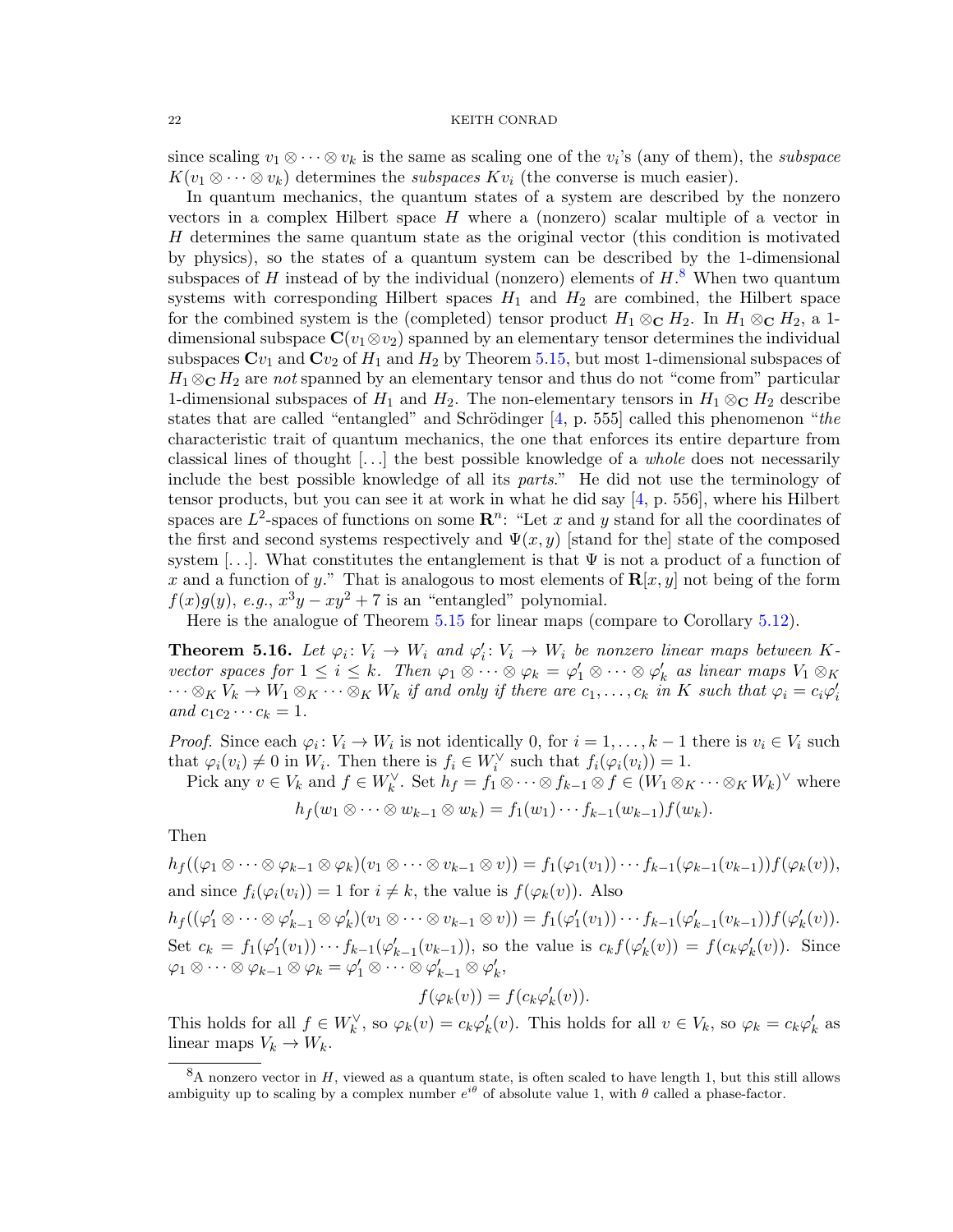since scaling  $v_1 \otimes \cdots \otimes v_k$  is the same as scaling one of the  $v_i$ 's (any of them), the *subspace*  $K(v_1 \otimes \cdots \otimes v_k)$  determines the *subspaces*  $Kv_i$  (the converse is much easier).

In quantum mechanics, the quantum states of a system are described by the nonzero vectors in a complex Hilbert space H where a (nonzero) scalar multiple of a vector in H determines the same quantum state as the original vector (this condition is motivated by physics), so the states of a quantum system can be described by the 1-dimensional subspaces of H instead of by the individual (nonzero) elements of  $H$ <sup>[8](#page-21-0)</sup>. When two quantum systems with corresponding Hilbert spaces  $H_1$  and  $H_2$  are combined, the Hilbert space for the combined system is the (completed) tensor product  $H_1 \otimes_{\mathbb{C}} H_2$ . In  $H_1 \otimes_{\mathbb{C}} H_2$ , a 1dimensional subspace  $\mathbf{C}(v_1 \otimes v_2)$  spanned by an elementary tensor determines the individual subspaces  $Cv_1$  and  $Cv_2$  of  $H_1$  and  $H_2$  by Theorem [5.15,](#page-20-1) but most 1-dimensional subspaces of  $H_1 \otimes_{\mathbb{C}} H_2$  are not spanned by an elementary tensor and thus do not "come from" particular 1-dimensional subspaces of  $H_1$  and  $H_2$ . The non-elementary tensors in  $H_1 \otimes_{\mathbb{C}} H_2$  describe states that are called "entangled" and Schrödinger  $[4, p. 555]$  $[4, p. 555]$  called this phenomenon "the characteristic trait of quantum mechanics, the one that enforces its entire departure from classical lines of thought [...] the best possible knowledge of a *whole* does not necessarily include the best possible knowledge of all its parts." He did not use the terminology of tensor products, but you can see it at work in what he did say [\[4,](#page-41-2) p. 556], where his Hilbert spaces are  $L^2$ -spaces of functions on some  $\mathbb{R}^n$ : "Let x and y stand for all the coordinates of the first and second systems respectively and  $\Psi(x, y)$  [stand for the] state of the composed system [...]. What constitutes the entanglement is that  $\Psi$  is not a product of a function of x and a function of y." That is analogous to most elements of  $\mathbf{R}[x, y]$  not being of the form  $f(x)g(y)$ , e.g.,  $x^3y - xy^2 + 7$  is an "entangled" polynomial.

Here is the analogue of Theorem [5.15](#page-20-1) for linear maps (compare to Corollary [5.12\)](#page-19-2).

<span id="page-21-1"></span>**Theorem 5.16.** Let  $\varphi_i \colon V_i \to W_i$  and  $\varphi'_i \colon V_i \to W_i$  be nonzero linear maps between Kvector spaces for  $1 \leq i \leq k$ . Then  $\varphi_1 \otimes \cdots \otimes \varphi_k = \varphi'_1 \otimes \cdots \otimes \varphi'_k$  as linear maps  $V_1 \otimes_K$  $\cdots \otimes_K V_k \to W_1 \otimes_K \cdots \otimes_K W_k$  if and only if there are  $c_1, \ldots, c_k$  in K such that  $\varphi_i = c_i \varphi'_i$ and  $c_1c_2 \cdots c_k = 1$ .

*Proof.* Since each  $\varphi_i: V_i \to W_i$  is not identically 0, for  $i = 1, ..., k-1$  there is  $v_i \in V_i$  such that  $\varphi_i(v_i) \neq 0$  in  $W_i$ . Then there is  $f_i \in W_i^{\vee}$  such that  $f_i(\varphi_i(v_i)) = 1$ .

Pick any  $v \in V_k$  and  $f \in W_k^{\vee}$ . Set  $h_f = f_1 \otimes \cdots \otimes f_{k-1} \otimes f \in (W_1 \otimes_K \cdots \otimes_K W_k)^{\vee}$  where

$$
h_f(w_1\otimes\cdots\otimes w_{k-1}\otimes w_k)=f_1(w_1)\cdots f_{k-1}(w_{k-1})f(w_k).
$$

Then

 $h_f((\varphi_1 \otimes \cdots \otimes \varphi_{k-1} \otimes \varphi_k)(v_1 \otimes \cdots \otimes v_{k-1} \otimes v)) = f_1(\varphi_1(v_1)) \cdots f_{k-1}(\varphi_{k-1}(v_{k-1})) f(\varphi_k(v)),$ and since  $f_i(\varphi_i(v_i)) = 1$  for  $i \neq k$ , the value is  $f(\varphi_k(v))$ . Also  $h_f((\varphi_1' \otimes \cdots \otimes \varphi_{k-1}' \otimes \varphi_k')(v_1 \otimes \cdots \otimes v_{k-1} \otimes v)) = f_1(\varphi_1'(v_1)) \cdots f_{k-1}(\varphi_{k-1}'(v_{k-1})) f(\varphi_k'(v)).$ Set  $c_k = f_1(\varphi_1'(v_1)) \cdots f_{k-1}(\varphi_{k-1}'(v_{k-1})),$  so the value is  $c_k f(\varphi_k'(v)) = f(c_k \varphi_k'(v)).$  Since  $\varphi_1 \otimes \cdots \otimes \varphi_{k-1} \otimes \varphi_k = \varphi_1' \otimes \cdots \otimes \varphi_{k-1}' \otimes \varphi_k',$ 

$$
f(\varphi_k(v)) = f(c_k \varphi'_k(v)).
$$

This holds for all  $f \in W_k^{\vee}$ , so  $\varphi_k(v) = c_k \varphi'_k(v)$ . This holds for all  $v \in V_k$ , so  $\varphi_k = c_k \varphi'_k$  as linear maps  $V_k \to W_k$ .

<span id="page-21-0"></span> ${}^8A$  nonzero vector in H, viewed as a quantum state, is often scaled to have length 1, but this still allows ambiguity up to scaling by a complex number  $e^{i\theta}$  of absolute value 1, with  $\theta$  called a phase-factor.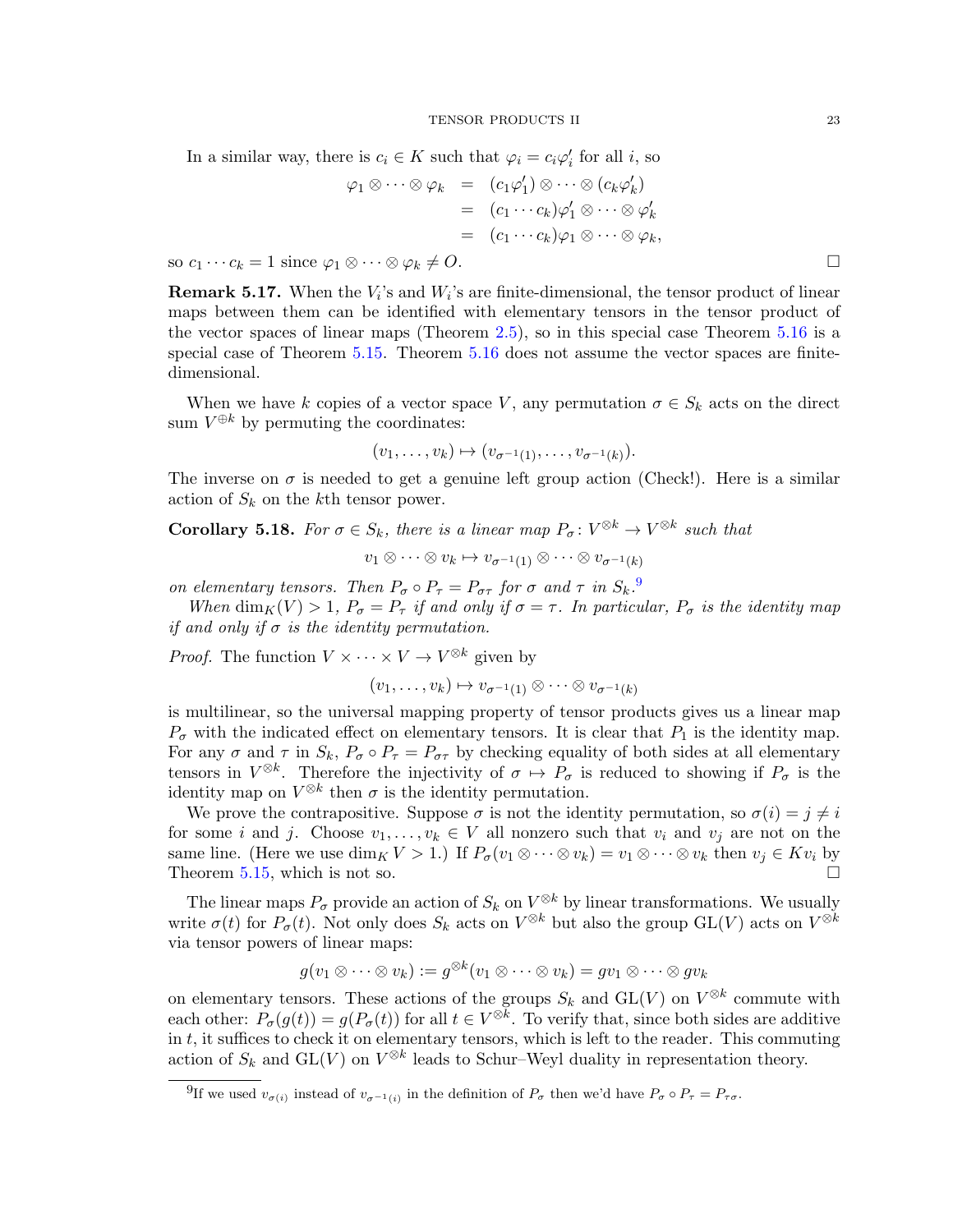In a similar way, there is  $c_i \in K$  such that  $\varphi_i = c_i \varphi'_i$  for all *i*, so

$$
\varphi_1 \otimes \cdots \otimes \varphi_k = (c_1 \varphi_1') \otimes \cdots \otimes (c_k \varphi_k')
$$
  
= 
$$
(c_1 \cdots c_k) \varphi_1' \otimes \cdots \otimes \varphi_k'
$$
  
= 
$$
(c_1 \cdots c_k) \varphi_1 \otimes \cdots \otimes \varphi_k,
$$

so  $c_1 \cdots c_k = 1$  since  $\varphi_1 \otimes \cdots \otimes \varphi_k \neq O$ .

**Remark 5.17.** When the  $V_i$ 's and  $W_i$ 's are finite-dimensional, the tensor product of linear maps between them can be identified with elementary tensors in the tensor product of the vector spaces of linear maps (Theorem [2.5\)](#page-2-0), so in this special case Theorem [5.16](#page-21-1) is a special case of Theorem [5.15.](#page-20-1) Theorem [5.16](#page-21-1) does not assume the vector spaces are finitedimensional.

When we have k copies of a vector space V, any permutation  $\sigma \in S_k$  acts on the direct sum  $V^{\oplus k}$  by permuting the coordinates:

$$
(v_1,\ldots,v_k)\mapsto (v_{\sigma^{-1}(1)},\ldots,v_{\sigma^{-1}(k)}).
$$

The inverse on  $\sigma$  is needed to get a genuine left group action (Check!). Here is a similar action of  $S_k$  on the kth tensor power.

**Corollary 5.18.** For  $\sigma \in S_k$ , there is a linear map  $P_{\sigma}: V^{\otimes k} \to V^{\otimes k}$  such that

$$
v_1 \otimes \cdots \otimes v_k \mapsto v_{\sigma^{-1}(1)} \otimes \cdots \otimes v_{\sigma^{-1}(k)}
$$

on elementary tensors. Then  $P_{\sigma} \circ P_{\tau} = P_{\sigma \tau}$  for  $\sigma$  and  $\tau$  in  $S_k$ .

When  $\dim_K(V) > 1$ ,  $P_{\sigma} = P_{\tau}$  if and only if  $\sigma = \tau$ . In particular,  $P_{\sigma}$  is the identity map if and only if  $\sigma$  is the identity permutation.

*Proof.* The function  $V \times \cdots \times V \to V^{\otimes k}$  given by

$$
(v_1,\ldots,v_k)\mapsto v_{\sigma^{-1}(1)}\otimes\cdots\otimes v_{\sigma^{-1}(k)}
$$

is multilinear, so the universal mapping property of tensor products gives us a linear map  $P_{\sigma}$  with the indicated effect on elementary tensors. It is clear that  $P_1$  is the identity map. For any  $\sigma$  and  $\tau$  in  $S_k$ ,  $P_{\sigma} \circ P_{\tau} = P_{\sigma \tau}$  by checking equality of both sides at all elementary tensors in  $V^{\otimes k}$ . Therefore the injectivity of  $\sigma \mapsto P_{\sigma}$  is reduced to showing if  $P_{\sigma}$  is the identity map on  $V^{\otimes k}$  then  $\sigma$  is the identity permutation.

We prove the contrapositive. Suppose  $\sigma$  is not the identity permutation, so  $\sigma(i) = j \neq i$ for some i and j. Choose  $v_1, \ldots, v_k \in V$  all nonzero such that  $v_i$  and  $v_j$  are not on the same line. (Here we use  $\dim_K V > 1$ .) If  $P_{\sigma}(v_1 \otimes \cdots \otimes v_k) = v_1 \otimes \cdots \otimes v_k$  then  $v_j \in Kv_i$  by Theorem [5.15,](#page-20-1) which is not so.

The linear maps  $P_{\sigma}$  provide an action of  $S_k$  on  $V^{\otimes k}$  by linear transformations. We usually write  $\sigma(t)$  for  $P_{\sigma}(t)$ . Not only does  $S_k$  acts on  $V^{\otimes k}$  but also the group  $GL(V)$  acts on  $V^{\otimes k}$ via tensor powers of linear maps:

$$
g(v_1 \otimes \cdots \otimes v_k) := g^{\otimes k}(v_1 \otimes \cdots \otimes v_k) = gv_1 \otimes \cdots \otimes gv_k
$$

on elementary tensors. These actions of the groups  $S_k$  and  $GL(V)$  on  $V^{\otimes k}$  commute with each other:  $P_{\sigma}(g(t)) = g(P_{\sigma}(t))$  for all  $t \in V^{\otimes k}$ . To verify that, since both sides are additive in  $t$ , it suffices to check it on elementary tensors, which is left to the reader. This commuting action of  $S_k$  and  $GL(V)$  on  $V^{\otimes k}$  leads to Schur–Weyl duality in representation theory.

<span id="page-22-0"></span><sup>&</sup>lt;sup>9</sup>If we used  $v_{\sigma(i)}$  instead of  $v_{\sigma^{-1}(i)}$  in the definition of  $P_{\sigma}$  then we'd have  $P_{\sigma} \circ P_{\tau} = P_{\tau \sigma}$ .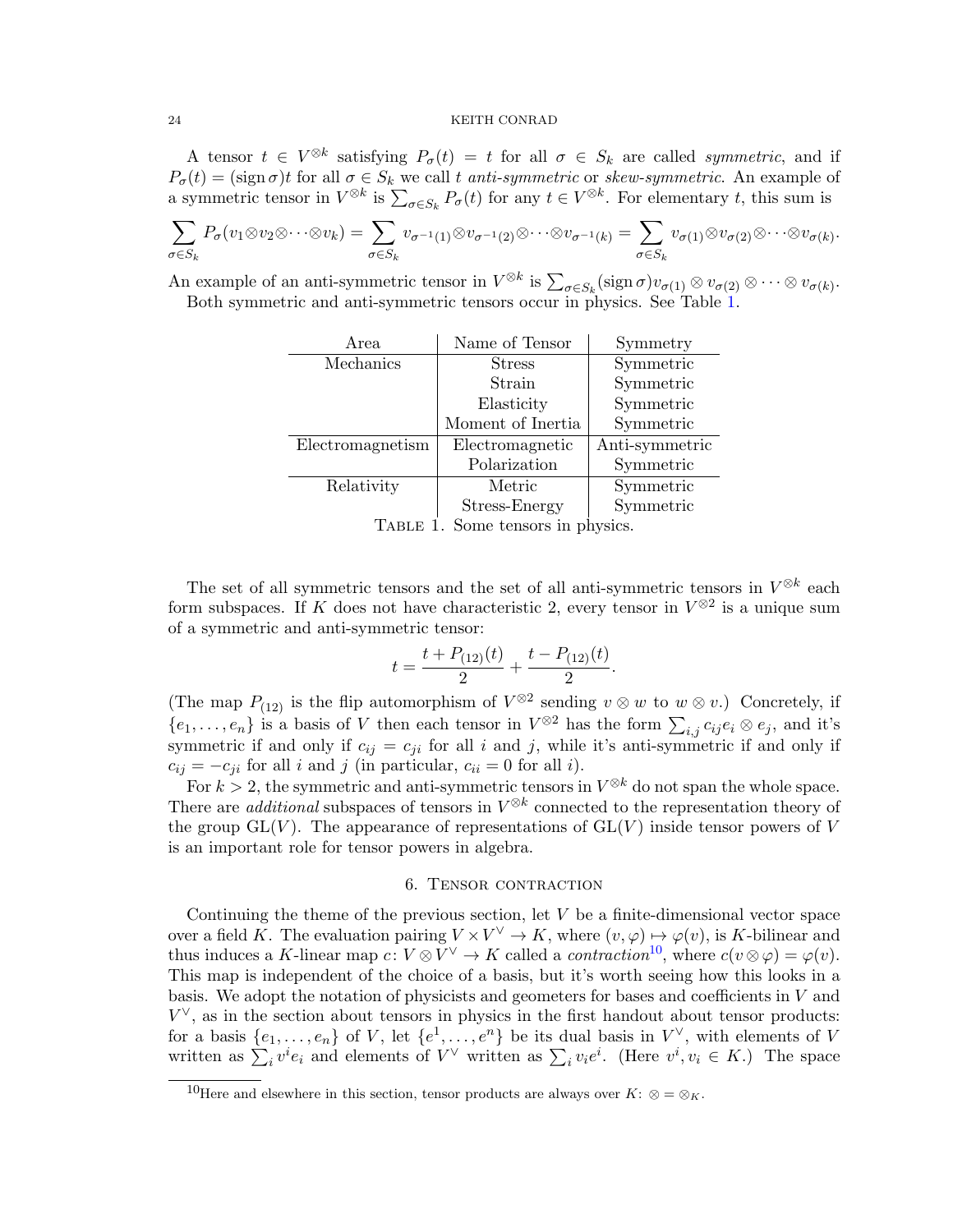A tensor  $t \in V^{\otimes k}$  satisfying  $P_{\sigma}(t) = t$  for all  $\sigma \in S_k$  are called *symmetric*, and if  $P_{\sigma}(t) = (\text{sign }\sigma)t$  for all  $\sigma \in S_k$  we call t anti-symmetric or skew-symmetric. An example of a symmetric tensor in  $V^{\otimes k}$  is  $\sum_{\sigma \in S_k} P_{\sigma}(t)$  for any  $t \in V^{\otimes k}$ . For elementary t, this sum is

$$
\sum_{\sigma \in S_k} P_{\sigma}(v_1 \otimes v_2 \otimes \cdots \otimes v_k) = \sum_{\sigma \in S_k} v_{\sigma^{-1}(1)} \otimes v_{\sigma^{-1}(2)} \otimes \cdots \otimes v_{\sigma^{-1}(k)} = \sum_{\sigma \in S_k} v_{\sigma(1)} \otimes v_{\sigma(2)} \otimes \cdots \otimes v_{\sigma(k)}.
$$

An example of an anti-symmetric tensor in  $V^{\otimes k}$  is  $\sum_{\sigma \in S_k} (\text{sign } \sigma) v_{\sigma(1)} \otimes v_{\sigma(2)} \otimes \cdots \otimes v_{\sigma(k)}$ . Both symmetric and anti-symmetric tensors occur in physics. See Table [1.](#page-23-0)

| Symmetry       |
|----------------|
| Symmetric      |
| Symmetric      |
| Symmetric      |
| Symmetric      |
| Anti-symmetric |
| Symmetric      |
| Symmetric      |
| Symmetric      |
|                |

<span id="page-23-0"></span>TABLE 1. Some tensors in physics.

The set of all symmetric tensors and the set of all anti-symmetric tensors in  $V^{\otimes k}$  each form subspaces. If K does not have characteristic 2, every tensor in  $V^{\otimes 2}$  is a unique sum of a symmetric and anti-symmetric tensor:

$$
t = \frac{t + P_{(12)}(t)}{2} + \frac{t - P_{(12)}(t)}{2}.
$$

(The map  $P_{(12)}$  is the flip automorphism of  $V^{\otimes 2}$  sending  $v \otimes w$  to  $w \otimes v$ .) Concretely, if  $\{e_1,\ldots,e_n\}$  is a basis of V then each tensor in  $V^{\otimes 2}$  has the form  $\sum_{i,j} c_{ij} e_i \otimes e_j$ , and it's symmetric if and only if  $c_{ij} = c_{ji}$  for all i and j, while it's anti-symmetric if and only if  $c_{ij} = -c_{ji}$  for all i and j (in particular,  $c_{ii} = 0$  for all i).

For  $k > 2$ , the symmetric and anti-symmetric tensors in  $V^{\otimes k}$  do not span the whole space. There are *additional* subspaces of tensors in  $V^{\otimes k}$  connected to the representation theory of the group  $GL(V)$ . The appearance of representations of  $GL(V)$  inside tensor powers of V is an important role for tensor powers in algebra.

# 6. Tensor contraction

Continuing the theme of the previous section, let  $V$  be a finite-dimensional vector space over a field K. The evaluation pairing  $V \times V^{\vee} \to K$ , where  $(v, \varphi) \mapsto \varphi(v)$ , is K-bilinear and thus induces a K-linear map  $c: V \otimes V^{\vee} \to K$  called a *contraction*<sup>[10](#page-23-1)</sup>, where  $c(v \otimes \varphi) = \varphi(v)$ . This map is independent of the choice of a basis, but it's worth seeing how this looks in a basis. We adopt the notation of physicists and geometers for bases and coefficients in  $V$  and  $V^{\vee}$ , as in the section about tensors in physics in the first handout about tensor products: for a basis  $\{e_1, \ldots, e_n\}$  of V, let  $\{e^1, \ldots, e^n\}$  be its dual basis in  $V^{\vee}$ , with elements of V written as  $\sum_i v^i e_i$  and elements of  $V^\vee$  written as  $\sum_i v_i e^i$ . (Here  $v^i, v_i \in K$ .) The space

<span id="page-23-1"></span><sup>&</sup>lt;sup>10</sup>Here and elsewhere in this section, tensor products are always over  $K: \otimes = \otimes_K$ .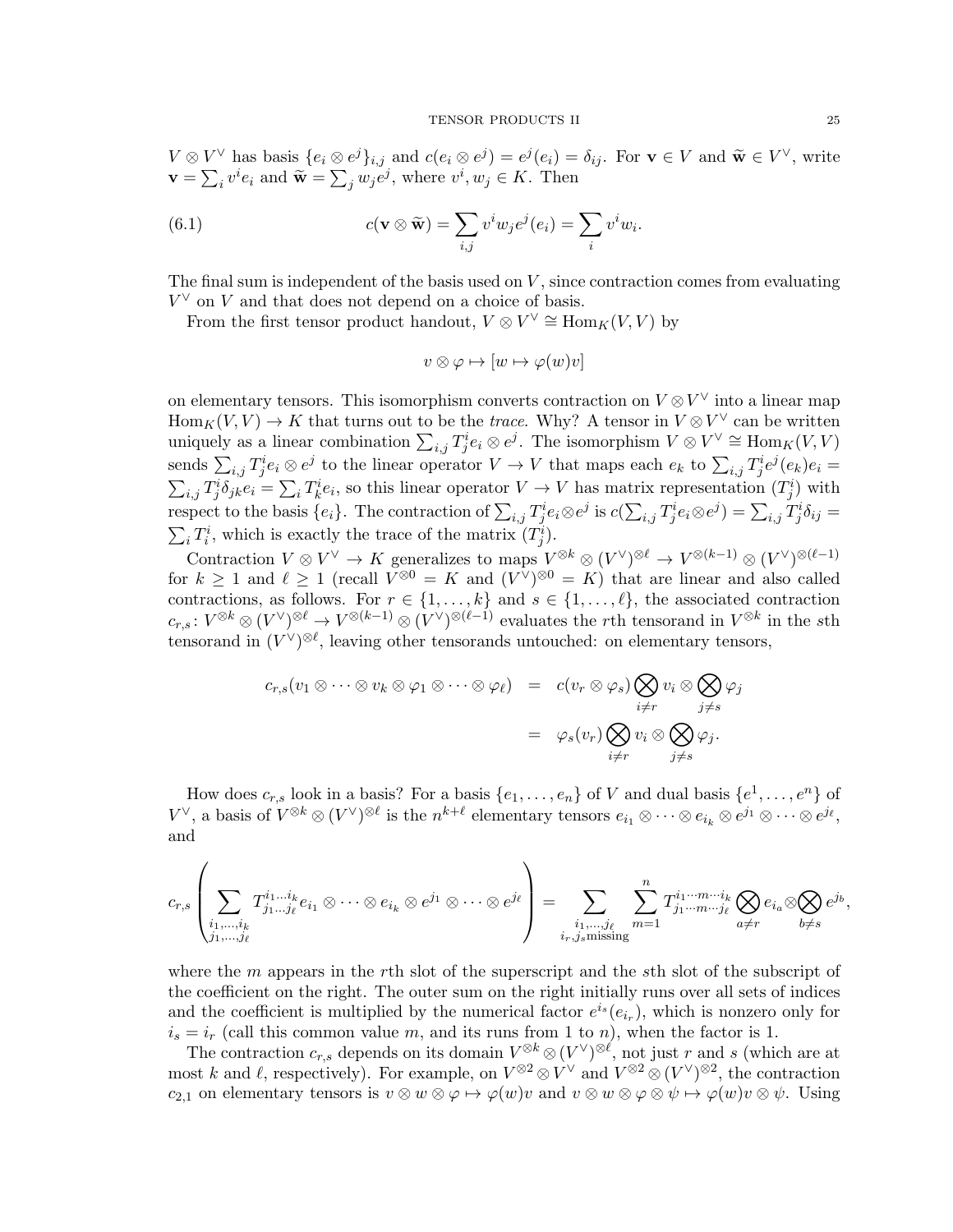$V \otimes V^{\vee}$  has basis  $\{e_i \otimes e^j\}_{i,j}$  and  $c(e_i \otimes e^j) = e^j(e_i) = \delta_{ij}$ . For  $\mathbf{v} \in V$  and  $\widetilde{\mathbf{w}} \in V^{\vee}$ , write  $\mathbf{v} = \sum_i v^i e_i$  and  $\widetilde{\mathbf{w}} = \sum_j w_j \widetilde{e}^j$ , where  $v^i, w_j \in K$ . Then

(6.1) 
$$
c(\mathbf{v} \otimes \widetilde{\mathbf{w}}) = \sum_{i,j} v^i w_j e^j(e_i) = \sum_i v^i w_i.
$$

The final sum is independent of the basis used on  $V$ , since contraction comes from evaluating  $V^{\vee}$  on V and that does not depend on a choice of basis.

From the first tensor product handout,  $V \otimes V^{\vee} \cong \text{Hom}_K(V, V)$  by

<span id="page-24-0"></span>
$$
v \otimes \varphi \mapsto [w \mapsto \varphi(w)v]
$$

on elementary tensors. This isomorphism converts contraction on  $V \otimes V^{\vee}$  into a linear map  $\text{Hom}_K(V, V) \to K$  that turns out to be the *trace*. Why? A tensor in  $V \otimes V^{\vee}$  can be written uniquely as a linear combination  $\sum_{i,j} T_j^i e_i \otimes e^j$ . The isomorphism  $V \otimes V^{\vee} \cong \text{Hom}_K(V, V)$ sends  $\sum_{i,j} T^i_j e_i \otimes e^j$  to the linear operator  $V \to V$  that maps each  $e_k$  to  $\sum_{i,j} T^i_j e^j (e_k) e_i =$  $\sum_{i,j} T_j^i \delta_{jk} e_i = \sum_i T_k^i e_i$ , so this linear operator  $V \to V$  has matrix representation  $(T_j^i)$  with respect to the basis  $\{e_i\}$ . The contraction of  $\sum_{i,j} T^i_j e_i \otimes e^j$  is  $c(\sum_{i,j} T^i_j e_i \otimes e^j) = \sum_{i,j} T^i_j \delta_{ij} =$  $\sum_i T_i^i$ , which is exactly the trace of the matrix  $(T_j^i)$ .

Contraction  $V \otimes V^{\vee} \to K$  generalizes to maps  $V^{\otimes k} \otimes (V^{\vee})^{\otimes \ell} \to V^{\otimes (k-1)} \otimes (V^{\vee})^{\otimes (\ell-1)}$ for  $k \geq 1$  and  $\ell \geq 1$  (recall  $V^{\otimes 0} = K$  and  $(V^{\vee})^{\otimes 0} = K$ ) that are linear and also called contractions, as follows. For  $r \in \{1, ..., k\}$  and  $s \in \{1, ..., \ell\}$ , the associated contraction  $c_{r,s}: V^{\otimes k} \otimes (V^{\vee})^{\otimes \ell} \to V^{\otimes (k-1)} \otimes (V^{\vee})^{\otimes (\ell-1)}$  evaluates the rth tensorand in  $V^{\otimes k}$  in the sth tensorand in  $(V^{\vee})^{\otimes \ell}$ , leaving other tensorands untouched: on elementary tensors,

$$
c_{r,s}(v_1 \otimes \cdots \otimes v_k \otimes \varphi_1 \otimes \cdots \otimes \varphi_\ell) = c(v_r \otimes \varphi_s) \bigotimes_{\substack{i \neq r \\ i \neq r}} v_i \otimes \bigotimes_{j \neq s} \varphi_j
$$
  
= 
$$
\varphi_s(v_r) \bigotimes_{\substack{i \neq r \\ j \neq s}} v_i \otimes \bigotimes_{j \neq s} \varphi_j.
$$

How does  $c_{r,s}$  look in a basis? For a basis  $\{e_1, \ldots, e_n\}$  of V and dual basis  $\{e^1, \ldots, e^n\}$  of  $V^\vee$ , a basis of  $V^{\otimes k} \otimes (V^\vee)^{\otimes \ell}$  is the  $n^{k+\ell}$  elementary tensors  $e_{i_1} \otimes \cdots \otimes e_{i_k} \otimes e^{j_1} \otimes \cdots \otimes e^{j_\ell}$ , and

$$
c_{r,s}\left(\sum_{\substack{i_1,\ldots,i_k\\j_1,\ldots,j_\ell}}T^{i_1\ldots i_k}_{j_1\ldots j_\ell}e_{i_1}\otimes\cdots\otimes e_{i_k}\otimes e^{j_1}\otimes\cdots\otimes e^{j_\ell}\right)=\sum_{\substack{i_1,\ldots,i_\ell\\i_r,j_s\text{ missing}}}\sum_{m=1}^nT^{i_1\cdots m\cdots i_k}_{j_1\cdots m\cdots j_\ell}\bigotimes_{a\neq r}e_{i_a}\otimes\bigotimes_{b\neq s}e^{j_b},
$$

where the  $m$  appears in the rth slot of the superscript and the sth slot of the subscript of the coefficient on the right. The outer sum on the right initially runs over all sets of indices and the coefficient is multiplied by the numerical factor  $e^{i_s}(e_{i_r})$ , which is nonzero only for  $i_s = i_r$  (call this common value m, and its runs from 1 to n), when the factor is 1.

The contraction  $c_{r,s}$  depends on its domain  $V^{\otimes k} \otimes (V^{\vee})^{\otimes \ell}$ , not just r and s (which are at most k and l, respectively). For example, on  $V^{\otimes 2} \otimes V^{\vee}$  and  $V^{\otimes 2} \otimes (V^{\vee})^{\otimes 2}$ , the contraction c<sub>2,1</sub> on elementary tensors is  $v \otimes w \otimes \varphi \mapsto \varphi(w)v$  and  $v \otimes w \otimes \varphi \otimes \psi \mapsto \varphi(w)v \otimes \psi$ . Using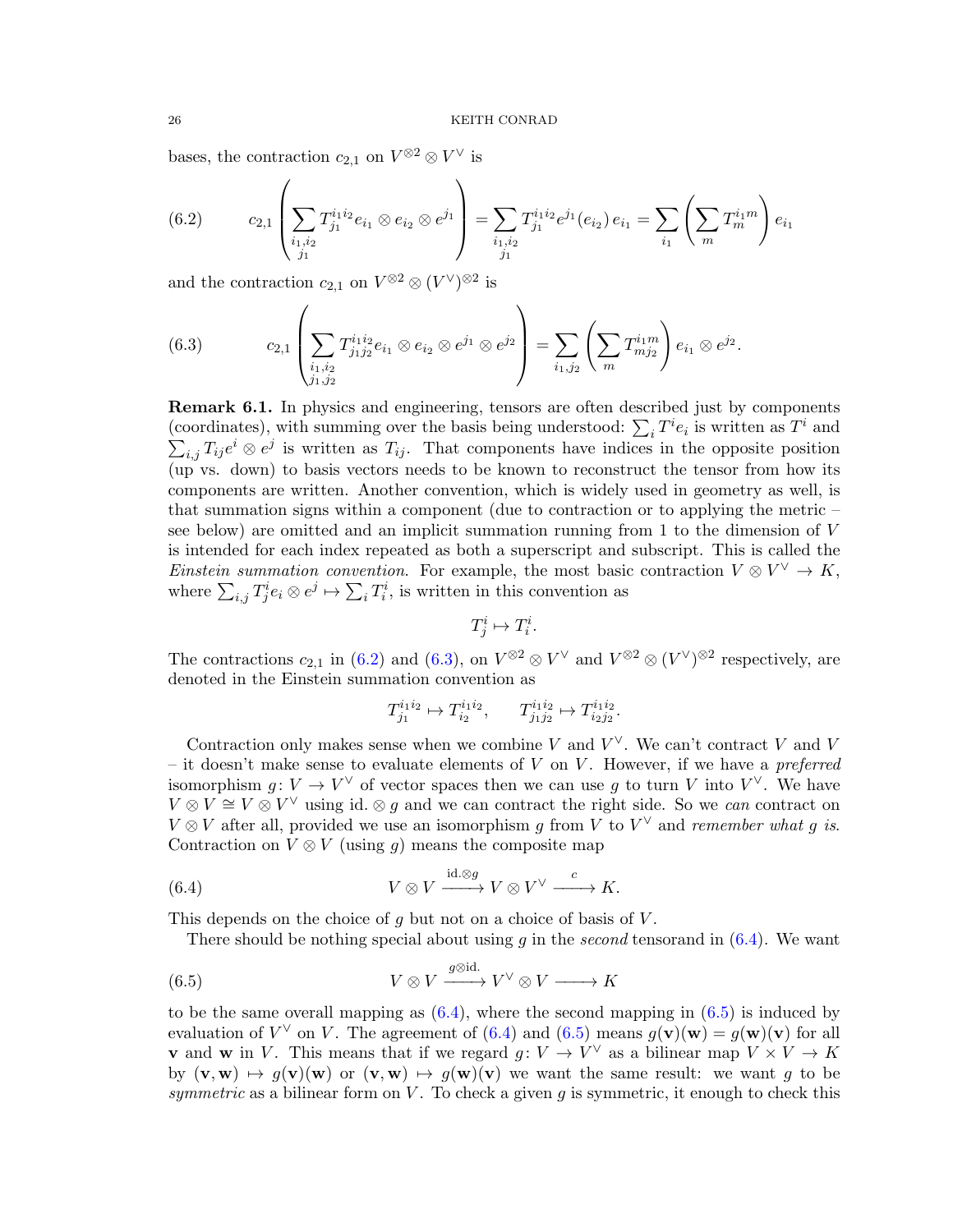bases, the contraction  $c_{2,1}$  on  $V^{\otimes 2} \otimes V^{\vee}$  is

<span id="page-25-0"></span>(6.2) 
$$
c_{2,1}\left(\sum_{\substack{i_1,i_2\\j_1}}T_{j_1}^{i_1i_2}e_{i_1}\otimes e_{i_2}\otimes e^{j_1}\right)=\sum_{\substack{i_1,i_2\\j_1}}T_{j_1}^{i_1i_2}e^{j_1}(e_{i_2})e_{i_1}=\sum_{i_1}\left(\sum_m T_m^{i_1m}\right)e_{i_1}
$$

and the contraction  $c_{2,1}$  on  $V^{\otimes 2} \otimes (V^{\vee})^{\otimes 2}$  is

<span id="page-25-1"></span>(6.3) 
$$
c_{2,1}\left(\sum_{\substack{i_1,i_2\\j_1,j_2}}T_{j_1j_2}^{i_1i_2}e_{i_1}\otimes e_{i_2}\otimes e^{j_1}\otimes e^{j_2}\right)=\sum_{i_1,j_2}\left(\sum_m T_{mj_2}^{i_1m}\right)e_{i_1}\otimes e^{j_2}.
$$

<span id="page-25-4"></span>Remark 6.1. In physics and engineering, tensors are often described just by components (coordinates), with summing over the basis being understood:  $\sum_i T^i e_i$  is written as  $T^i$  and  $\sum_{i,j} T_{ij}e^i \otimes e^j$  is written as  $T_{ij}$ . That components have indices in the opposite position (up vs. down) to basis vectors needs to be known to reconstruct the tensor from how its components are written. Another convention, which is widely used in geometry as well, is that summation signs within a component (due to contraction or to applying the metric – see below) are omitted and an implicit summation running from 1 to the dimension of V is intended for each index repeated as both a superscript and subscript. This is called the Einstein summation convention. For example, the most basic contraction  $V \otimes V^{\vee} \to K$ , where  $\sum_{i,j} T^i_j e_i \otimes e^j \mapsto \sum_i T^i_i$ , is written in this convention as

$$
T^i_j \mapsto T^i_i.
$$

The contractions  $c_{2,1}$  in [\(6.2\)](#page-25-0) and [\(6.3\)](#page-25-1), on  $V^{\otimes 2} \otimes V^{\vee}$  and  $V^{\otimes 2} \otimes (V^{\vee})^{\otimes 2}$  respectively, are denoted in the Einstein summation convention as

<span id="page-25-2"></span>
$$
T_{j_1}^{i_1 i_2} \mapsto T_{i_2}^{i_1 i_2}, \qquad T_{j_1 j_2}^{i_1 i_2} \mapsto T_{i_2 j_2}^{i_1 i_2}.
$$

Contraction only makes sense when we combine V and  $V^{\vee}$ . We can't contract V and V – it doesn't make sense to evaluate elements of  $V$  on  $V$ . However, if we have a preferred isomorphism  $g: V \to V^{\vee}$  of vector spaces then we can use g to turn V into  $V^{\vee}$ . We have  $V \otimes V \cong V \otimes V^{\vee}$  using id.  $\otimes g$  and we can contract the right side. So we can contract on  $V \otimes V$  after all, provided we use an isomorphism g from V to  $V^{\vee}$  and remember what g is. Contraction on  $V \otimes V$  (using q) means the composite map

(6.4) 
$$
V \otimes V \xrightarrow{\mathrm{id} \cdot \otimes g} V \otimes V^{\vee} \xrightarrow{c} K.
$$

This depends on the choice of  $q$  but not on a choice of basis of  $V$ .

<span id="page-25-3"></span>There should be nothing special about using q in the second tensorand in  $(6.4)$ . We want

(6.5) 
$$
V \otimes V \xrightarrow{g \otimes id.} V^{\vee} \otimes V \longrightarrow K
$$

to be the same overall mapping as  $(6.4)$ , where the second mapping in  $(6.5)$  is induced by evaluation of  $V^{\vee}$  on V. The agreement of [\(6.4\)](#page-25-2) and [\(6.5\)](#page-25-3) means  $g(\mathbf{v})(\mathbf{w}) = g(\mathbf{w})(\mathbf{v})$  for all **v** and **w** in V. This means that if we regard  $g: V \to V^{\vee}$  as a bilinear map  $V \times V \to K$ by  $(v, w) \mapsto g(v)(w)$  or  $(v, w) \mapsto g(w)(v)$  we want the same result: we want g to be symmetric as a bilinear form on  $V$ . To check a given g is symmetric, it enough to check this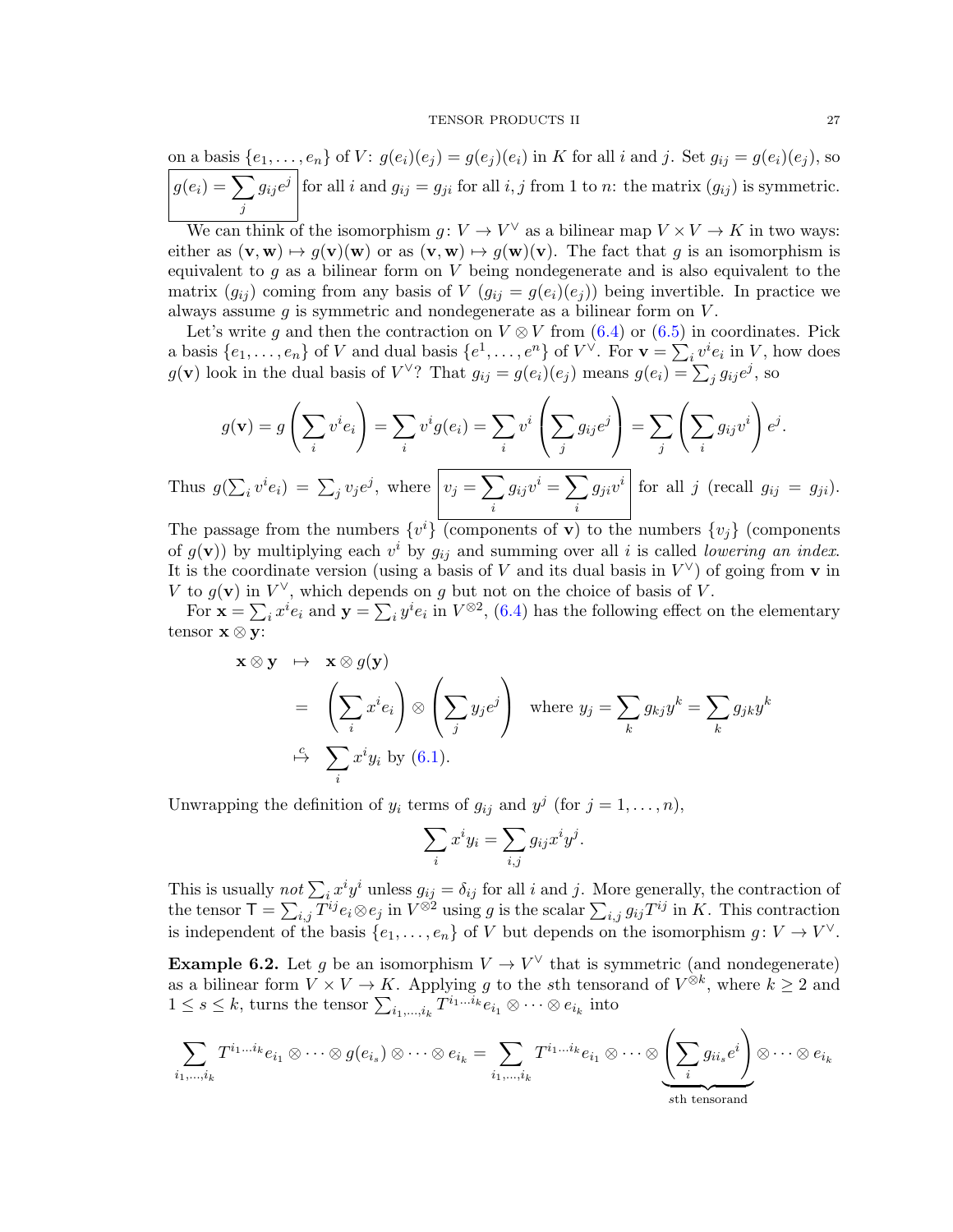on a basis  $\{e_1, \ldots, e_n\}$  of  $V: g(e_i)(e_i) = g(e_i)(e_i)$  in K for all i and j. Set  $g_{ij} = g(e_i)(e_i)$ , so  $g(e_i) = \sum$ j  $g_{ij}e^j$  for all i and  $g_{ij} = g_{ji}$  for all i, j from 1 to n: the matrix  $(g_{ij})$  is symmetric.

We can think of the isomorphism  $g: V \to V^{\vee}$  as a bilinear map  $V \times V \to K$  in two ways: either as  $(\mathbf{v}, \mathbf{w}) \mapsto g(\mathbf{v})(\mathbf{w})$  or as  $(\mathbf{v}, \mathbf{w}) \mapsto g(\mathbf{w})(\mathbf{v})$ . The fact that g is an isomorphism is equivalent to  $g$  as a bilinear form on  $V$  being nondegenerate and is also equivalent to the matrix  $(g_{ij})$  coming from any basis of V  $(g_{ij} = g(e_i)(e_j))$  being invertible. In practice we always assume  $g$  is symmetric and nondegenerate as a bilinear form on  $V$ .

Let's write q and then the contraction on  $V \otimes V$  from [\(6.4\)](#page-25-2) or [\(6.5\)](#page-25-3) in coordinates. Pick a basis  $\{e_1, \ldots, e_n\}$  of V and dual basis  $\{e^1, \ldots, e^n\}$  of  $V^{\vee}$ . For  $\mathbf{v} = \sum_i v^i e_i$  in V, how does  $g(\mathbf{v})$  look in the dual basis of  $V^{\vee}$ ? That  $g_{ij} = g(e_i)(e_j)$  means  $g(e_i) = \sum_j g_{ij}e^j$ , so

$$
g(\mathbf{v}) = g\left(\sum_i v^i e_i\right) = \sum_i v^i g(e_i) = \sum_i v^i \left(\sum_j g_{ij} e^j\right) = \sum_j \left(\sum_i g_{ij} v^i\right) e^j.
$$

Thus  $g(\sum_i v^i e_i) = \sum_j v_j e^j$ , where  $v_j = \sum_j$ i  $g_{ij}v^i=\sum$ i  $g_{ji}v^i$  for all j (recall  $g_{ij} = g_{ji}$ ).

The passage from the numbers  $\{v^i\}$  (components of **v**) to the numbers  $\{v_j\}$  (components of  $g(\mathbf{v})$  by multiplying each  $v^i$  by  $g_{ij}$  and summing over all i is called lowering an index. It is the coordinate version (using a basis of V and its dual basis in  $V^{\vee}$ ) of going from v in V to  $g(\mathbf{v})$  in  $V^{\vee}$ , which depends on g but not on the choice of basis of V.

For  $\mathbf{x} = \sum_i x^i e_i$  and  $\mathbf{y} = \sum_i y^i e_i$  in  $V^{\otimes 2}$ , [\(6.4\)](#page-25-2) has the following effect on the elementary tensor  $\mathbf{x} \otimes \mathbf{y}$ :

$$
\mathbf{x} \otimes \mathbf{y} \mapsto \mathbf{x} \otimes g(\mathbf{y})
$$
  
=  $\left(\sum_i x^i e_i\right) \otimes \left(\sum_j y_j e^j\right)$  where  $y_j = \sum_k g_{kj} y^k = \sum_k g_{jk} y^k$   
 $\xrightarrow{i} \sum_i x^i y_i$  by (6.1).

Unwrapping the definition of  $y_i$  terms of  $g_{ij}$  and  $y^j$  (for  $j = 1, \ldots, n$ ),

$$
\sum_i x^i y_i = \sum_{i,j} g_{ij} x^i y^j.
$$

This is usually not  $\sum_i x^i y^i$  unless  $g_{ij} = \delta_{ij}$  for all i and j. More generally, the contraction of the tensor  $\mathsf{T} = \sum_{i,j} T^{ij} e_i \otimes e_j$  in  $V^{\otimes 2}$  using g is the scalar  $\sum_{i,j} g_{ij} T^{ij}$  in K. This contraction is independent of the basis  $\{e_1, \ldots, e_n\}$  of V but depends on the isomorphism  $g: V \to V^{\vee}$ .

**Example 6.2.** Let g be an isomorphism  $V \to V^{\vee}$  that is symmetric (and nondegenerate) as a bilinear form  $V \times V \to K$ . Applying g to the sth tensorand of  $V^{\otimes k}$ , where  $k \geq 2$  and  $1 \leq s \leq k$ , turns the tensor  $\sum_{i_1,\dots,i_k} T^{i_1\dots i_k} e_{i_1} \otimes \cdots \otimes e_{i_k}$  into

$$
\sum_{i_1,\dots,i_k} T^{i_1\dots i_k} e_{i_1} \otimes \dots \otimes g(e_{i_s}) \otimes \dots \otimes e_{i_k} = \sum_{i_1,\dots,i_k} T^{i_1\dots i_k} e_{i_1} \otimes \dots \otimes \underbrace{\left(\sum_i g_{ii_s} e^i\right)}_{\text{sth tensorand}} \otimes \dots \otimes e_{i_k}
$$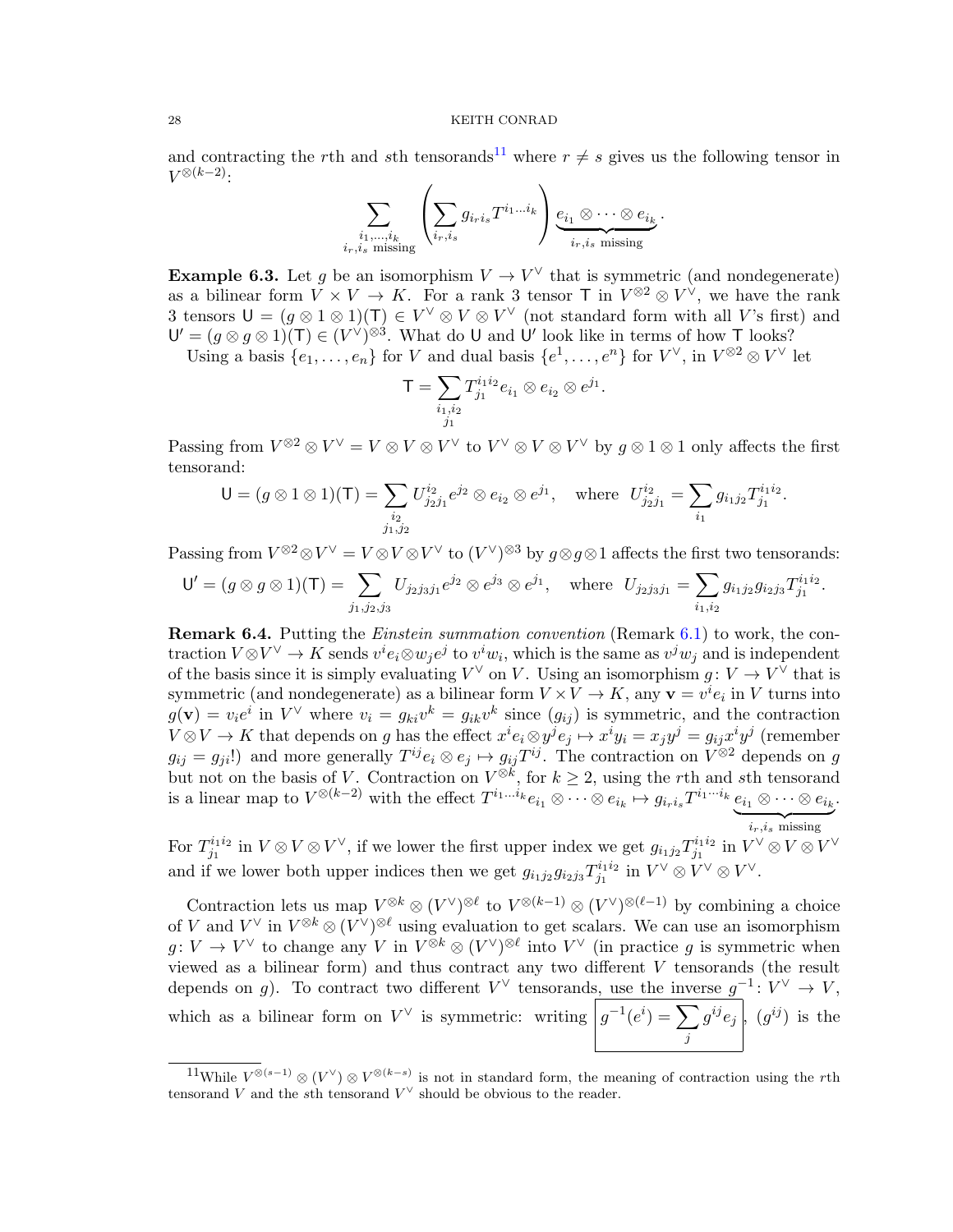and contracting the rth and sth tensorands<sup>[11](#page-27-0)</sup> where  $r \neq s$  gives us the following tensor in  $V^{\otimes (k-2)}$ :

$$
\sum_{\substack{i_1,\ldots,i_k \\ i_r,i_s \text{ missing}}} \left( \sum_{i_r,i_s} g_{i_r i_s} T^{i_1 \ldots i_k} \right) \underbrace{e_{i_1} \otimes \cdots \otimes e_{i_k}}_{i_r,i_s \text{ missing}}.
$$

**Example 6.3.** Let g be an isomorphism  $V \to V^{\vee}$  that is symmetric (and nondegenerate) as a bilinear form  $V \times V \to K$ . For a rank 3 tensor T in  $V^{\otimes 2} \otimes V^{\vee}$ , we have the rank 3 tensors  $U = (g \otimes 1 \otimes 1)(T) \in V^{\vee} \otimes V \otimes V^{\vee}$  (not standard form with all V's first) and  $\mathsf{U}'=(g\otimes g\otimes 1)(\mathsf{T})\in (V^{\vee})^{\otimes 3}$ . What do U and U' look like in terms of how T looks?

Using a basis  $\{e_1,\ldots,e_n\}$  for V and dual basis  $\{e^1,\ldots,e^n\}$  for  $V^\vee$ , in  $V^{\otimes 2}\otimes V^\vee$  let

$$
\mathsf{T} = \sum_{\substack{i_1, i_2 \\ j_1}} T_{j_1}^{i_1 i_2} e_{i_1} \otimes e_{i_2} \otimes e^{j_1}.
$$

Passing from  $V^{\otimes 2} \otimes V^{\vee} = V \otimes V \otimes V^{\vee}$  to  $V^{\vee} \otimes V \otimes V^{\vee}$  by  $g \otimes 1 \otimes 1$  only affects the first tensorand:

$$
\mathsf{U}=(g\otimes 1\otimes 1)(\mathsf{T})=\sum_{\substack{i_2\\j_1,j_2}}U_{j_2j_1}^{i_2}e^{j_2}\otimes e_{i_2}\otimes e^{j_1},\quad\text{where}\ \ U_{j_2j_1}^{i_2}=\sum_{i_1}g_{i_1j_2}T_{j_1}^{i_1i_2}.
$$

Passing from  $V^{\otimes 2} \otimes V^{\vee} = V \otimes V \otimes V^{\vee}$  to  $(V^{\vee})^{\otimes 3}$  by  $g \otimes g \otimes 1$  affects the first two tensorands:

$$
\mathsf{U}'=(g\otimes g\otimes 1)(\mathsf{T})=\sum_{j_1,j_2,j_3}U_{j_2j_3j_1}e^{j_2}\otimes e^{j_3}\otimes e^{j_1},\quad\text{where}\quad U_{j_2j_3j_1}=\sum_{i_1,i_2}g_{i_1j_2}g_{i_2j_3}T_{j_1}^{i_1i_2}.
$$

Remark 6.4. Putting the Einstein summation convention (Remark [6.1\)](#page-25-4) to work, the contraction  $V \otimes V^{\vee} \to K$  sends  $v^{i}e_{i} \otimes w_{j}e^{j}$  to  $v^{i}w_{i}$ , which is the same as  $v^{j}w_{j}$  and is independent of the basis since it is simply evaluating  $V^{\vee}$  on V. Using an isomorphism  $g: V \to V^{\vee}$  that is symmetric (and nondegenerate) as a bilinear form  $V \times V \to K$ , any  $\mathbf{v} = v^i e_i$  in V turns into  $g(\mathbf{v}) = v_i e^i$  in  $V^{\vee}$  where  $v_i = g_{ki} v^k = g_{ik} v^k$  since  $(g_{ij})$  is symmetric, and the contraction  $V \otimes V \to K$  that depends on g has the effect  $x^i e_i \otimes y^j e_j \mapsto x^i y_i = x_j y^j = g_{ij} x^i y^j$  (remember  $g_{ij} = g_{ji}!$  and more generally  $T^{ij}e_i \otimes e_j \mapsto g_{ij}T^{ij}$ . The contraction on  $V^{\otimes 2}$  depends on g but not on the basis of V. Contraction on  $V^{\otimes k}$ , for  $k \geq 2$ , using the rth and sth tensorand is a linear map to  $V^{\otimes (k-2)}$  with the effect  $T^{i_1...i_k}e_{i_1}\otimes \cdots \otimes e_{i_k} \mapsto g_{i_ri_s}T^{i_1...i_k}e_{i_1}\otimes \cdots \otimes e_{i_k}$  *missing* .

For  $T_{i_1}^{i_1i_2}$  $j_1^{i_1 i_2}$  in  $V \otimes V \otimes V^{\vee}$ , if we lower the first upper index we get  $g_{i_1 j_2} T^{i_1 i_2}_{j_1}$  $y_1^{i_1 i_2}$  in  $V^\vee \otimes V \otimes V^\vee$ and if we lower both upper indices then we get  $g_{i_1j_2}g_{i_2j_3}T_{j_1}^{i_1i_2}$  $y_1^{i_1 i_2}$  in  $V^\vee \otimes V^\vee \otimes V^\vee$ .

Contraction lets us map  $V^{\otimes k} \otimes (V^{\vee})^{\otimes \ell}$  to  $V^{\otimes (k-1)} \otimes (V^{\vee})^{\otimes (\ell-1)}$  by combining a choice of V and  $V^{\vee}$  in  $V^{\otimes k} \otimes (V^{\vee})^{\otimes \ell}$  using evaluation to get scalars. We can use an isomorphism  $g: V \to V^{\vee}$  to change any V in  $V^{\otimes k} \otimes (V^{\vee})^{\otimes \ell}$  into  $V^{\vee}$  (in practice g is symmetric when viewed as a bilinear form) and thus contract any two different V tensorands (the result depends on g). To contract two different  $V^{\vee}$  tensorands, use the inverse  $g^{-1}: V^{\vee} \to V$ , which as a bilinear form on  $V^{\vee}$  is symmetric: writing  $|g^{-1}(e^i) = \sum$ j  $g^{ij}e_j$ ,  $(g^{ij})$  is the

<span id="page-27-0"></span><sup>&</sup>lt;sup>11</sup>While  $V^{\otimes (s-1)}$  ⊗  $(V^{\vee})$  ⊗  $V^{\otimes (k-s)}$  is not in standard form, the meaning of contraction using the rth tensorand V and the sth tensorand  $V^{\vee}$  should be obvious to the reader.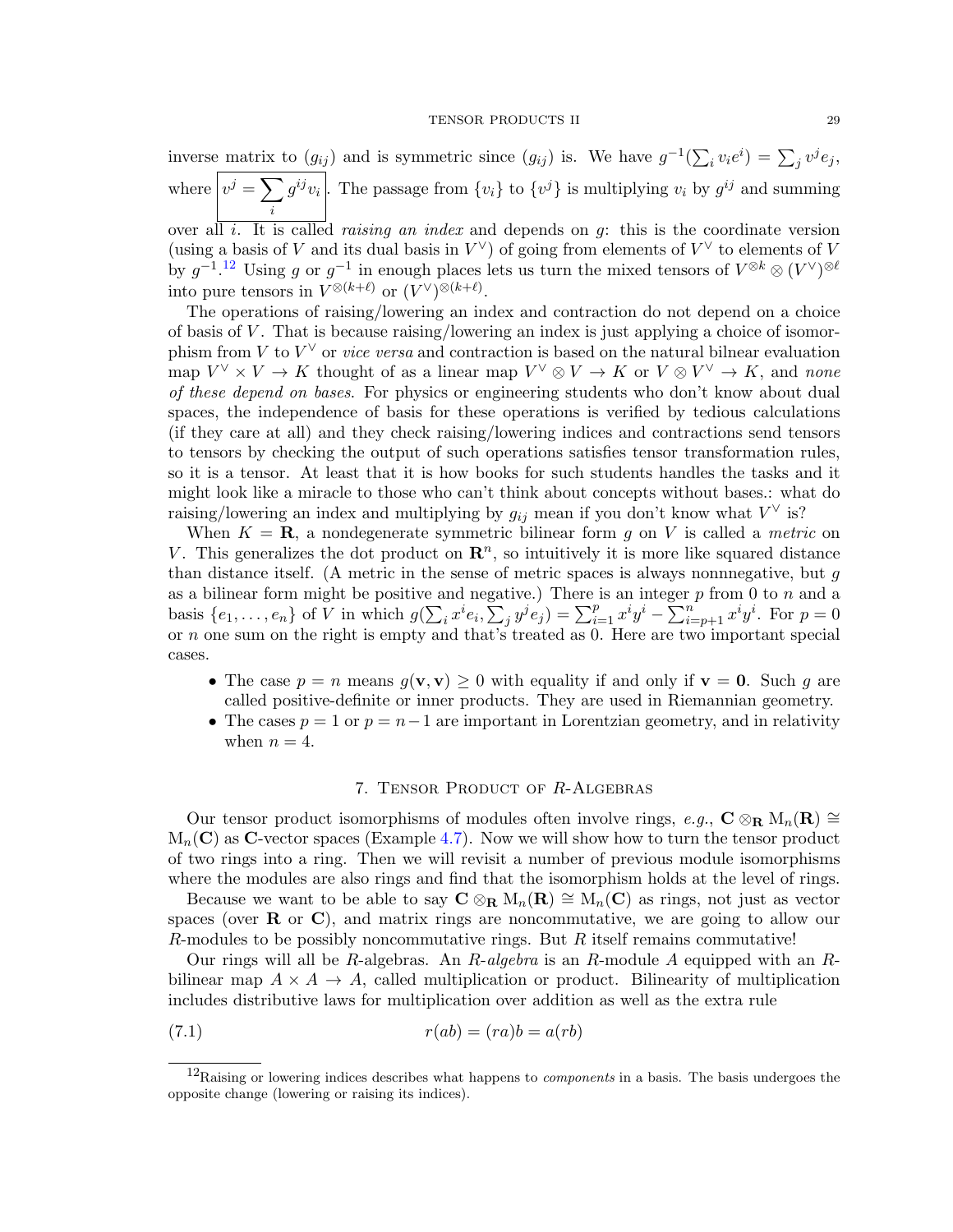inverse matrix to  $(g_{ij})$  and is symmetric since  $(g_{ij})$  is. We have  $g^{-1}(\sum_i v_i e^i) = \sum_j v^j e_j$ , where  $v^j = \sum$ i  $g^{ij}v_i$ . The passage from  $\{v_i\}$  to  $\{v^j\}$  is multiplying  $v_i$  by  $g^{ij}$  and summing over all i. It is called raising an index and depends on g: this is the coordinate version

(using a basis of V and its dual basis in  $V^{\vee}$ ) of going from elements of  $V^{\vee}$  to elements of V by  $g^{-1}$ .<sup>[12](#page-28-0)</sup> Using g or  $g^{-1}$  in enough places lets us turn the mixed tensors of  $V^{\otimes k} \otimes (V^{\vee})^{\otimes \ell}$ into pure tensors in  $V^{\otimes (k+\ell)}$  or  $(V^{\vee})^{\otimes (k+\ell)}$ .

The operations of raising/lowering an index and contraction do not depend on a choice of basis of  $V$ . That is because raising/lowering an index is just applying a choice of isomorphism from V to  $V^{\vee}$  or *vice versa* and contraction is based on the natural bilnear evaluation map  $V^{\vee} \times V \to K$  thought of as a linear map  $V^{\vee} \otimes V \to K$  or  $V \otimes V^{\vee} \to K$ , and none of these depend on bases. For physics or engineering students who don't know about dual spaces, the independence of basis for these operations is verified by tedious calculations (if they care at all) and they check raising/lowering indices and contractions send tensors to tensors by checking the output of such operations satisfies tensor transformation rules, so it is a tensor. At least that it is how books for such students handles the tasks and it might look like a miracle to those who can't think about concepts without bases.: what do raising/lowering an index and multiplying by  $g_{ij}$  mean if you don't know what  $V^{\vee}$  is?

When  $K = \mathbf{R}$ , a nondegenerate symmetric bilinear form g on V is called a metric on V. This generalizes the dot product on  $\mathbb{R}^n$ , so intuitively it is more like squared distance than distance itself. (A metric in the sense of metric spaces is always nonnnegative, but  $q$ as a bilinear form might be positive and negative.) There is an integer  $p$  from 0 to  $n$  and a basis  $\{e_1, \ldots, e_n\}$  of  $\overline{V}$  in which  $g(\sum_i x^i e_i, \sum_j y^j e_j) = \sum_{i=1}^p x^i y^i - \sum_{i=p+1}^n x^i y^i$ . For  $p=0$ or n one sum on the right is empty and that's treated as 0. Here are two important special cases.

- The case  $p = n$  means  $q(\mathbf{v}, \mathbf{v}) \geq 0$  with equality if and only if  $\mathbf{v} = \mathbf{0}$ . Such q are called positive-definite or inner products. They are used in Riemannian geometry.
- The cases  $p = 1$  or  $p = n-1$  are important in Lorentzian geometry, and in relativity when  $n = 4$ .

# <span id="page-28-1"></span>7. Tensor Product of R-Algebras

<span id="page-28-2"></span>Our tensor product isomorphisms of modules often involve rings, e.g.,  $C \otimes_R M_n(R) \cong$  $M_n(C)$  as C-vector spaces (Example [4.7\)](#page-15-2). Now we will show how to turn the tensor product of two rings into a ring. Then we will revisit a number of previous module isomorphisms where the modules are also rings and find that the isomorphism holds at the level of rings.

Because we want to be able to say  $C \otimes_R M_n(\mathbf{R}) \cong M_n(\mathbf{C})$  as rings, not just as vector spaces (over  $\bf{R}$  or  $\bf{C}$ ), and matrix rings are noncommutative, we are going to allow our R-modules to be possibly noncommutative rings. But  $R$  itself remains commutative!

Our rings will all be R-algebras. An R-algebra is an R-module A equipped with an Rbilinear map  $A \times A \rightarrow A$ , called multiplication or product. Bilinearity of multiplication includes distributive laws for multiplication over addition as well as the extra rule

$$
(7.1) \t\t\t r(ab) = (ra)b = a(rb)
$$

<span id="page-28-0"></span> $12$ Raising or lowering indices describes what happens to *components* in a basis. The basis undergoes the opposite change (lowering or raising its indices).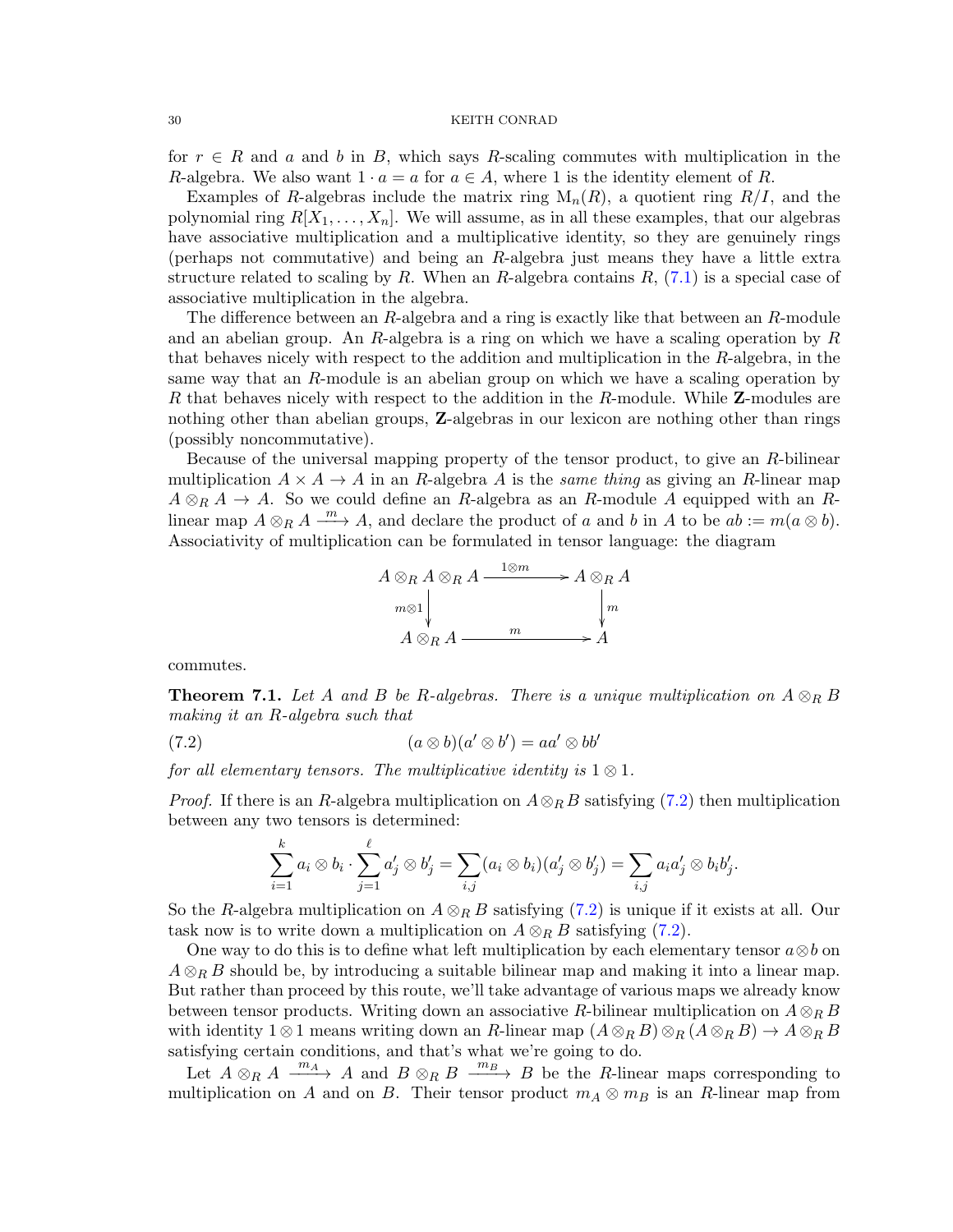for  $r \in R$  and a and b in B, which says R-scaling commutes with multiplication in the R-algebra. We also want  $1 \cdot a = a$  for  $a \in A$ , where 1 is the identity element of R.

Examples of R-algebras include the matrix ring  $M_n(R)$ , a quotient ring  $R/I$ , and the polynomial ring  $R[X_1, \ldots, X_n]$ . We will assume, as in all these examples, that our algebras have associative multiplication and a multiplicative identity, so they are genuinely rings (perhaps not commutative) and being an R-algebra just means they have a little extra structure related to scaling by R. When an R-algebra contains  $R$ , [\(7.1\)](#page-28-1) is a special case of associative multiplication in the algebra.

The difference between an R-algebra and a ring is exactly like that between an R-module and an abelian group. An R-algebra is a ring on which we have a scaling operation by  $R$ that behaves nicely with respect to the addition and multiplication in the  $R$ -algebra, in the same way that an R-module is an abelian group on which we have a scaling operation by R that behaves nicely with respect to the addition in the R-module. While Z-modules are nothing other than abelian groups, Z-algebras in our lexicon are nothing other than rings (possibly noncommutative).

Because of the universal mapping property of the tensor product, to give an R-bilinear multiplication  $A \times A \rightarrow A$  in an R-algebra A is the same thing as giving an R-linear map  $A \otimes_R A \to A$ . So we could define an R-algebra as an R-module A equipped with an Rlinear map  $A \otimes_R A \xrightarrow{m} A$ , and declare the product of a and b in A to be  $ab := m(a \otimes b)$ . Associativity of multiplication can be formulated in tensor language: the diagram

<span id="page-29-0"></span>

commutes.

**Theorem 7.1.** Let A and B be R-algebras. There is a unique multiplication on  $A \otimes_R B$ making it an R-algebra such that

(7.2)  $(a \otimes b)(a' \otimes b') = aa' \otimes bb'$ 

for all elementary tensors. The multiplicative identity is  $1 \otimes 1$ .

*Proof.* If there is an R-algebra multiplication on  $A \otimes_R B$  satisfying [\(7.2\)](#page-29-0) then multiplication between any two tensors is determined:

$$
\sum_{i=1}^k a_i \otimes b_i \cdot \sum_{j=1}^\ell a'_j \otimes b'_j = \sum_{i,j} (a_i \otimes b_i)(a'_j \otimes b'_j) = \sum_{i,j} a_i a'_j \otimes b_i b'_j.
$$

So the R-algebra multiplication on  $A \otimes_R B$  satisfying [\(7.2\)](#page-29-0) is unique if it exists at all. Our task now is to write down a multiplication on  $A \otimes_R B$  satisfying [\(7.2\)](#page-29-0).

One way to do this is to define what left multiplication by each elementary tensor  $a\otimes b$  on  $A \otimes_B B$  should be, by introducing a suitable bilinear map and making it into a linear map. But rather than proceed by this route, we'll take advantage of various maps we already know between tensor products. Writing down an associative R-bilinear multiplication on  $A \otimes_R B$ with identity  $1 \otimes 1$  means writing down an R-linear map  $(A \otimes_R B) \otimes_R (A \otimes_R B) \to A \otimes_R B$ satisfying certain conditions, and that's what we're going to do.

Let  $A \otimes_R A \xrightarrow{m_A} A$  and  $B \otimes_R B \xrightarrow{m_B} B$  be the R-linear maps corresponding to multiplication on A and on B. Their tensor product  $m_A \otimes m_B$  is an R-linear map from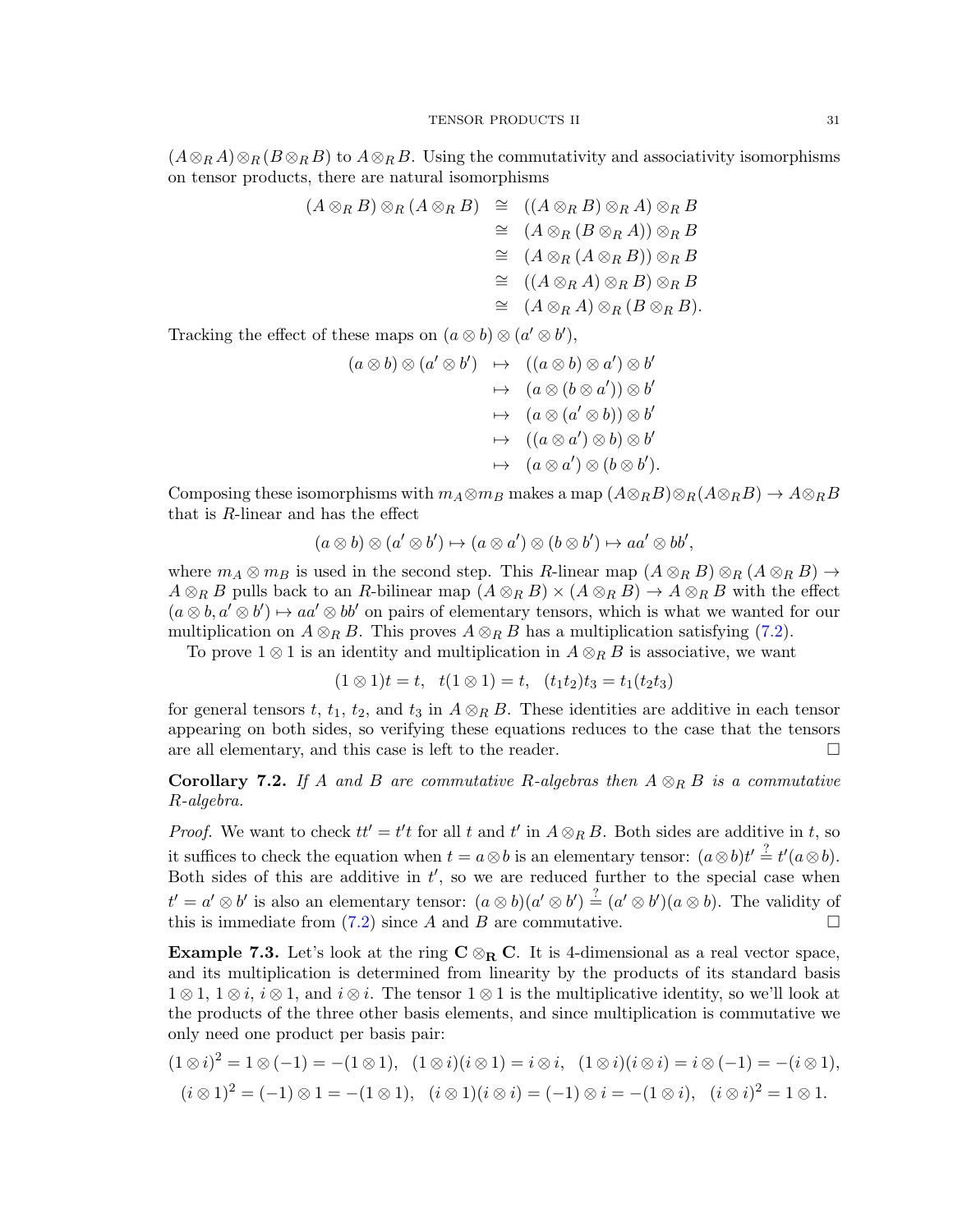$(A\otimes_R A)\otimes_R (B\otimes_R B)$  to  $A\otimes_R B$ . Using the commutativity and associativity isomorphisms on tensor products, there are natural isomorphisms

$$
(A \otimes_R B) \otimes_R (A \otimes_R B) \cong ((A \otimes_R B) \otimes_R A) \otimes_R B
$$
  
\n
$$
\cong (A \otimes_R (B \otimes_R A)) \otimes_R B
$$
  
\n
$$
\cong (A \otimes_R (A \otimes_R B)) \otimes_R B
$$
  
\n
$$
\cong ((A \otimes_R A) \otimes_R B) \otimes_R B
$$
  
\n
$$
\cong (A \otimes_R A) \otimes_R (B \otimes_R B).
$$

Tracking the effect of these maps on  $(a \otimes b) \otimes (a' \otimes b')$ ,

$$
(a \otimes b) \otimes (a' \otimes b') \rightarrow ((a \otimes b) \otimes a') \otimes b'
$$
  
\n
$$
\rightarrow (a \otimes (b \otimes a')) \otimes b'
$$
  
\n
$$
\rightarrow (a \otimes (a' \otimes b)) \otimes b'
$$
  
\n
$$
\rightarrow ((a \otimes a') \otimes b) \otimes b'
$$
  
\n
$$
\rightarrow (a \otimes a') \otimes (b \otimes b').
$$

Composing these isomorphisms with  $m_A \otimes m_B$  makes a map  $(A \otimes_R B) \otimes_R (A \otimes_R B) \to A \otimes_R B$ that is R-linear and has the effect

$$
(a \otimes b) \otimes (a' \otimes b') \mapsto (a \otimes a') \otimes (b \otimes b') \mapsto aa' \otimes bb',
$$

where  $m_A \otimes m_B$  is used in the second step. This R-linear map  $(A \otimes_R B) \otimes_R (A \otimes_R B) \rightarrow$  $A \otimes_R B$  pulls back to an R-bilinear map  $(A \otimes_R B) \times (A \otimes_R B) \to A \otimes_R B$  with the effect  $(a \otimes b, a' \otimes b') \mapsto aa' \otimes bb'$  on pairs of elementary tensors, which is what we wanted for our multiplication on  $A \otimes_R B$ . This proves  $A \otimes_R B$  has a multiplication satisfying [\(7.2\)](#page-29-0).

To prove  $1 \otimes 1$  is an identity and multiplication in  $A \otimes_R B$  is associative, we want

$$
(1 \otimes 1)t = t, \quad t(1 \otimes 1) = t, \quad (t_1t_2)t_3 = t_1(t_2t_3)
$$

for general tensors t,  $t_1$ ,  $t_2$ , and  $t_3$  in  $A \otimes_R B$ . These identities are additive in each tensor appearing on both sides, so verifying these equations reduces to the case that the tensors are all elementary, and this case is left to the reader.  $\Box$ 

**Corollary 7.2.** If A and B are commutative R-algebras then  $A \otimes_R B$  is a commutative R-algebra.

*Proof.* We want to check  $tt' = t't$  for all t and t' in  $A \otimes_R B$ . Both sides are additive in t, so it suffices to check the equation when  $t = a \otimes b$  is an elementary tensor:  $(a \otimes b)t' \stackrel{?}{=} t'(a \otimes b)$ . Both sides of this are additive in  $t'$ , so we are reduced further to the special case when  $t' = a' \otimes b'$  is also an elementary tensor:  $(a \otimes b)(a' \otimes b') \stackrel{?}{=} (a' \otimes b')(a \otimes b)$ . The validity of this is immediate from  $(7.2)$  since A and B are commutative.

<span id="page-30-0"></span>**Example 7.3.** Let's look at the ring  $C \otimes_R C$ . It is 4-dimensional as a real vector space, and its multiplication is determined from linearity by the products of its standard basis  $1 \otimes 1$ ,  $1 \otimes i$ ,  $i \otimes 1$ , and  $i \otimes i$ . The tensor  $1 \otimes 1$  is the multiplicative identity, so we'll look at the products of the three other basis elements, and since multiplication is commutative we only need one product per basis pair:

$$
(1 \otimes i)^2 = 1 \otimes (-1) = -(1 \otimes 1), \quad (1 \otimes i)(i \otimes 1) = i \otimes i, \quad (1 \otimes i)(i \otimes i) = i \otimes (-1) = -(i \otimes 1),
$$
  

$$
(i \otimes 1)^2 = (-1) \otimes 1 = -(1 \otimes 1), \quad (i \otimes 1)(i \otimes i) = (-1) \otimes i = -(1 \otimes i), \quad (i \otimes i)^2 = 1 \otimes 1.
$$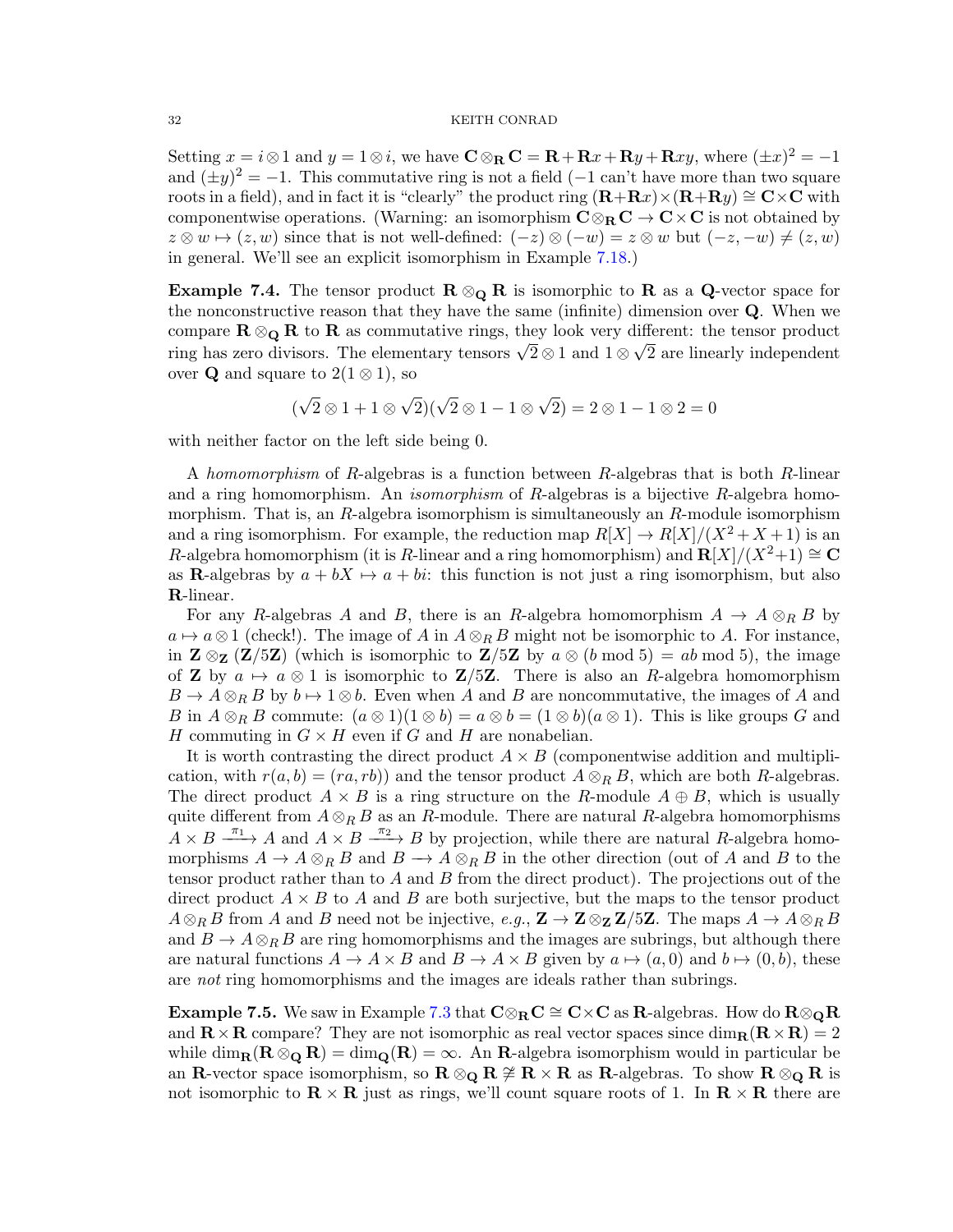Setting  $x = i \otimes 1$  and  $y = 1 \otimes i$ , we have  $\mathbf{C} \otimes_{\mathbf{R}} \mathbf{C} = \mathbf{R} + \mathbf{R}x + \mathbf{R}y + \mathbf{R}xy$ , where  $(\pm x)^2 = -1$ and  $(\pm y)^2 = -1$ . This commutative ring is not a field  $(-1 \text{ can't have more than two square})$ roots in a field), and in fact it is "clearly" the product ring  $(R+Rx)\times (R+Ry) \cong C\times C$  with componentwise operations. (Warning: an isomorphism  $C \otimes_R C \to C \times C$  is not obtained by  $z \otimes w \mapsto (z, w)$  since that is not well-defined:  $(-z) \otimes (-w) = z \otimes w$  but  $(-z, -w) \neq (z, w)$ in general. We'll see an explicit isomorphism in Example [7.18.](#page-36-0))

**Example 7.4.** The tensor product  $\mathbf{R} \otimes_{\mathbf{Q}} \mathbf{R}$  is isomorphic to  $\mathbf{R}$  as a  $\mathbf{Q}$ -vector space for the nonconstructive reason that they have the same (infinite) dimension over Q. When we compare  $\mathbf{R} \otimes_{\mathbf{Q}} \mathbf{R}$  to  $\mathbf{R}$  as commutative rings, they look very different: the tensor product compare  $\mathbf{R} \otimes \mathbf{Q} \mathbf{R}$  to  $\mathbf{R}$  as commutative rings, they look very different: the tensor product ring has zero divisors. The elementary tensors  $\sqrt{2} \otimes 1$  and  $1 \otimes \sqrt{2}$  are linearly independent over Q and square to  $2(1 \otimes 1)$ , so

$$
(\sqrt{2}\otimes 1+1\otimes \sqrt{2})(\sqrt{2}\otimes 1-1\otimes \sqrt{2})=2\otimes 1-1\otimes 2=0
$$

with neither factor on the left side being 0.

A homomorphism of R-algebras is a function between R-algebras that is both R-linear and a ring homomorphism. An *isomorphism* of R-algebras is a bijective R-algebra homomorphism. That is, an  $R$ -algebra isomorphism is simultaneously an  $R$ -module isomorphism and a ring isomorphism. For example, the reduction map  $R[X] \to R[X]/(X^2+X+1)$  is an R-algebra homomorphism (it is R-linear and a ring homomorphism) and  $\mathbf{R}[X]/(X^2+1) \cong \mathbf{C}$ as **R**-algebras by  $a + bX \rightarrow a + bi$ : this function is not just a ring isomorphism, but also R-linear.

For any R-algebras A and B, there is an R-algebra homomorphism  $A \to A \otimes_R B$  by  $a \mapsto a \otimes 1$  (check!). The image of A in  $A \otimes_B B$  might not be isomorphic to A. For instance, in  $\mathbb{Z} \otimes_{\mathbb{Z}} (\mathbb{Z}/5\mathbb{Z})$  (which is isomorphic to  $\mathbb{Z}/5\mathbb{Z}$  by  $a \otimes (b \mod 5) = ab \mod 5$ ), the image of **Z** by  $a \mapsto a \otimes 1$  is isomorphic to **Z**/5**Z**. There is also an R-algebra homomorphism  $B \to A \otimes_B B$  by  $b \mapsto 1 \otimes b$ . Even when A and B are noncommutative, the images of A and B in  $A \otimes_R B$  commute:  $(a \otimes 1)(1 \otimes b) = a \otimes b = (1 \otimes b)(a \otimes 1)$ . This is like groups G and H commuting in  $G \times H$  even if G and H are nonabelian.

It is worth contrasting the direct product  $A \times B$  (componentwise addition and multiplication, with  $r(a, b) = (ra, rb)$  and the tensor product  $A \otimes_R B$ , which are both R-algebras. The direct product  $A \times B$  is a ring structure on the R-module  $A \oplus B$ , which is usually quite different from  $A \otimes_R B$  as an R-module. There are natural R-algebra homomorphisms  $A \times B \xrightarrow{\pi_1} A$  and  $A \times B \xrightarrow{\pi_2} B$  by projection, while there are natural R-algebra homomorphisms  $A \to A \otimes_R B$  and  $B \to A \otimes_R B$  in the other direction (out of A and B to the tensor product rather than to A and B from the direct product). The projections out of the direct product  $A \times B$  to A and B are both surjective, but the maps to the tensor product  $A\otimes_R B$  from A and B need not be injective, e.g.,  $\mathbf{Z}\to\mathbf{Z}\otimes_{\mathbf{Z}}\mathbf{Z}/5\mathbf{Z}$ . The maps  $A\to A\otimes_R B$ and  $B \to A \otimes_R B$  are ring homomorphisms and the images are subrings, but although there are natural functions  $A \to A \times B$  and  $B \to A \times B$  given by  $a \mapsto (a, 0)$  and  $b \mapsto (0, b)$ , these are *not* ring homomorphisms and the images are ideals rather than subrings.

**Example 7.5.** We saw in Example [7.3](#page-30-0) that  $C \otimes_R C \cong C \times C$  as R-algebras. How do  $\mathbf{R} \otimes_{\mathbf{Q}} \mathbf{R}$ and  $\mathbf{R} \times \mathbf{R}$  compare? They are not isomorphic as real vector spaces since  $\dim_{\mathbf{R}} (\mathbf{R} \times \mathbf{R}) = 2$ while  $\dim_{\mathbf{R}}(\mathbf{R} \otimes_{\mathbf{Q}} \mathbf{R}) = \dim_{\mathbf{Q}}(\mathbf{R}) = \infty$ . An **R**-algebra isomorphism would in particular be an R-vector space isomorphism, so  $R \otimes_{\mathbf{Q}} R \not\cong R \times R$  as R-algebras. To show  $R \otimes_{\mathbf{Q}} R$  is not isomorphic to  $\mathbf{R} \times \mathbf{R}$  just as rings, we'll count square roots of 1. In  $\mathbf{R} \times \mathbf{R}$  there are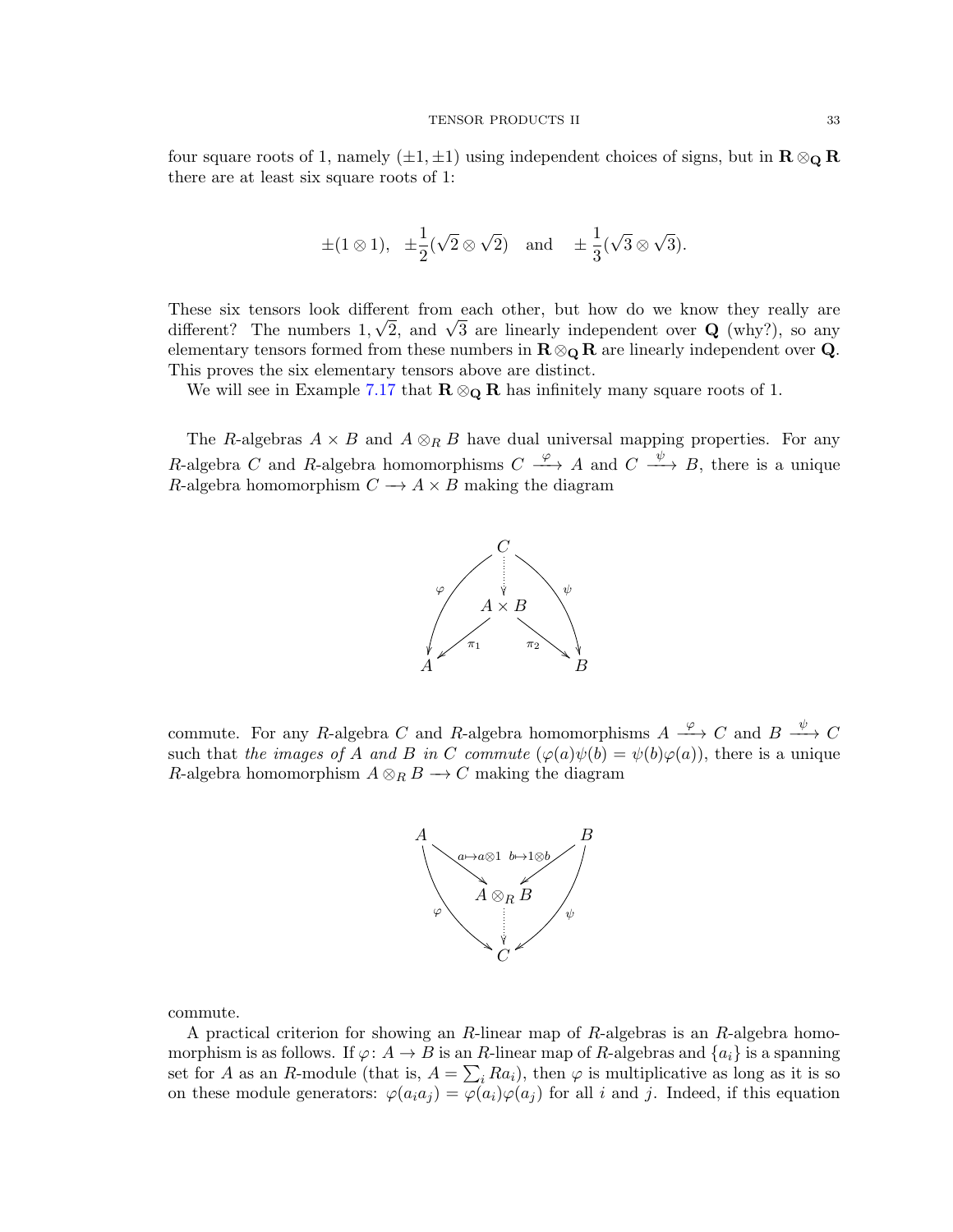four square roots of 1, namely  $(\pm 1, \pm 1)$  using independent choices of signs, but in  $\mathbb{R} \otimes_{\mathbb{Q}} \mathbb{R}$ there are at least six square roots of 1:

$$
\pm (1 \otimes 1), \pm \frac{1}{2}(\sqrt{2} \otimes \sqrt{2})
$$
 and  $\pm \frac{1}{3}(\sqrt{3} \otimes \sqrt{3}).$ 

These six tensors look different from each other, but how do we know they really are These six tensors look different from each other, but how do we know they really are different? The numbers  $1, \sqrt{2}$ , and  $\sqrt{3}$  are linearly independent over Q (why?), so any elementary tensors formed from these numbers in  $\mathbf{R} \otimes_{\mathbf{Q}} \mathbf{R}$  are linearly independent over **Q**. This proves the six elementary tensors above are distinct.

We will see in Example [7.17](#page-36-1) that  $\mathbb{R} \otimes_{\mathbb{Q}} \mathbb{R}$  has infinitely many square roots of 1.

The R-algebras  $A \times B$  and  $A \otimes_R B$  have dual universal mapping properties. For any R-algebra C and R-algebra homomorphisms  $C \xrightarrow{\varphi} A$  and  $C \xrightarrow{\psi} B$ , there is a unique R-algebra homomorphism  $C \rightarrow A \times B$  making the diagram



commute. For any R-algebra C and R-algebra homomorphisms  $A \xrightarrow{\varphi} C$  and  $B \xrightarrow{\psi} C$ such that the images of A and B in C commute  $(\varphi(a)\psi(b) = \psi(b)\varphi(a))$ , there is a unique R-algebra homomorphism  $A \otimes_R B \longrightarrow C$  making the diagram



commute.

A practical criterion for showing an R-linear map of R-algebras is an R-algebra homomorphism is as follows. If  $\varphi: A \to B$  is an R-linear map of R-algebras and  $\{a_i\}$  is a spanning set for A as an R-module (that is,  $A = \sum_i Ra_i$ ), then  $\varphi$  is multiplicative as long as it is so on these module generators:  $\varphi(a_i a_j) = \varphi(a_i) \varphi(a_j)$  for all i and j. Indeed, if this equation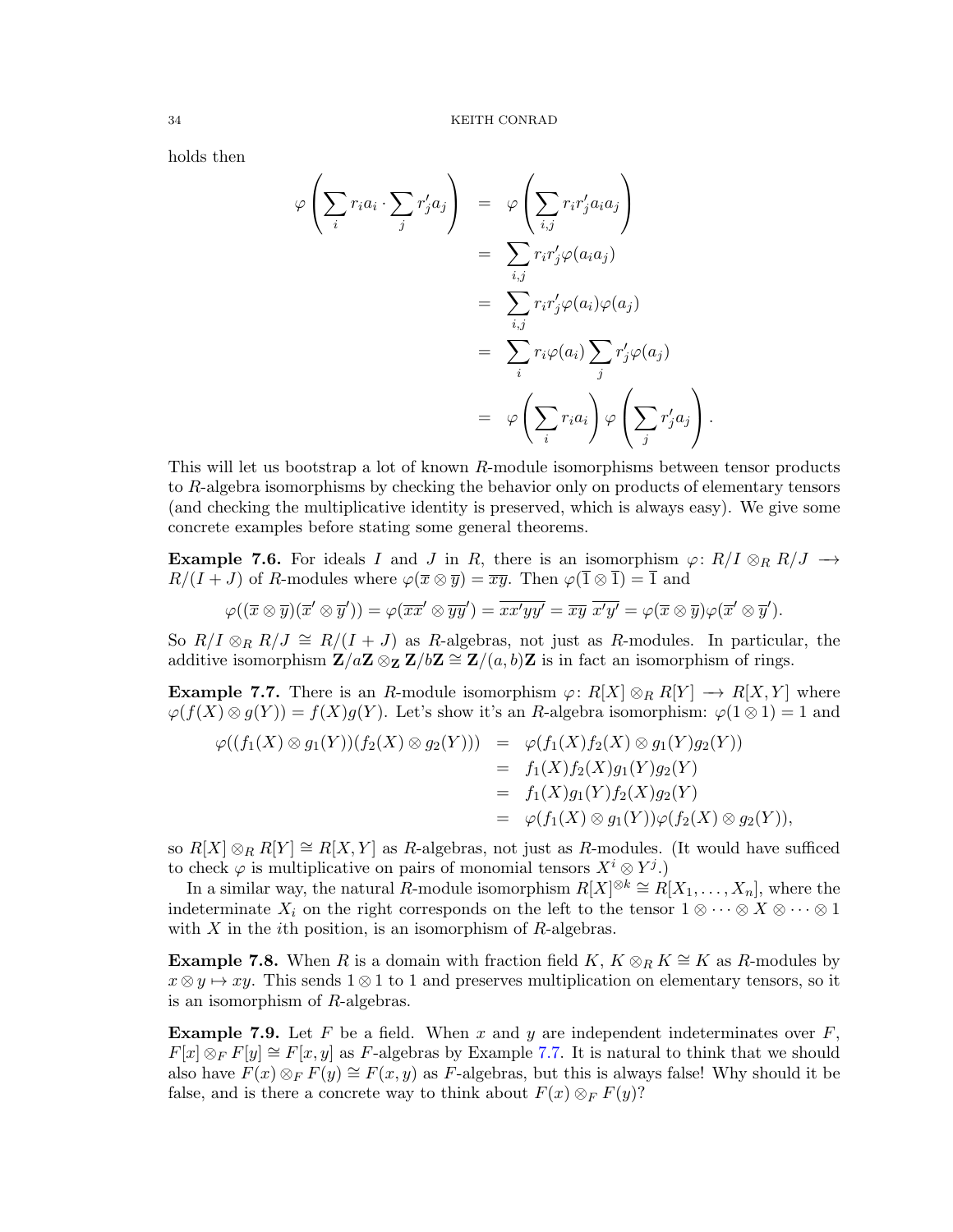holds then

$$
\varphi\left(\sum_{i} r_{i}a_{i} \cdot \sum_{j} r'_{j}a_{j}\right) = \varphi\left(\sum_{i,j} r_{i}r'_{j}a_{i}a_{j}\right)
$$

$$
= \sum_{i,j} r_{i}r'_{j}\varphi(a_{i}a_{j})
$$

$$
= \sum_{i,j} r_{i}r'_{j}\varphi(a_{i})\varphi(a_{j})
$$

$$
= \sum_{i} r_{i}\varphi(a_{i})\sum_{j} r'_{j}\varphi(a_{j})
$$

$$
= \varphi\left(\sum_{i} r_{i}a_{i}\right)\varphi\left(\sum_{j} r'_{j}a_{j}\right).
$$

This will let us bootstrap a lot of known R-module isomorphisms between tensor products to R-algebra isomorphisms by checking the behavior only on products of elementary tensors (and checking the multiplicative identity is preserved, which is always easy). We give some concrete examples before stating some general theorems.

**Example 7.6.** For ideals I and J in R, there is an isomorphism  $\varphi: R/I \otimes_R R/J \rightarrow$  $R/(I+J)$  of R-modules where  $\varphi(\overline{x} \otimes \overline{y}) = \overline{xy}$ . Then  $\varphi(\overline{1} \otimes \overline{1}) = \overline{1}$  and

$$
\varphi((\overline{x}\otimes \overline{y})(\overline{x}'\otimes \overline{y}'))=\varphi(\overline{xx}'\otimes \overline{yy}')=\overline{xx'yy'}=\overline{xy}\ \overline{x'y'}=\varphi(\overline{x}\otimes \overline{y})\varphi(\overline{x}'\otimes \overline{y}').
$$

So  $R/I \otimes_R R/J \cong R/(I+J)$  as R-algebras, not just as R-modules. In particular, the additive isomorphism  $\mathbf{Z}/a\mathbf{Z} \otimes_{\mathbf{Z}} \mathbf{Z}/b\mathbf{Z} \cong \mathbf{Z}/(a, b)\mathbf{Z}$  is in fact an isomorphism of rings.

<span id="page-33-0"></span>**Example 7.7.** There is an R-module isomorphism  $\varphi: R[X] \otimes_R R[Y] \to R[X, Y]$  where  $\varphi(f(X) \otimes g(Y)) = f(X)g(Y)$ . Let's show it's an R-algebra isomorphism:  $\varphi(1 \otimes 1) = 1$  and

$$
\varphi((f_1(X) \otimes g_1(Y))(f_2(X) \otimes g_2(Y))) = \varphi(f_1(X)f_2(X) \otimes g_1(Y)g_2(Y)) \n= f_1(X)f_2(X)g_1(Y)g_2(Y) \n= f_1(X)g_1(Y)f_2(X)g_2(Y) \n= \varphi(f_1(X) \otimes g_1(Y))\varphi(f_2(X) \otimes g_2(Y)),
$$

so  $R[X] \otimes_R R[Y] \cong R[X, Y]$  as R-algebras, not just as R-modules. (It would have sufficed to check  $\varphi$  is multiplicative on pairs of monomial tensors  $X^i \otimes Y^j$ .

In a similar way, the natural R-module isomorphism  $R[X]^{\otimes k} \cong R[X_1, \ldots, X_n]$ , where the indeterminate  $X_i$  on the right corresponds on the left to the tensor  $1 \otimes \cdots \otimes X \otimes \cdots \otimes 1$ with  $X$  in the *i*th position, is an isomorphism of  $R$ -algebras.

**Example 7.8.** When R is a domain with fraction field K,  $K \otimes_R K \cong K$  as R-modules by  $x \otimes y \mapsto xy$ . This sends 1  $\otimes$  1 to 1 and preserves multiplication on elementary tensors, so it is an isomorphism of R-algebras.

**Example 7.9.** Let F be a field. When x and y are independent indeterminates over  $F$ ,  $F[x] \otimes_F F[y] \cong F[x, y]$  as F-algebras by Example [7.7.](#page-33-0) It is natural to think that we should also have  $F(x) \otimes_F F(y) \cong F(x, y)$  as F-algebras, but this is always false! Why should it be false, and is there a concrete way to think about  $F(x) \otimes_F F(y)$ ?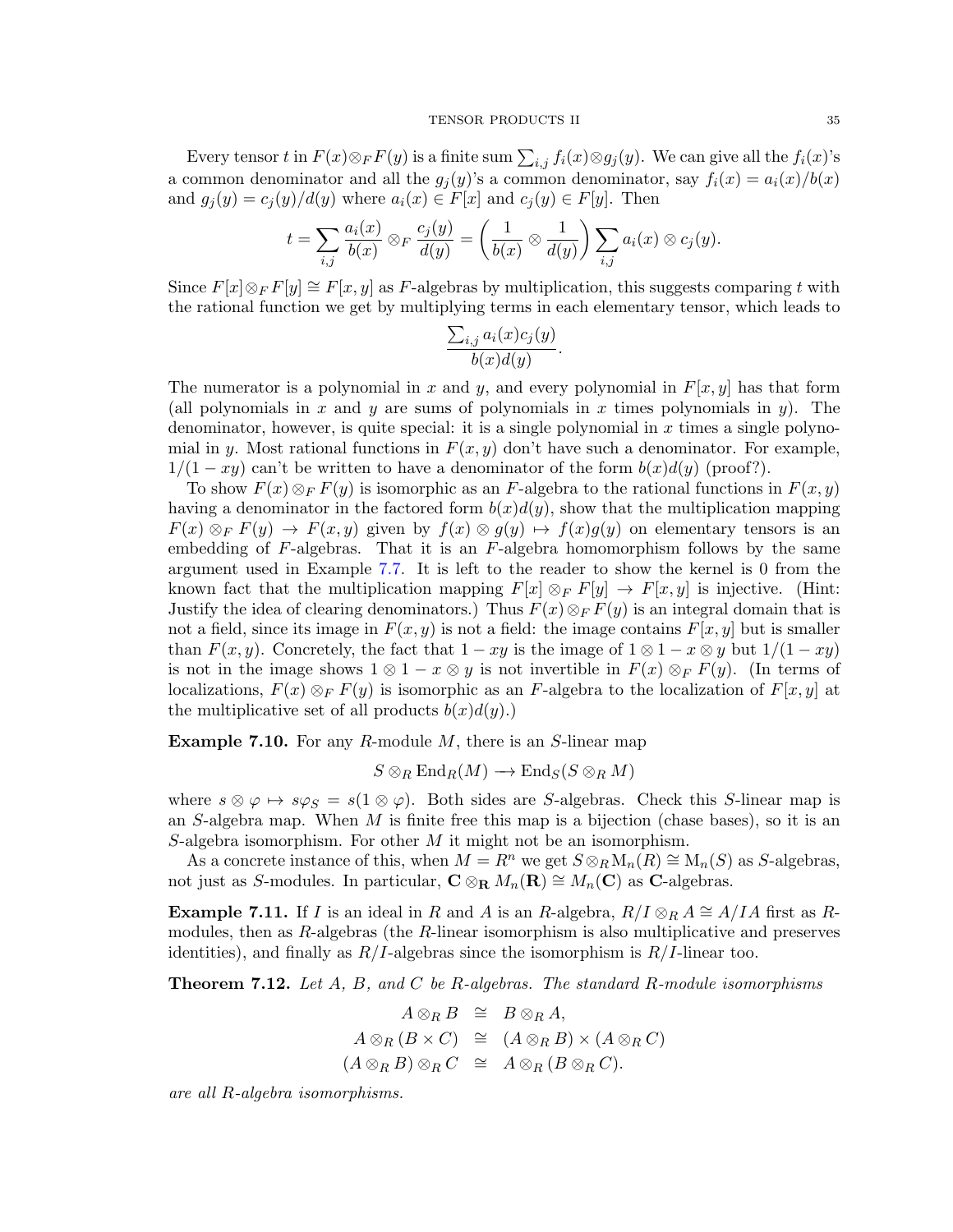Every tensor t in  $F(x) \otimes_F F(y)$  is a finite sum  $\sum_{i,j} f_i(x) \otimes g_j(y)$ . We can give all the  $f_i(x)$ 's a common denominator and all the  $g_i(y)$ 's a common denominator, say  $f_i(x) = a_i(x)/b(x)$ and  $g_i(y) = c_i(y)/d(y)$  where  $a_i(x) \in F[x]$  and  $c_i(y) \in F[y]$ . Then

$$
t = \sum_{i,j} \frac{a_i(x)}{b(x)} \otimes_F \frac{c_j(y)}{d(y)} = \left(\frac{1}{b(x)} \otimes \frac{1}{d(y)}\right) \sum_{i,j} a_i(x) \otimes c_j(y).
$$

Since  $F[x] \otimes_F F[y] \cong F[x, y]$  as F-algebras by multiplication, this suggests comparing t with the rational function we get by multiplying terms in each elementary tensor, which leads to

$$
\frac{\sum_{i,j} a_i(x)c_j(y)}{b(x)d(y)}.
$$

The numerator is a polynomial in x and y, and every polynomial in  $F[x, y]$  has that form (all polynomials in x and y are sums of polynomials in x times polynomials in y). The denominator, however, is quite special: it is a single polynomial in  $x$  times a single polynomial in y. Most rational functions in  $F(x, y)$  don't have such a denominator. For example,  $1/(1-xy)$  can't be written to have a denominator of the form  $b(x)d(y)$  (proof?).

To show  $F(x) \otimes_F F(y)$  is isomorphic as an F-algebra to the rational functions in  $F(x, y)$ having a denominator in the factored form  $b(x)d(y)$ , show that the multiplication mapping  $F(x) \otimes_F F(y) \to F(x, y)$  given by  $f(x) \otimes g(y) \mapsto f(x)g(y)$  on elementary tensors is an embedding of  $F$ -algebras. That it is an  $F$ -algebra homomorphism follows by the same argument used in Example [7.7.](#page-33-0) It is left to the reader to show the kernel is 0 from the known fact that the multiplication mapping  $F[x] \otimes_F F[y] \rightarrow F[x, y]$  is injective. (Hint: Justify the idea of clearing denominators.) Thus  $F(x) \otimes_F F(y)$  is an integral domain that is not a field, since its image in  $F(x, y)$  is not a field: the image contains  $F[x, y]$  but is smaller than  $F(x, y)$ . Concretely, the fact that  $1 - xy$  is the image of  $1 \otimes 1 - x \otimes y$  but  $1/(1 - xy)$ is not in the image shows  $1 \otimes 1 - x \otimes y$  is not invertible in  $F(x) \otimes_F F(y)$ . (In terms of localizations,  $F(x) \otimes_F F(y)$  is isomorphic as an F-algebra to the localization of  $F[x, y]$  at the multiplicative set of all products  $b(x)d(y)$ .)

**Example 7.10.** For any R-module  $M$ , there is an S-linear map

$$
S\otimes_R\mathrm{End}_R(M)\longrightarrow\mathrm{End}_S(S\otimes_R M)
$$

where  $s \otimes \varphi \mapsto s\varphi_S = s(1 \otimes \varphi)$ . Both sides are S-algebras. Check this S-linear map is an S-algebra map. When  $M$  is finite free this map is a bijection (chase bases), so it is an S-algebra isomorphism. For other  $M$  it might not be an isomorphism.

As a concrete instance of this, when  $M = R^n$  we get  $S \otimes_R M_n(R) \cong M_n(S)$  as S-algebras, not just as S-modules. In particular,  $C \otimes_R M_n(\mathbf{R}) \cong M_n(\mathbf{C})$  as C-algebras.

**Example 7.11.** If I is an ideal in R and A is an R-algebra,  $R/I \otimes_R A \cong A/IA$  first as Rmodules, then as  $R$ -algebras (the  $R$ -linear isomorphism is also multiplicative and preserves identities), and finally as  $R/I$ -algebras since the isomorphism is  $R/I$ -linear too.

**Theorem 7.12.** Let  $A$ ,  $B$ , and  $C$  be R-algebras. The standard R-module isomorphisms

$$
A \otimes_R B \cong B \otimes_R A,
$$
  
\n
$$
A \otimes_R (B \times C) \cong (A \otimes_R B) \times (A \otimes_R C)
$$
  
\n
$$
(A \otimes_R B) \otimes_R C \cong A \otimes_R (B \otimes_R C).
$$

are all R-algebra isomorphisms.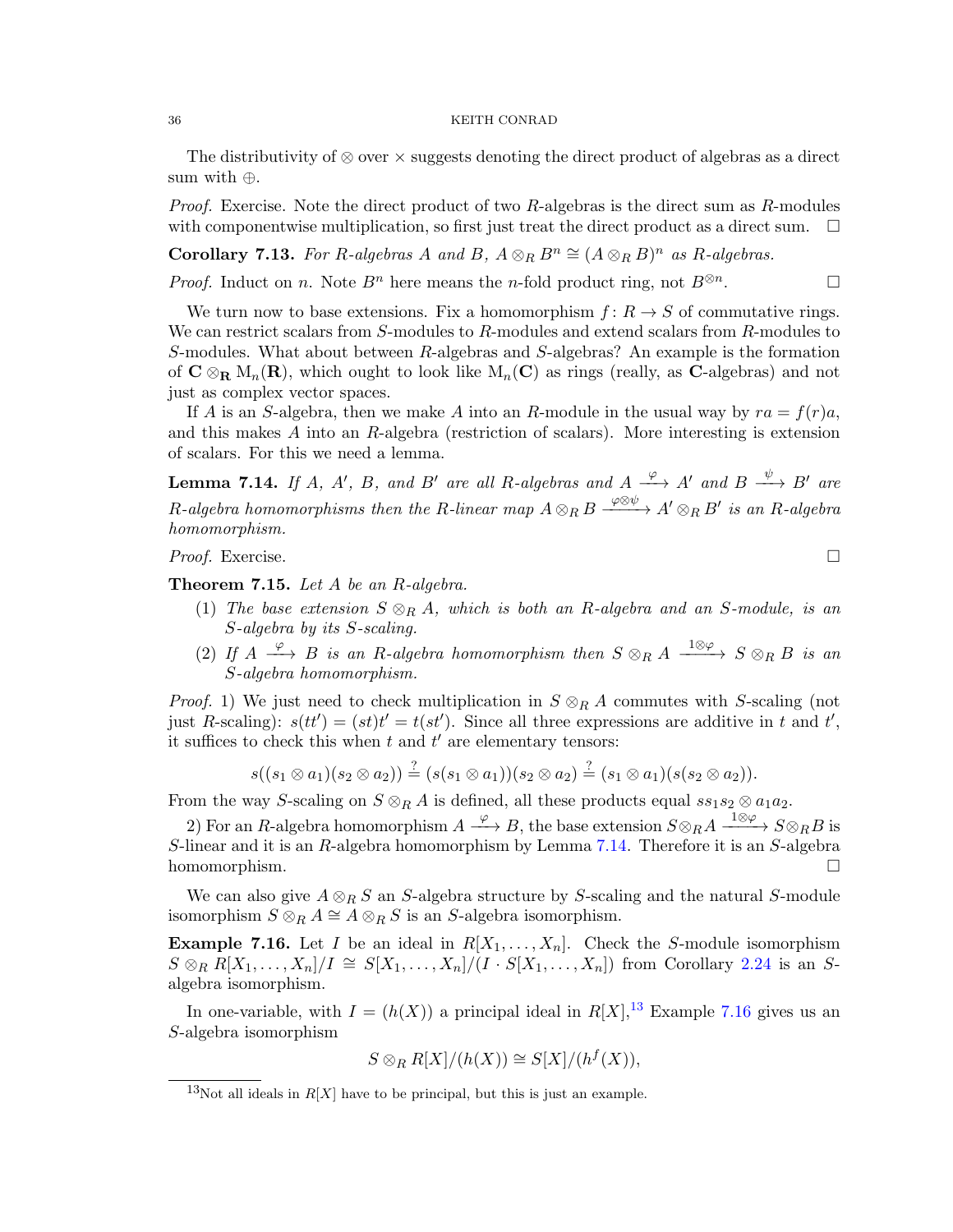The distributivity of  $\otimes$  over  $\times$  suggests denoting the direct product of algebras as a direct sum with ⊕.

*Proof.* Exercise. Note the direct product of two  $R$ -algebras is the direct sum as  $R$ -modules with componentwise multiplication, so first just treat the direct product as a direct sum.  $\Box$ 

Corollary 7.13. For R-algebras A and B,  $A \otimes_R B^n \cong (A \otimes_R B)^n$  as R-algebras.

*Proof.* Induct on *n*. Note  $B^n$  here means the *n*-fold product ring, not  $B^{\otimes n}$ . . — П

We turn now to base extensions. Fix a homomorphism  $f: R \to S$  of commutative rings. We can restrict scalars from S-modules to R-modules and extend scalars from R-modules to S-modules. What about between R-algebras and S-algebras? An example is the formation of  $C \otimes_R M_n(R)$ , which ought to look like  $M_n(C)$  as rings (really, as C-algebras) and not just as complex vector spaces.

If A is an S-algebra, then we make A into an R-module in the usual way by  $ra = f(r)a$ , and this makes A into an R-algebra (restriction of scalars). More interesting is extension of scalars. For this we need a lemma.

<span id="page-35-0"></span>**Lemma 7.14.** If A, A', B, and B' are all R-algebras and  $A \xrightarrow{\varphi} A'$  and  $B \xrightarrow{\psi} B'$  are R-algebra homomorphisms then the R-linear map  $A\otimes_R B\stackrel{\varphi\otimes\psi}{\longrightarrow} A'\otimes_R B'$  is an R-algebra homomorphism.

*Proof.* Exercise.  $\Box$ 

**Theorem 7.15.** Let  $A$  be an  $R$ -algebra.

- (1) The base extension  $S \otimes_R A$ , which is both an R-algebra and an S-module, is an S-algebra by its S-scaling.
- (2) If  $A \xrightarrow{\varphi} B$  is an R-algebra homomorphism then  $S \otimes_R A \xrightarrow{1 \otimes \varphi} S \otimes_R B$  is an S-algebra homomorphism.

*Proof.* 1) We just need to check multiplication in  $S \otimes_R A$  commutes with S-scaling (not just R-scaling):  $s(tt') = (st)t' = t(st')$ . Since all three expressions are additive in t and t', it suffices to check this when  $t$  and  $t'$  are elementary tensors:

$$
s((s_1 \otimes a_1)(s_2 \otimes a_2)) \stackrel{?}{=} (s(s_1 \otimes a_1))(s_2 \otimes a_2) \stackrel{?}{=} (s_1 \otimes a_1)(s(s_2 \otimes a_2)).
$$

From the way S-scaling on  $S \otimes_R A$  is defined, all these products equal  $ss_1s_2 \otimes a_1a_2$ .

2) For an R-algebra homomorphism  $A \xrightarrow{\varphi} B$ , the base extension  $S \otimes_R A \xrightarrow{1 \otimes \varphi} S \otimes_R B$  is S-linear and it is an R-algebra homomorphism by Lemma [7.14.](#page-35-0) Therefore it is an S-algebra homomorphism.  $\square$ 

We can also give  $A \otimes_R S$  an S-algebra structure by S-scaling and the natural S-module isomorphism  $S \otimes_R A \cong A \otimes_R S$  is an S-algebra isomorphism.

<span id="page-35-2"></span>**Example 7.16.** Let I be an ideal in  $R[X_1, \ldots, X_n]$ . Check the S-module isomorphism  $S \otimes_R R[X_1,\ldots,X_n]/I \cong S[X_1,\ldots,X_n]/(I \cdot S[X_1,\ldots,X_n])$  from Corollary [2.24](#page-8-5) is an Salgebra isomorphism.

In one-variable, with  $I = (h(X))$  a principal ideal in  $R[X]$ ,<sup>[13](#page-35-1)</sup> Example [7.16](#page-35-2) gives us an S-algebra isomorphism

$$
S \otimes_R R[X]/(h(X)) \cong S[X]/(h^f(X)),
$$

<span id="page-35-1"></span><sup>&</sup>lt;sup>13</sup>Not all ideals in  $R[X]$  have to be principal, but this is just an example.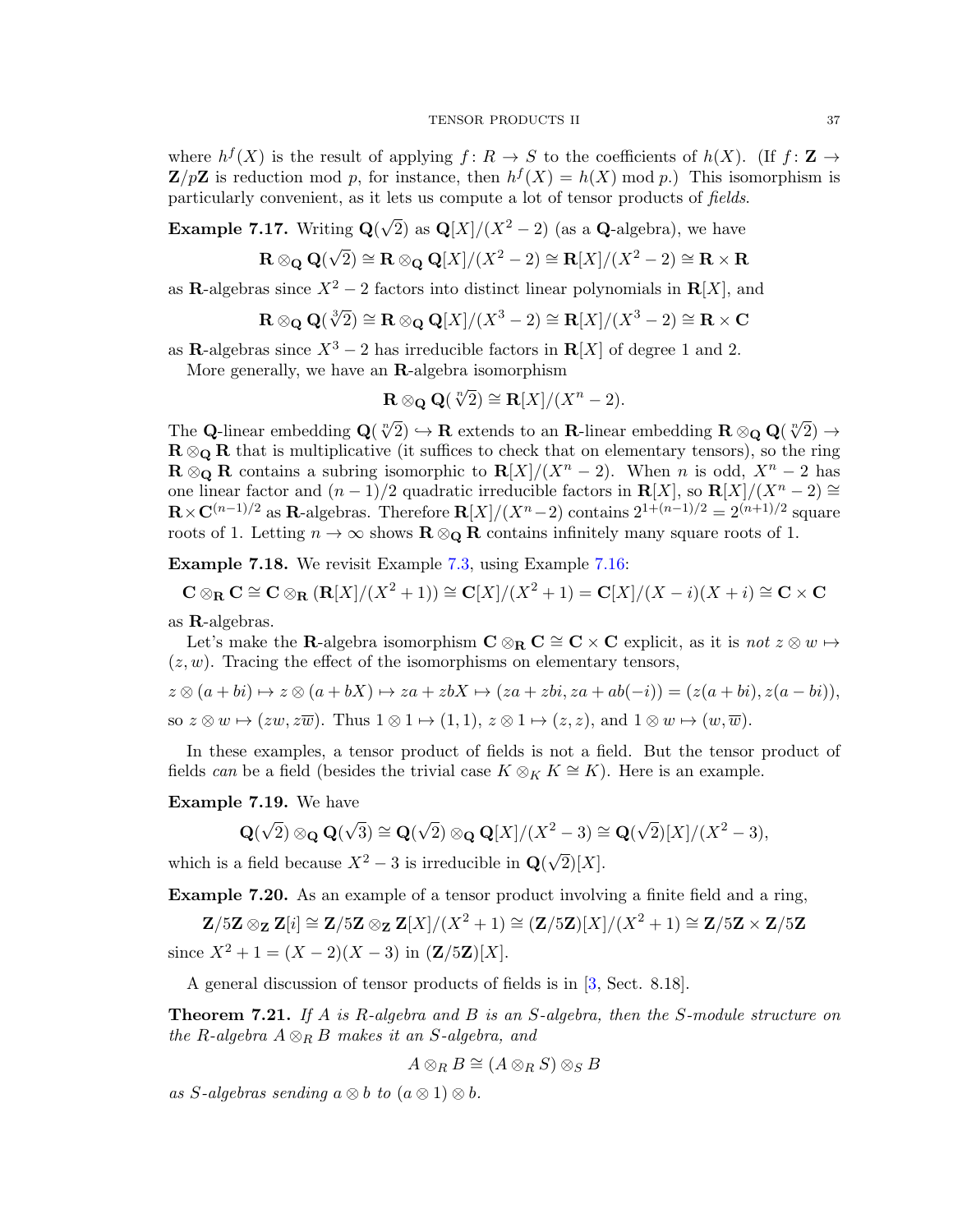where  $h^f(X)$  is the result of applying  $f: R \to S$  to the coefficients of  $h(X)$ . (If  $f: \mathbb{Z} \to$  $\mathbf{Z}/p\mathbf{Z}$  is reduction mod p, for instance, then  $h^{f}(X) = h(X) \bmod p$ . This isomorphism is particularly convenient, as it lets us compute a lot of tensor products of fields.

<span id="page-36-1"></span>Example 7.17. Writing Q(  $\sqrt{2}$ ) as  $\mathbf{Q}[X]/(X^2-2)$  (as a **Q**-algebra), we have √

$$
\mathbf{R} \otimes_{\mathbf{Q}} \mathbf{Q}(\sqrt{2}) \cong \mathbf{R} \otimes_{\mathbf{Q}} \mathbf{Q}[X]/(X^2 - 2) \cong \mathbf{R}[X]/(X^2 - 2) \cong \mathbf{R} \times \mathbf{R}
$$

as R-algebras since  $X^2 - 2$  factors into distinct linear polynomials in R[X], and

$$
\mathbf{R} \otimes_{\mathbf{Q}} \mathbf{Q}(\sqrt[3]{2}) \cong \mathbf{R} \otimes_{\mathbf{Q}} \mathbf{Q}[X]/(X^3 - 2) \cong \mathbf{R}[X]/(X^3 - 2) \cong \mathbf{R} \times \mathbf{C}
$$

as R-algebras since  $X^3 - 2$  has irreducible factors in  $R[X]$  of degree 1 and 2. More generally, we have an  $\mathbf{R}\text{-algebra isomorphism}$ 

$$
\mathbf{R} \otimes_{\mathbf{Q}} \mathbf{Q}(\sqrt[n]{2}) \cong \mathbf{R}[X]/(X^n - 2).
$$

The Q-linear embedding  $\mathbf{Q}(\sqrt[n]{2}) \to \mathbf{R}$  extends to an R-linear embedding  $\mathbf{R} \otimes_{\mathbf{Q}} \mathbf{Q}(\sqrt[n]{2}) \to$  $\mathbf{R} \otimes_{\mathbf{Q}} \mathbf{R}$  that is multiplicative (it suffices to check that on elementary tensors), so the ring  $\mathbf{R} \otimes_{\mathbf{Q}} \mathbf{R}$  contains a subring isomorphic to  $\mathbf{R}[X]/(X^n-2)$ . When n is odd,  $X^n-2$  has one linear factor and  $(n-1)/2$  quadratic irreducible factors in  $\mathbf{R}[X]$ , so  $\mathbf{R}[X]/(X^n-2) \cong$  $\mathbf{R} \times \mathbf{C}^{(n-1)/2}$  as  $\mathbf{R}$ -algebras. Therefore  $\mathbf{R}[X]/(X^n-2)$  contains  $2^{1+(n-1)/2} = 2^{(n+1)/2}$  square roots of 1. Letting  $n \to \infty$  shows  $\mathbf{R} \otimes_{\mathbf{Q}} \mathbf{R}$  contains infinitely many square roots of 1.

<span id="page-36-0"></span>Example 7.18. We revisit Example [7.3,](#page-30-0) using Example [7.16:](#page-35-2)

$$
\mathbf{C} \otimes_{\mathbf{R}} \mathbf{C} \cong \mathbf{C} \otimes_{\mathbf{R}} (\mathbf{R}[X]/(X^2+1)) \cong \mathbf{C}[X]/(X^2+1) = \mathbf{C}[X]/(X-i)(X+i) \cong \mathbf{C} \times \mathbf{C}
$$

as R-algebras.

Let's make the R-algebra isomorphism  $C \otimes_R C \cong C \times C$  explicit, as it is not  $z \otimes w \mapsto$  $(z, w)$ . Tracing the effect of the isomorphisms on elementary tensors,

$$
z \otimes (a+bi) \mapsto z \otimes (a+bX) \mapsto za + zbX \mapsto (za+zbi, za+ab(-i)) = (z(a+bi), z(a-bi)),
$$
  
so  $z \otimes w \mapsto (zw, z\overline{w})$ . Thus  $1 \otimes 1 \mapsto (1,1), z \otimes 1 \mapsto (z, z)$ , and  $1 \otimes w \mapsto (w, \overline{w})$ .

In these examples, a tensor product of fields is not a field. But the tensor product of fields can be a field (besides the trivial case  $K \otimes_K K \cong K$ ). Here is an example.

Example 7.19. We have

$$
\mathbf{Q}(\sqrt{2}) \otimes_{\mathbf{Q}} \mathbf{Q}(\sqrt{3}) \cong \mathbf{Q}(\sqrt{2}) \otimes_{\mathbf{Q}} \mathbf{Q}[X]/(X^2 - 3) \cong \mathbf{Q}(\sqrt{2})[X]/(X^2 - 3),
$$

which is a field because  $X^2 - 3$  is irreducible in  $\mathbf{Q}(\sqrt{\mathbf{Q}})$  $2)[X].$ 

Example 7.20. As an example of a tensor product involving a finite field and a ring,

$$
\mathbf{Z}/5\mathbf{Z} \otimes_{\mathbf{Z}} \mathbf{Z}[i] \cong \mathbf{Z}/5\mathbf{Z} \otimes_{\mathbf{Z}} \mathbf{Z}[X]/(X^2+1) \cong (\mathbf{Z}/5\mathbf{Z})[X]/(X^2+1) \cong \mathbf{Z}/5\mathbf{Z} \times \mathbf{Z}/5\mathbf{Z}
$$
 since  $X^2 + 1 = (X - 2)(X - 3)$  in  $(\mathbf{Z}/5\mathbf{Z})[X]$ .

A general discussion of tensor products of fields is in [\[3,](#page-41-3) Sect. 8.18].

<span id="page-36-2"></span>**Theorem 7.21.** If A is R-algebra and B is an S-algebra, then the S-module structure on the R-algebra  $A \otimes_R B$  makes it an S-algebra, and

$$
A\otimes_R B\cong (A\otimes_R S)\otimes_S B
$$

as S-algebras sending  $a \otimes b$  to  $(a \otimes 1) \otimes b$ .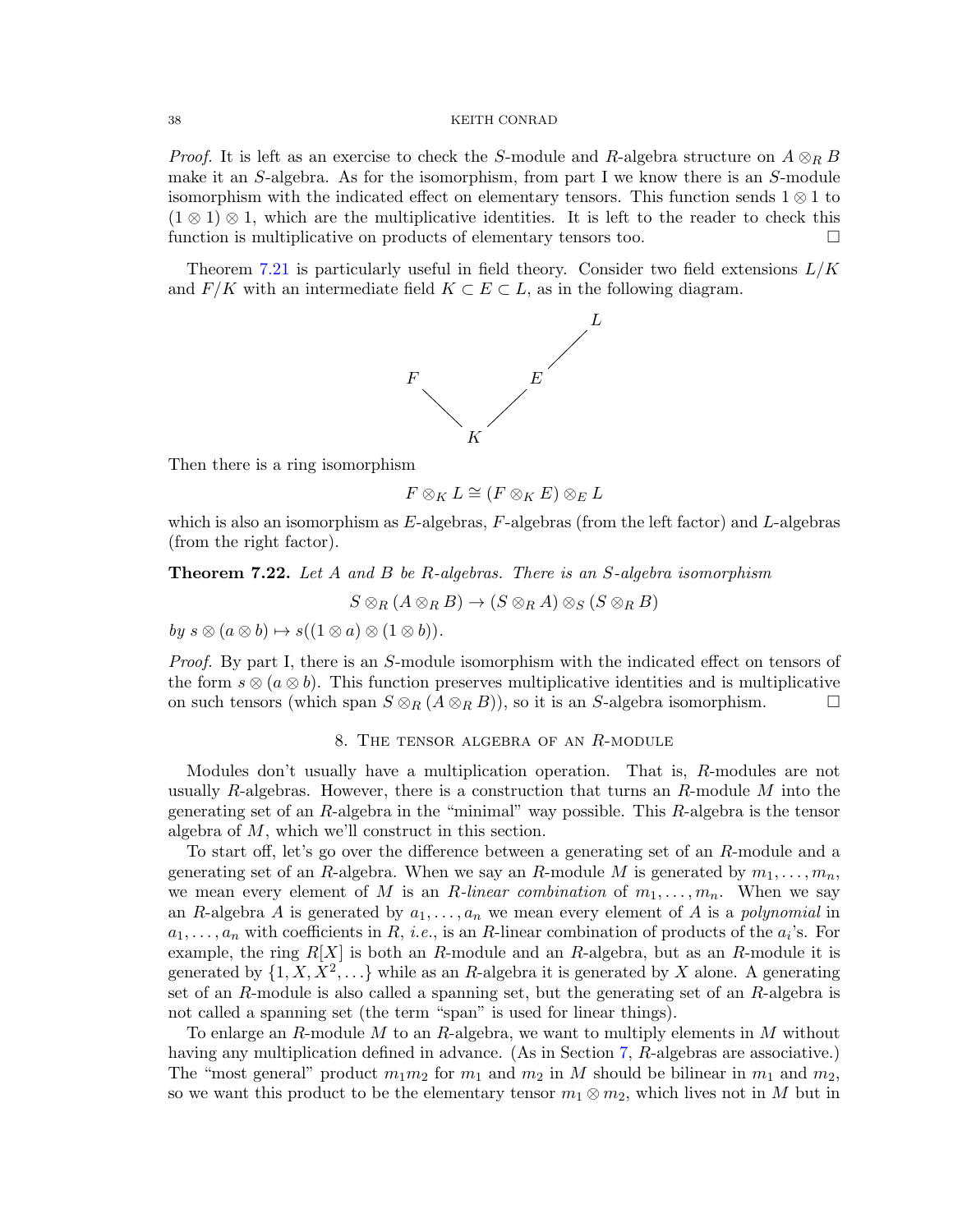*Proof.* It is left as an exercise to check the S-module and R-algebra structure on  $A \otimes_R B$ make it an  $S$ -algebra. As for the isomorphism, from part I we know there is an  $S$ -module isomorphism with the indicated effect on elementary tensors. This function sends 1 ⊗ 1 to  $(1 \otimes 1) \otimes 1$ , which are the multiplicative identities. It is left to the reader to check this function is multiplicative on products of elementary tensors too.

Theorem [7.21](#page-36-2) is particularly useful in field theory. Consider two field extensions  $L/K$ and  $F/K$  with an intermediate field  $K \subset E \subset L$ , as in the following diagram.



Then there is a ring isomorphism

$$
F\otimes_K L\cong (F\otimes_K E)\otimes_E L
$$

which is also an isomorphism as  $E$ -algebras,  $F$ -algebras (from the left factor) and  $L$ -algebras (from the right factor).

**Theorem 7.22.** Let A and B be R-algebras. There is an S-algebra isomorphism

 $S \otimes_R (A \otimes_R B) \to (S \otimes_R A) \otimes_S (S \otimes_R B)$ 

by  $s \otimes (a \otimes b) \mapsto s((1 \otimes a) \otimes (1 \otimes b)).$ 

Proof. By part I, there is an S-module isomorphism with the indicated effect on tensors of the form  $s \otimes (a \otimes b)$ . This function preserves multiplicative identities and is multiplicative on such tensors (which span  $S \otimes_R (A \otimes_R B)$ ), so it is an S-algebra isomorphism.

#### 8. The tensor algebra of an R-module

Modules don't usually have a multiplication operation. That is, R-modules are not usually R-algebras. However, there is a construction that turns an R-module  $M$  into the generating set of an R-algebra in the "minimal" way possible. This R-algebra is the tensor algebra of M, which we'll construct in this section.

To start off, let's go over the difference between a generating set of an R-module and a generating set of an R-algebra. When we say an R-module M is generated by  $m_1, \ldots, m_n$ , we mean every element of M is an R-linear combination of  $m_1, \ldots, m_n$ . When we say an R-algebra A is generated by  $a_1, \ldots, a_n$  we mean every element of A is a *polynomial* in  $a_1, \ldots, a_n$  with coefficients in R, *i.e.*, is an R-linear combination of products of the  $a_i$ 's. For example, the ring  $R[X]$  is both an R-module and an R-algebra, but as an R-module it is generated by  $\{1, X, X^2, \ldots\}$  while as an R-algebra it is generated by X alone. A generating set of an R-module is also called a spanning set, but the generating set of an R-algebra is not called a spanning set (the term "span" is used for linear things).

To enlarge an R-module M to an R-algebra, we want to multiply elements in M without having any multiplication defined in advance. (As in Section [7,](#page-28-2) R-algebras are associative.) The "most general" product  $m_1m_2$  for  $m_1$  and  $m_2$  in M should be bilinear in  $m_1$  and  $m_2$ , so we want this product to be the elementary tensor  $m_1 \otimes m_2$ , which lives not in M but in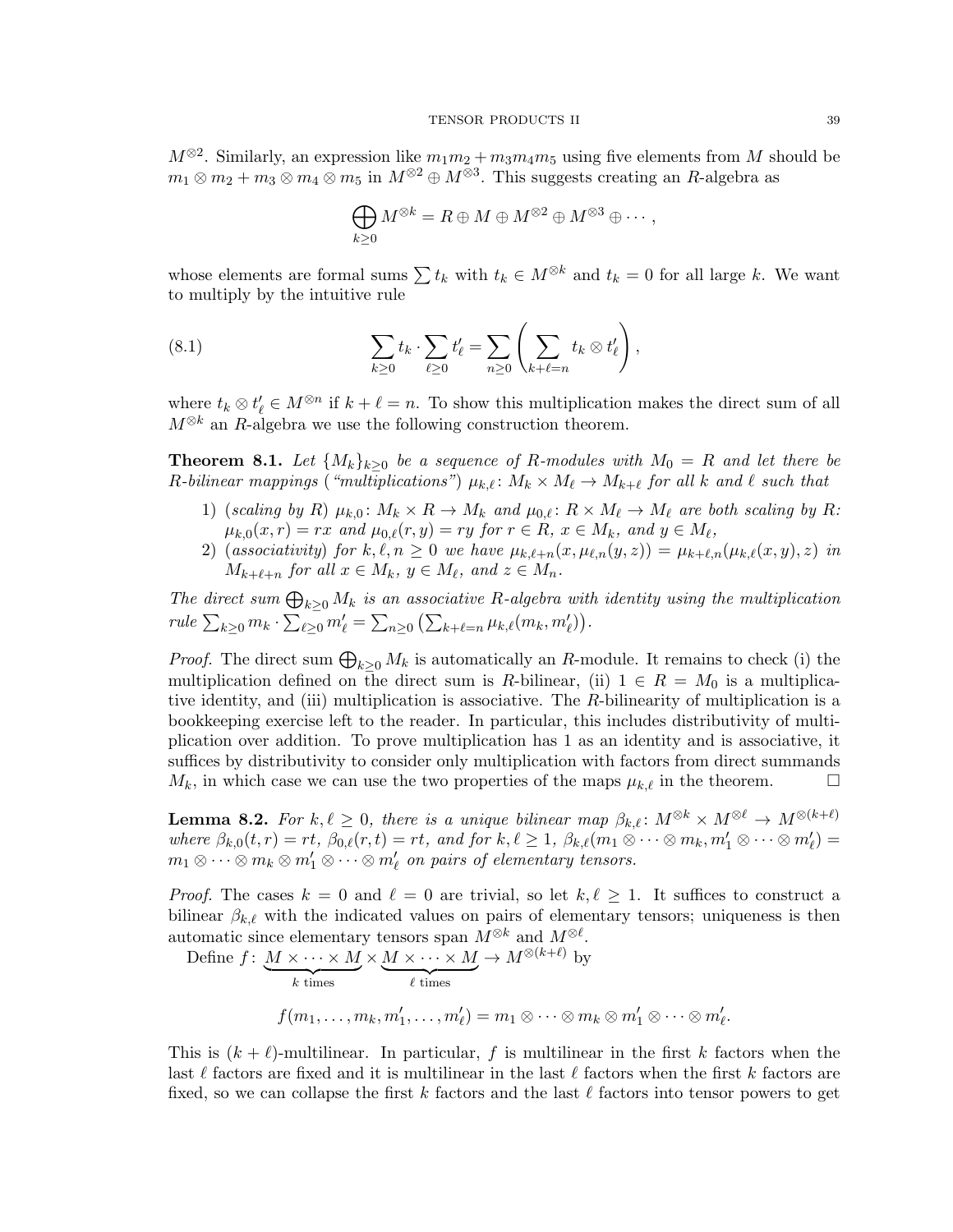$M^{\otimes 2}$ . Similarly, an expression like  $m_1m_2 + m_3m_4m_5$  using five elements from M should be  $m_1 \otimes m_2 + m_3 \otimes m_4 \otimes m_5$  in  $M^{\otimes 2} \oplus M^{\otimes 3}$ . This suggests creating an R-algebra as

<span id="page-38-0"></span>
$$
\bigoplus_{k\geq 0} M^{\otimes k} = R \oplus M \oplus M^{\otimes 2} \oplus M^{\otimes 3} \oplus \cdots,
$$

whose elements are formal sums  $\sum t_k$  with  $t_k \in M^{\otimes k}$  and  $t_k = 0$  for all large k. We want to multiply by the intuitive rule

(8.1) 
$$
\sum_{k\geq 0} t_k \cdot \sum_{\ell\geq 0} t'_\ell = \sum_{n\geq 0} \left( \sum_{k+\ell=n} t_k \otimes t'_\ell \right),
$$

where  $t_k \otimes t'_\ell \in M^{\otimes n}$  if  $k + \ell = n$ . To show this multiplication makes the direct sum of all  $M^{\otimes k}$  an R-algebra we use the following construction theorem.

<span id="page-38-1"></span>**Theorem 8.1.** Let  $\{M_k\}_{k>0}$  be a sequence of R-modules with  $M_0 = R$  and let there be R-bilinear mappings ("multiplications")  $\mu_{k,\ell} \colon M_k \times M_{\ell} \to M_{k+\ell}$  for all k and  $\ell$  such that

- 1) (scaling by R)  $\mu_{k,0}$ :  $M_k \times R \to M_k$  and  $\mu_{0,\ell}$ :  $R \times M_{\ell} \to M_{\ell}$  are both scaling by R:  $\mu_{k,0}(x,r) = rx$  and  $\mu_{0,\ell}(r, y) = ry$  for  $r \in R$ ,  $x \in M_k$ , and  $y \in M_\ell$ ,
- 2) (associativity) for  $k, \ell, n \geq 0$  we have  $\mu_{k,\ell+n}(x, \mu_{\ell,n}(y, z)) = \mu_{k+\ell,n}(\mu_{k,\ell}(x, y), z)$  in  $M_{k+\ell+n}$  for all  $x \in M_k$ ,  $y \in M_\ell$ , and  $z \in M_n$ .

The direct sum  $\bigoplus_{k\geq 0} M_k$  is an associative R-algebra with identity using the multiplication rule  $\sum_{k\geq 0} m_k \cdot \sum_{\ell \geq 0} m'_\ell = \sum_{n\geq 0} \left( \sum_{k+\ell=n} \mu_{k,\ell}(m_k, m'_\ell) \right).$ 

*Proof.* The direct sum  $\bigoplus_{k\geq 0} M_k$  is automatically an R-module. It remains to check (i) the multiplication defined on the direct sum is R-bilinear, (ii)  $1 \in R = M_0$  is a multiplicative identity, and (iii) multiplication is associative. The R-bilinearity of multiplication is a bookkeeping exercise left to the reader. In particular, this includes distributivity of multiplication over addition. To prove multiplication has 1 as an identity and is associative, it suffices by distributivity to consider only multiplication with factors from direct summands  $M_k$ , in which case we can use the two properties of the maps  $\mu_{k,\ell}$  in the theorem.

<span id="page-38-2"></span>**Lemma 8.2.** For  $k, \ell \geq 0$ , there is a unique bilinear map  $\beta_{k,\ell} : M^{\otimes k} \times M^{\otimes \ell} \to M^{\otimes (k+\ell)}$ where  $\beta_{k,0}(t,r) = rt$ ,  $\beta_{0,\ell}(r, t) = rt$ , and for  $k, \ell \geq 1$ ,  $\beta_{k,\ell}(m_1 \otimes \cdots \otimes m_k, m_1' \otimes \cdots \otimes m_{\ell}') =$  $m_1\otimes \cdots \otimes m_k\otimes m_1'\otimes \cdots \otimes m_\ell'$  on pairs of elementary tensors.

*Proof.* The cases  $k = 0$  and  $\ell = 0$  are trivial, so let  $k, \ell \geq 1$ . It suffices to construct a bilinear  $\beta_{k,\ell}$  with the indicated values on pairs of elementary tensors; uniqueness is then automatic since elementary tensors span  $M^{\otimes k}$  and  $M^{\otimes \ell}$ .

Define  $f: M$ |  $\times \cdots \times M$ <br>k times  $\times M$ |  $\times \cdots \times M$  $\rightarrow M^{\otimes (k+\ell)}$  by  $f(m_1, \ldots, m_k, m_1', \ldots, m_\ell') = m_1 \otimes \cdots \otimes m_k \otimes m_1' \otimes \cdots \otimes m_\ell'.$ 

This is  $(k + \ell)$ -multilinear. In particular, f is multilinear in the first k factors when the last  $\ell$  factors are fixed and it is multilinear in the last  $\ell$  factors when the first k factors are fixed, so we can collapse the first k factors and the last  $\ell$  factors into tensor powers to get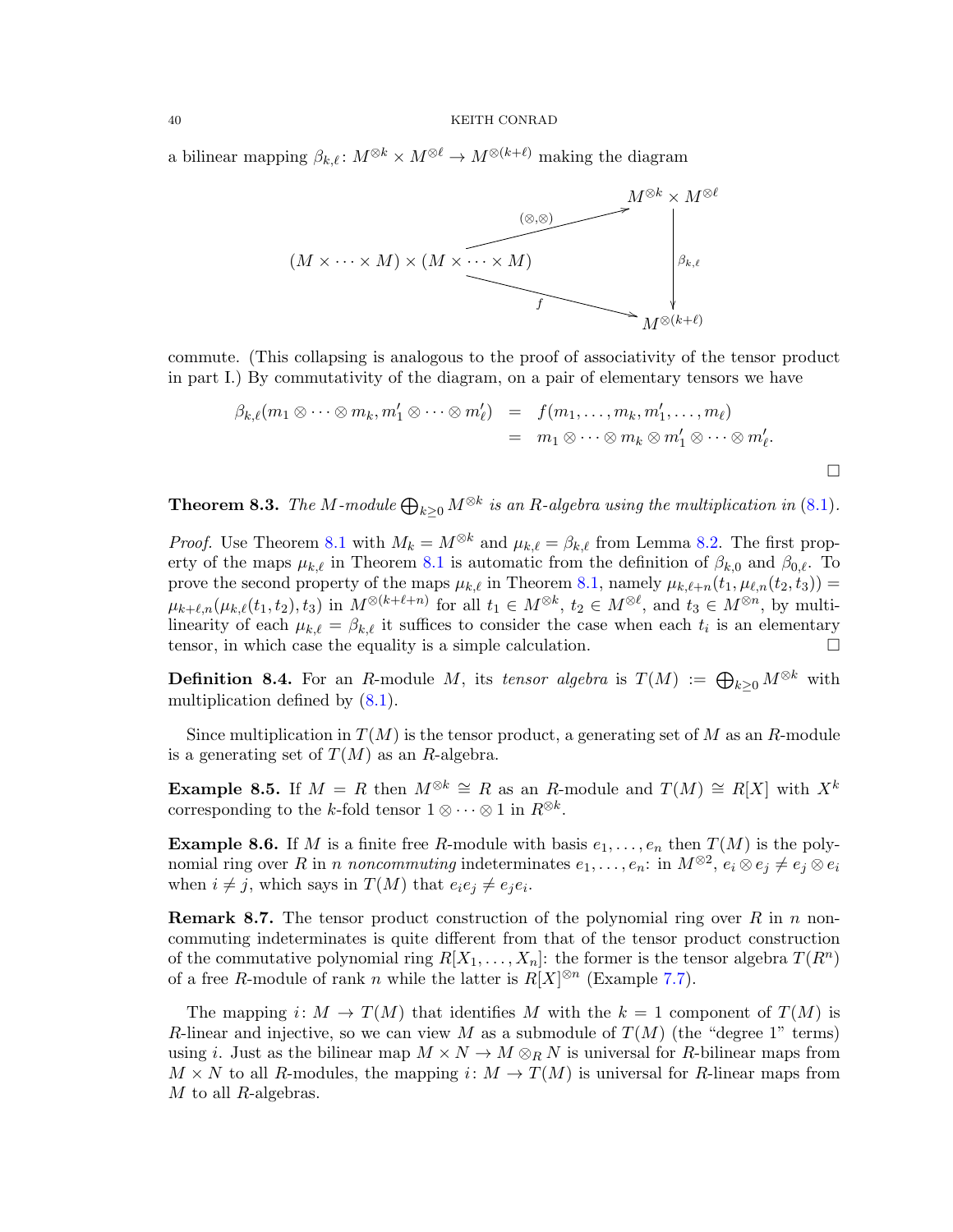a bilinear mapping  $\beta_{k,\ell} : M^{\otimes k} \times M^{\otimes \ell} \to M^{\otimes (k+\ell)}$  making the diagram



commute. (This collapsing is analogous to the proof of associativity of the tensor product in part I.) By commutativity of the diagram, on a pair of elementary tensors we have

$$
\beta_{k,\ell}(m_1 \otimes \cdots \otimes m_k, m'_1 \otimes \cdots \otimes m'_\ell) = f(m_1, \ldots, m_k, m'_1, \ldots, m_\ell)
$$
  
=  $m_1 \otimes \cdots \otimes m_k \otimes m'_1 \otimes \cdots \otimes m'_\ell.$ 

**Theorem 8.3.** The M-module  $\bigoplus_{k\geq 0} M^{\otimes k}$  is an R-algebra using the multiplication in [\(8](#page-38-0).1).

*Proof.* Use Theorem [8.1](#page-38-1) with  $M_k = M^{\otimes k}$  and  $\mu_{k,\ell} = \beta_{k,\ell}$  from Lemma [8.2.](#page-38-2) The first property of the maps  $\mu_{k,\ell}$  in Theorem [8.1](#page-38-1) is automatic from the definition of  $\beta_{k,0}$  and  $\beta_{0,\ell}$ . To prove the second property of the maps  $\mu_{k,\ell}$  in Theorem [8.1,](#page-38-1) namely  $\mu_{k,\ell+n}(t_1, \mu_{\ell,n}(t_2, t_3)) =$  $\mu_{k+\ell,n}(\mu_{k,\ell}(t_1, t_2), t_3)$  in  $M^{\otimes (k+\ell+n)}$  for all  $t_1 \in M^{\otimes k}$ ,  $t_2 \in M^{\otimes \ell}$ , and  $t_3 \in M^{\otimes n}$ , by multilinearity of each  $\mu_{k,\ell} = \beta_{k,\ell}$  it suffices to consider the case when each  $t_i$  is an elementary tensor, in which case the equality is a simple calculation.

**Definition 8.4.** For an R-module M, its tensor algebra is  $T(M) := \bigoplus_{k \geq 0} M^{\otimes k}$  with multiplication defined by  $(8.1)$  $(8.1)$ .

Since multiplication in  $T(M)$  is the tensor product, a generating set of M as an R-module is a generating set of  $T(M)$  as an R-algebra.

Example 8.5. If  $M = R$  then  $M^{\otimes k} \cong R$  as an R-module and  $T(M) \cong R[X]$  with  $X^k$ corresponding to the k-fold tensor  $1 \otimes \cdots \otimes 1$  in  $R^{\otimes k}$ .

**Example 8.6.** If M is a finite free R-module with basis  $e_1, \ldots, e_n$  then  $T(M)$  is the polynomial ring over R in n noncommuting indeterminates  $e_1, \ldots, e_n$ : in  $M^{\otimes 2}$ ,  $e_i \otimes e_j \neq e_j \otimes e_i$ when  $i \neq j$ , which says in  $T(M)$  that  $e_i e_j \neq e_j e_i$ .

**Remark 8.7.** The tensor product construction of the polynomial ring over R in n noncommuting indeterminates is quite different from that of the tensor product construction of the commutative polynomial ring  $R[X_1, \ldots, X_n]$ : the former is the tensor algebra  $T(R^n)$ of a free R-module of rank n while the latter is  $R[X]^{\otimes n}$  (Example [7.7\)](#page-33-0).

The mapping i:  $M \to T(M)$  that identifies M with the  $k = 1$  component of  $T(M)$  is R-linear and injective, so we can view M as a submodule of  $T(M)$  (the "degree 1" terms) using i. Just as the bilinear map  $M \times N \to M \otimes_R N$  is universal for R-bilinear maps from  $M \times N$  to all R-modules, the mapping i:  $M \to T(M)$  is universal for R-linear maps from  $M$  to all  $R$ -algebras.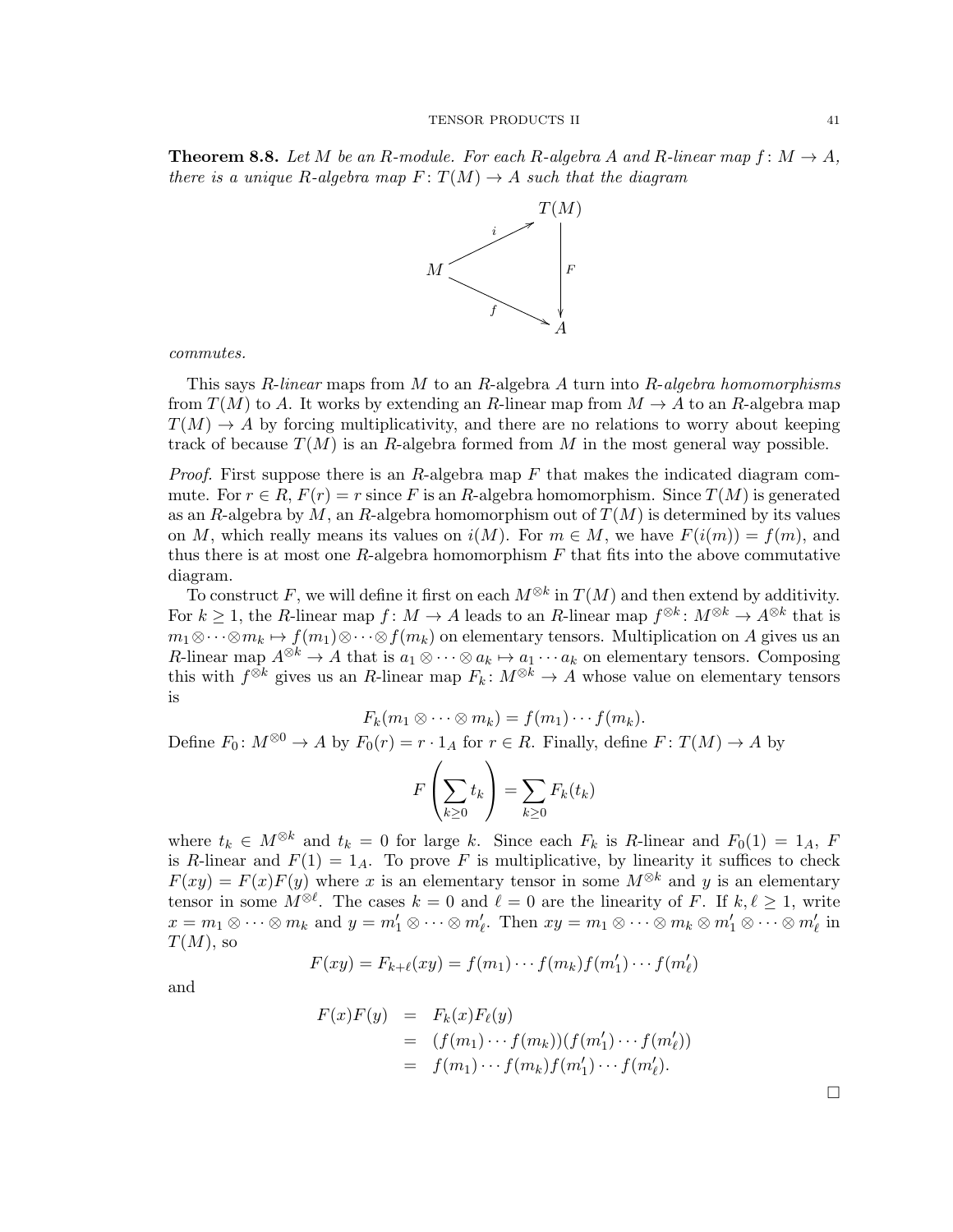**Theorem 8.8.** Let M be an R-module. For each R-algebra A and R-linear map  $f: M \to A$ , there is a unique R-algebra map  $F: T(M) \to A$  such that the diagram



commutes.

This says  $R$ -linear maps from M to an  $R$ -algebra  $A$  turn into  $R$ -algebra homomorphisms from  $T(M)$  to A. It works by extending an R-linear map from  $M \to A$  to an R-algebra map  $T(M) \rightarrow A$  by forcing multiplicativity, and there are no relations to worry about keeping track of because  $T(M)$  is an R-algebra formed from M in the most general way possible.

*Proof.* First suppose there is an  $R$ -algebra map  $F$  that makes the indicated diagram commute. For  $r \in R$ ,  $F(r) = r$  since F is an R-algebra homomorphism. Since  $T(M)$  is generated as an R-algebra by M, an R-algebra homomorphism out of  $T(M)$  is determined by its values on M, which really means its values on  $i(M)$ . For  $m \in M$ , we have  $F(i(m)) = f(m)$ , and thus there is at most one R-algebra homomorphism  $F$  that fits into the above commutative diagram.

To construct F, we will define it first on each  $M^{\otimes k}$  in  $T(M)$  and then extend by additivity. For  $k \geq 1$ , the R-linear map  $f: M \to A$  leads to an R-linear map  $f^{\otimes k}: M^{\otimes k} \to A^{\otimes k}$  that is  $m_1 \otimes \cdots \otimes m_k \mapsto f(m_1) \otimes \cdots \otimes f(m_k)$  on elementary tensors. Multiplication on A gives us an R-linear map  $A^{\otimes k} \to A$  that is  $a_1 \otimes \cdots \otimes a_k \mapsto a_1 \cdots a_k$  on elementary tensors. Composing this with  $f^{\otimes k}$  gives us an R-linear map  $F_k: M^{\otimes k} \to A$  whose value on elementary tensors is

$$
F_k(m_1\otimes\cdots\otimes m_k)=f(m_1)\cdots f(m_k).
$$

Define  $F_0: M^{\otimes 0} \to A$  by  $F_0(r) = r \cdot 1_A$  for  $r \in R$ . Finally, define  $F: T(M) \to A$  by

$$
F\left(\sum_{k\geq 0} t_k\right) = \sum_{k\geq 0} F_k(t_k)
$$

where  $t_k \in M^{\otimes k}$  and  $t_k = 0$  for large k. Since each  $F_k$  is R-linear and  $F_0(1) = 1_A$ , F is R-linear and  $F(1) = 1_A$ . To prove F is multiplicative, by linearity it suffices to check  $F(xy) = F(x)F(y)$  where x is an elementary tensor in some  $M^{\otimes k}$  and y is an elementary tensor in some  $M^{\otimes \ell}$ . The cases  $k = 0$  and  $\ell = 0$  are the linearity of F. If  $k, \ell \geq 1$ , write  $x = m_1 \otimes \cdots \otimes m_k$  and  $y = m'_1 \otimes \cdots \otimes m'_\ell$ . Then  $xy = m_1 \otimes \cdots \otimes m_k \otimes m'_1 \otimes \cdots \otimes m'_\ell$  in  $T(M)$ , so

$$
F(xy) = F_{k+\ell}(xy) = f(m_1)\cdots f(m_k)f(m'_1)\cdots f(m'_\ell)
$$

and

$$
F(x)F(y) = F_k(x)F_\ell(y)
$$
  
= 
$$
(f(m_1)\cdots f(m_k))(f(m'_1)\cdots f(m'_\ell))
$$
  
= 
$$
f(m_1)\cdots f(m_k)f(m'_1)\cdots f(m'_\ell).
$$